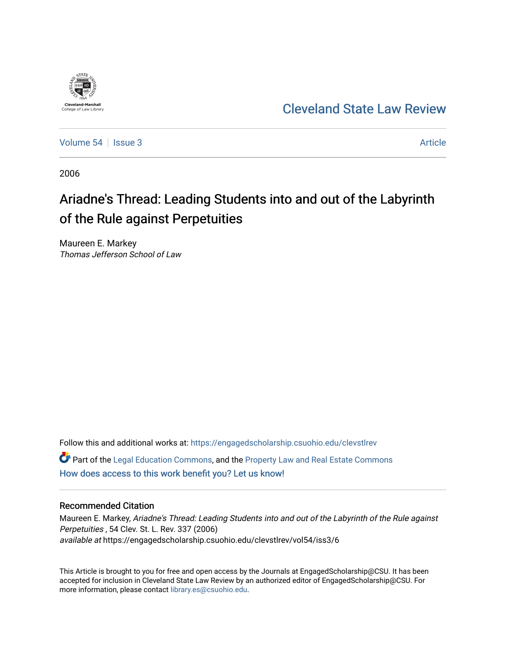

# [Cleveland State Law Review](https://engagedscholarship.csuohio.edu/clevstlrev)

[Volume 54](https://engagedscholarship.csuohio.edu/clevstlrev/vol54) | [Issue 3](https://engagedscholarship.csuohio.edu/clevstlrev/vol54/iss3) Article

2006

# Ariadne's Thread: Leading Students into and out of the Labyrinth of the Rule against Perpetuities

Maureen E. Markey Thomas Jefferson School of Law

Follow this and additional works at: [https://engagedscholarship.csuohio.edu/clevstlrev](https://engagedscholarship.csuohio.edu/clevstlrev?utm_source=engagedscholarship.csuohio.edu%2Fclevstlrev%2Fvol54%2Fiss3%2F6&utm_medium=PDF&utm_campaign=PDFCoverPages) Part of the [Legal Education Commons,](http://network.bepress.com/hgg/discipline/857?utm_source=engagedscholarship.csuohio.edu%2Fclevstlrev%2Fvol54%2Fiss3%2F6&utm_medium=PDF&utm_campaign=PDFCoverPages) and the [Property Law and Real Estate Commons](http://network.bepress.com/hgg/discipline/897?utm_source=engagedscholarship.csuohio.edu%2Fclevstlrev%2Fvol54%2Fiss3%2F6&utm_medium=PDF&utm_campaign=PDFCoverPages)  [How does access to this work benefit you? Let us know!](http://library.csuohio.edu/engaged/)

### Recommended Citation

Maureen E. Markey, Ariadne's Thread: Leading Students into and out of the Labyrinth of the Rule against Perpetuities , 54 Clev. St. L. Rev. 337 (2006) available at https://engagedscholarship.csuohio.edu/clevstlrev/vol54/iss3/6

This Article is brought to you for free and open access by the Journals at EngagedScholarship@CSU. It has been accepted for inclusion in Cleveland State Law Review by an authorized editor of EngagedScholarship@CSU. For more information, please contact [library.es@csuohio.edu](mailto:library.es@csuohio.edu).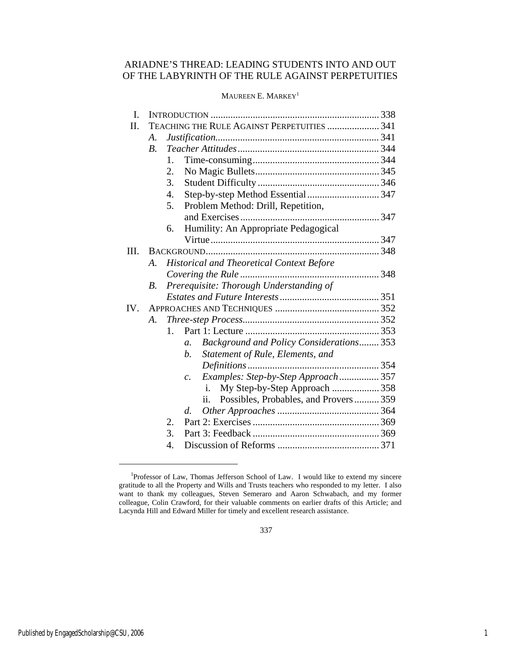## ARIADNE'S THREAD: LEADING STUDENTS INTO AND OUT OF THE LABYRINTH OF THE RULE AGAINST PERPETUITIES

### MAUREEN E. MARKEY<sup>1</sup>

| I.   |                                             |                                                              |  |
|------|---------------------------------------------|--------------------------------------------------------------|--|
| Π.   | TEACHING THE RULE AGAINST PERPETUITIES  341 |                                                              |  |
|      | A.                                          |                                                              |  |
|      | B <sub>1</sub>                              |                                                              |  |
|      |                                             | 1.                                                           |  |
|      |                                             | 2.                                                           |  |
|      |                                             | 3.                                                           |  |
|      |                                             | Step-by-step Method Essential347<br>4.                       |  |
|      |                                             | 5.<br>Problem Method: Drill, Repetition,                     |  |
|      |                                             |                                                              |  |
|      |                                             | Humility: An Appropriate Pedagogical<br>6.                   |  |
|      |                                             |                                                              |  |
| III. |                                             |                                                              |  |
|      | $\mathcal{A}_{\cdot}$                       | <b>Historical and Theoretical Context Before</b>             |  |
|      |                                             |                                                              |  |
|      | В.                                          | Prerequisite: Thorough Understanding of                      |  |
|      |                                             |                                                              |  |
| IV.  |                                             |                                                              |  |
|      | А.                                          |                                                              |  |
|      |                                             | 1.                                                           |  |
|      |                                             | Background and Policy Considerations 353<br>$\mathfrak{a}$ . |  |
|      |                                             | Statement of Rule, Elements, and<br>b.                       |  |
|      |                                             |                                                              |  |
|      |                                             | Examples: Step-by-Step Approach 357<br>$\mathcal{C}$ .       |  |
|      |                                             | My Step-by-Step Approach 358<br>i.                           |  |
|      |                                             | Possibles, Probables, and Provers359<br>ii.                  |  |
|      |                                             | d.                                                           |  |
|      |                                             | 2.                                                           |  |
|      |                                             | 3.                                                           |  |
|      |                                             | 4.                                                           |  |

<sup>&</sup>lt;sup>1</sup>Professor of Law, Thomas Jefferson School of Law. I would like to extend my sincere gratitude to all the Property and Wills and Trusts teachers who responded to my letter. I also want to thank my colleagues, Steven Semeraro and Aaron Schwabach, and my former colleague, Colin Crawford, for their valuable comments on earlier drafts of this Article; and Lacynda Hill and Edward Miller for timely and excellent research assistance.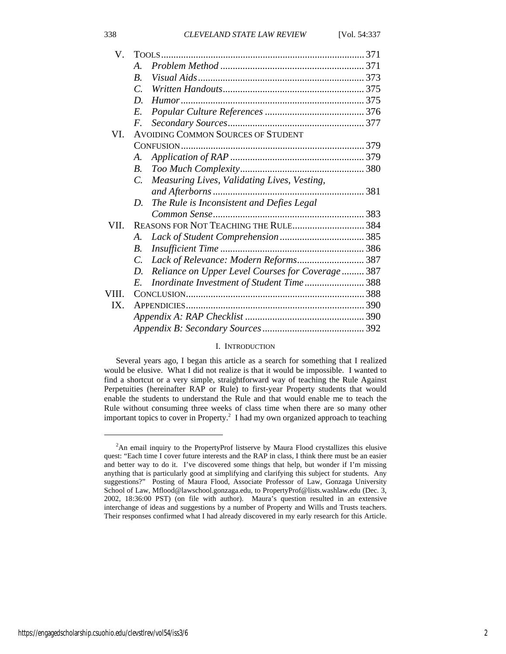| V.    |                                                               |                                                  |  |
|-------|---------------------------------------------------------------|--------------------------------------------------|--|
|       | A.                                                            |                                                  |  |
|       | $\boldsymbol{B}$ .                                            |                                                  |  |
|       | $\overline{C}$ .                                              |                                                  |  |
|       | D.                                                            |                                                  |  |
|       | E.                                                            |                                                  |  |
|       | $F_{\cdot}$                                                   |                                                  |  |
| VI.   | AVOIDING COMMON SOURCES OF STUDENT                            |                                                  |  |
|       |                                                               |                                                  |  |
|       | A.                                                            |                                                  |  |
|       | B.                                                            |                                                  |  |
|       | Measuring Lives, Validating Lives, Vesting,<br>$\overline{C}$ |                                                  |  |
|       |                                                               |                                                  |  |
|       | The Rule is Inconsistent and Defies Legal<br>D.               |                                                  |  |
|       |                                                               |                                                  |  |
| VII.  |                                                               | REASONS FOR NOT TEACHING THE RULE 384            |  |
|       | A.                                                            |                                                  |  |
|       | В.                                                            |                                                  |  |
|       | $C_{\cdot}$                                                   | Lack of Relevance: Modern Reforms 387            |  |
|       | D.                                                            | Reliance on Upper Level Courses for Coverage 387 |  |
|       | $E_{\cdot}$                                                   | Inordinate Investment of Student Time 388        |  |
| VIII. |                                                               |                                                  |  |
| IX.   |                                                               |                                                  |  |
|       |                                                               |                                                  |  |
|       |                                                               |                                                  |  |

#### I. INTRODUCTION

Several years ago, I began this article as a search for something that I realized would be elusive. What I did not realize is that it would be impossible. I wanted to find a shortcut or a very simple, straightforward way of teaching the Rule Against Perpetuities (hereinafter RAP or Rule) to first-year Property students that would enable the students to understand the Rule and that would enable me to teach the Rule without consuming three weeks of class time when there are so many other important topics to cover in Property.<sup>2</sup> I had my own organized approach to teaching

<sup>&</sup>lt;sup>2</sup>An email inquiry to the PropertyProf listserve by Maura Flood crystallizes this elusive quest: "Each time I cover future interests and the RAP in class, I think there must be an easier and better way to do it. I've discovered some things that help, but wonder if I'm missing anything that is particularly good at simplifying and clarifying this subject for students. Any suggestions?" Posting of Maura Flood, Associate Professor of Law, Gonzaga University School of Law, Mflood@lawschool.gonzaga.edu, to PropertyProf@lists.washlaw.edu (Dec. 3, 2002, 18:36:00 PST) (on file with author). Maura's question resulted in an extensive interchange of ideas and suggestions by a number of Property and Wills and Trusts teachers. Their responses confirmed what I had already discovered in my early research for this Article.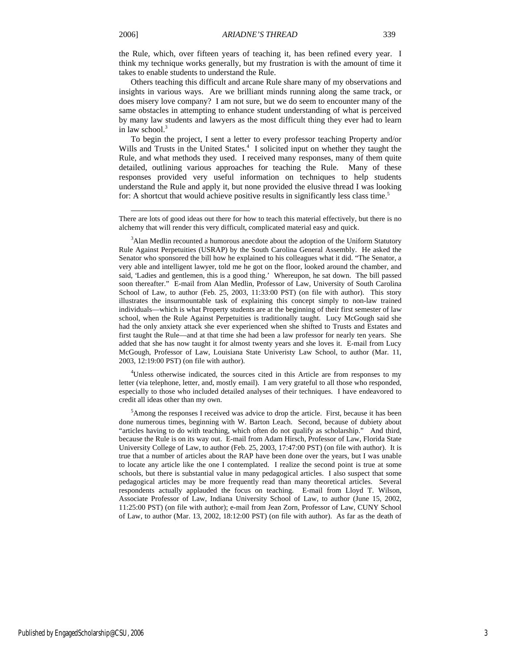l

the Rule, which, over fifteen years of teaching it, has been refined every year. I think my technique works generally, but my frustration is with the amount of time it takes to enable students to understand the Rule.

Others teaching this difficult and arcane Rule share many of my observations and insights in various ways. Are we brilliant minds running along the same track, or does misery love company? I am not sure, but we do seem to encounter many of the same obstacles in attempting to enhance student understanding of what is perceived by many law students and lawyers as the most difficult thing they ever had to learn in law school. $3$ 

To begin the project, I sent a letter to every professor teaching Property and/or Wills and Trusts in the United States.<sup>4</sup> I solicited input on whether they taught the Rule, and what methods they used. I received many responses, many of them quite detailed, outlining various approaches for teaching the Rule. Many of these responses provided very useful information on techniques to help students understand the Rule and apply it, but none provided the elusive thread I was looking for: A shortcut that would achieve positive results in significantly less class time.<sup>5</sup>

<sup>4</sup>Unless otherwise indicated, the sources cited in this Article are from responses to my letter (via telephone, letter, and, mostly email). I am very grateful to all those who responded, especially to those who included detailed analyses of their techniques. I have endeavored to credit all ideas other than my own.

<sup>5</sup> Among the responses I received was advice to drop the article. First, because it has been done numerous times, beginning with W. Barton Leach. Second, because of dubiety about "articles having to do with teaching, which often do not qualify as scholarship." And third, because the Rule is on its way out. E-mail from Adam Hirsch, Professor of Law, Florida State University College of Law, to author (Feb. 25, 2003, 17:47:00 PST) (on file with author). It is true that a number of articles about the RAP have been done over the years, but I was unable to locate any article like the one I contemplated. I realize the second point is true at some schools, but there is substantial value in many pedagogical articles. I also suspect that some pedagogical articles may be more frequently read than many theoretical articles. Several respondents actually applauded the focus on teaching. E-mail from Lloyd T. Wilson, Associate Professor of Law, Indiana University School of Law, to author (June 15, 2002, 11:25:00 PST) (on file with author); e-mail from Jean Zorn, Professor of Law, CUNY School of Law, to author (Mar. 13, 2002, 18:12:00 PST) (on file with author). As far as the death of

There are lots of good ideas out there for how to teach this material effectively, but there is no alchemy that will render this very difficult, complicated material easy and quick.

<sup>&</sup>lt;sup>3</sup>Alan Medlin recounted a humorous anecdote about the adoption of the Uniform Statutory Rule Against Perpetuities (USRAP) by the South Carolina General Assembly. He asked the Senator who sponsored the bill how he explained to his colleagues what it did. "The Senator, a very able and intelligent lawyer, told me he got on the floor, looked around the chamber, and said, 'Ladies and gentlemen, this is a good thing.' Whereupon, he sat down. The bill passed soon thereafter." E-mail from Alan Medlin, Professor of Law, University of South Carolina School of Law, to author (Feb. 25, 2003, 11:33:00 PST) (on file with author). This story illustrates the insurmountable task of explaining this concept simply to non-law trained individuals—which is what Property students are at the beginning of their first semester of law school, when the Rule Against Perpetuities is traditionally taught. Lucy McGough said she had the only anxiety attack she ever experienced when she shifted to Trusts and Estates and first taught the Rule—and at that time she had been a law professor for nearly ten years. She added that she has now taught it for almost twenty years and she loves it. E-mail from Lucy McGough, Professor of Law, Louisiana State Univeristy Law School, to author (Mar. 11, 2003, 12:19:00 PST) (on file with author).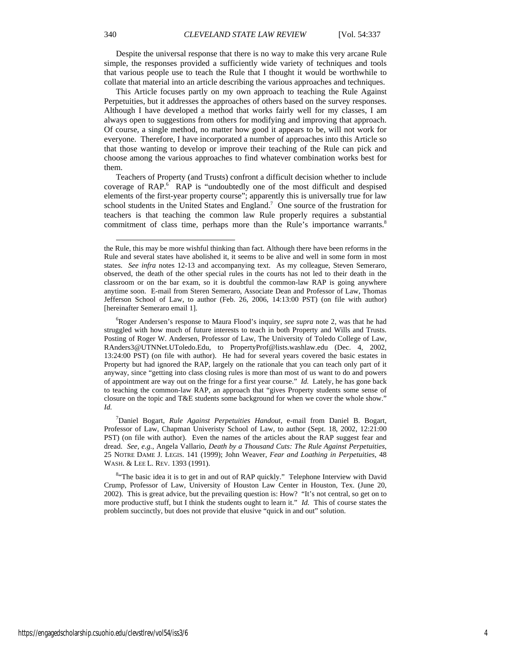Despite the universal response that there is no way to make this very arcane Rule simple, the responses provided a sufficiently wide variety of techniques and tools that various people use to teach the Rule that I thought it would be worthwhile to collate that material into an article describing the various approaches and techniques.

This Article focuses partly on my own approach to teaching the Rule Against Perpetuities, but it addresses the approaches of others based on the survey responses. Although I have developed a method that works fairly well for my classes, I am always open to suggestions from others for modifying and improving that approach. Of course, a single method, no matter how good it appears to be, will not work for everyone. Therefore, I have incorporated a number of approaches into this Article so that those wanting to develop or improve their teaching of the Rule can pick and choose among the various approaches to find whatever combination works best for them.

Teachers of Property (and Trusts) confront a difficult decision whether to include coverage of RAP.<sup>6</sup> RAP is "undoubtedly one of the most difficult and despised elements of the first-year property course"; apparently this is universally true for law school students in the United States and England.<sup>7</sup> One source of the frustration for teachers is that teaching the common law Rule properly requires a substantial commitment of class time, perhaps more than the Rule's importance warrants.<sup>8</sup>

the Rule, this may be more wishful thinking than fact. Although there have been reforms in the Rule and several states have abolished it, it seems to be alive and well in some form in most states. *See infra* notes 12-13 and accompanying text. As my colleague, Steven Semeraro, observed, the death of the other special rules in the courts has not led to their death in the classroom or on the bar exam, so it is doubtful the common-law RAP is going anywhere anytime soon. E-mail from Steren Semeraro, Associate Dean and Professor of Law, Thomas Jefferson School of Law, to author (Feb. 26, 2006, 14:13:00 PST) (on file with author) [hereinafter Semeraro email 1].

<sup>6</sup> Roger Andersen's response to Maura Flood's inquiry, *see supra* note 2, was that he had struggled with how much of future interests to teach in both Property and Wills and Trusts. Posting of Roger W. Andersen, Professor of Law, The University of Toledo College of Law, RAnders3@UTNNet.UToledo.Edu, to PropertyProf@lists.washlaw.edu (Dec. 4, 2002, 13:24:00 PST) (on file with author). He had for several years covered the basic estates in Property but had ignored the RAP, largely on the rationale that you can teach only part of it anyway, since "getting into class closing rules is more than most of us want to do and powers of appointment are way out on the fringe for a first year course." *Id.* Lately, he has gone back to teaching the common-law RAP, an approach that "gives Property students some sense of closure on the topic and T&E students some background for when we cover the whole show." *Id.* 

<sup>7</sup> Daniel Bogart, *Rule Against Perpetuities Handout*, e-mail from Daniel B. Bogart, Professor of Law, Chapman Univeristy School of Law, to author (Sept. 18, 2002, 12:21:00 PST) (on file with author). Even the names of the articles about the RAP suggest fear and dread. *See, e.g.*, Angela Vallario, *Death by a Thousand Cuts: The Rule Against Perpetuities*, 25 NOTRE DAME J. LEGIS. 141 (1999); John Weaver, *Fear and Loathing in Perpetuities*, 48 WASH. & LEE L. REV. 1393 (1991).

<sup>&</sup>lt;sup>8.</sup> The basic idea it is to get in and out of RAP quickly." Telephone Interview with David Crump, Professor of Law, University of Houston Law Center in Houston, Tex. (June 20, 2002). This is great advice, but the prevailing question is: How? "It's not central, so get on to more productive stuff, but I think the students ought to learn it." *Id.* This of course states the problem succinctly, but does not provide that elusive "quick in and out" solution.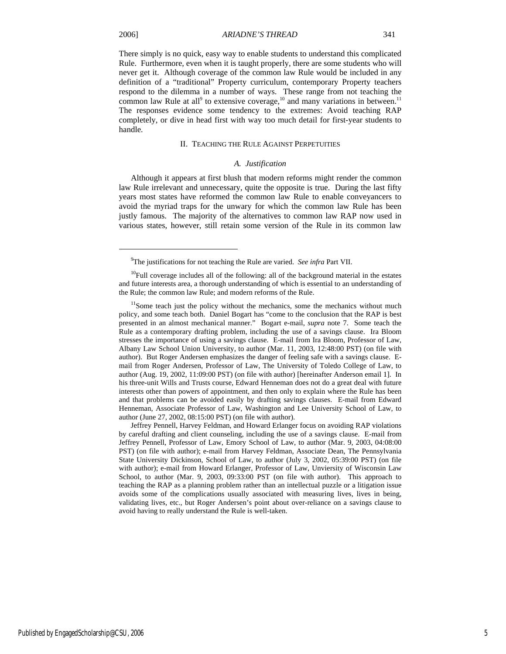j

There simply is no quick, easy way to enable students to understand this complicated Rule. Furthermore, even when it is taught properly, there are some students who will never get it. Although coverage of the common law Rule would be included in any definition of a "traditional" Property curriculum, contemporary Property teachers respond to the dilemma in a number of ways. These range from not teaching the common law Rule at all<sup>9</sup> to extensive coverage,<sup>10</sup> and many variations in between.<sup>11</sup> The responses evidence some tendency to the extremes: Avoid teaching RAP completely, or dive in head first with way too much detail for first-year students to handle*.*

#### II. TEACHING THE RULE AGAINST PERPETUITIES

#### *A. Justification*

Although it appears at first blush that modern reforms might render the common law Rule irrelevant and unnecessary, quite the opposite is true. During the last fifty years most states have reformed the common law Rule to enable conveyancers to avoid the myriad traps for the unwary for which the common law Rule has been justly famous. The majority of the alternatives to common law RAP now used in various states, however, still retain some version of the Rule in its common law

Jeffrey Pennell, Harvey Feldman, and Howard Erlanger focus on avoiding RAP violations by careful drafting and client counseling, including the use of a savings clause. E-mail from Jeffrey Pennell, Professor of Law, Emory School of Law, to author (Mar. 9, 2003, 04:08:00 PST) (on file with author); e-mail from Harvey Feldman, Associate Dean, The Pennsylvania State University Dickinson, School of Law, to author (July 3, 2002, 05:39:00 PST) (on file with author); e-mail from Howard Erlanger, Professor of Law, Unviersity of Wisconsin Law School, to author (Mar. 9, 2003, 09:33:00 PST (on file with author). This approach to teaching the RAP as a planning problem rather than an intellectual puzzle or a litigation issue avoids some of the complications usually associated with measuring lives, lives in being, validating lives, etc., but Roger Andersen's point about over-reliance on a savings clause to avoid having to really understand the Rule is well-taken.

<sup>9</sup> The justifications for not teaching the Rule are varied. *See infra* Part VII.

 $10$ Full coverage includes all of the following: all of the background material in the estates and future interests area, a thorough understanding of which is essential to an understanding of the Rule; the common law Rule; and modern reforms of the Rule.

<sup>&</sup>lt;sup>11</sup>Some teach just the policy without the mechanics, some the mechanics without much policy, and some teach both. Daniel Bogart has "come to the conclusion that the RAP is best presented in an almost mechanical manner." Bogart e-mail, *supra* note 7. Some teach the Rule as a contemporary drafting problem, including the use of a savings clause. Ira Bloom stresses the importance of using a savings clause. E-mail from Ira Bloom, Professor of Law, Albany Law School Union University, to author (Mar. 11, 2003, 12:48:00 PST) (on file with author). But Roger Andersen emphasizes the danger of feeling safe with a savings clause. Email from Roger Andersen, Professor of Law, The University of Toledo College of Law, to author (Aug. 19, 2002, 11:09:00 PST) (on file with author) [hereinafter Anderson email 1]. In his three-unit Wills and Trusts course, Edward Henneman does not do a great deal with future interests other than powers of appointment, and then only to explain where the Rule has been and that problems can be avoided easily by drafting savings clauses. E-mail from Edward Henneman, Associate Professor of Law, Washington and Lee University School of Law, to author (June 27, 2002, 08:15:00 PST) (on file with author).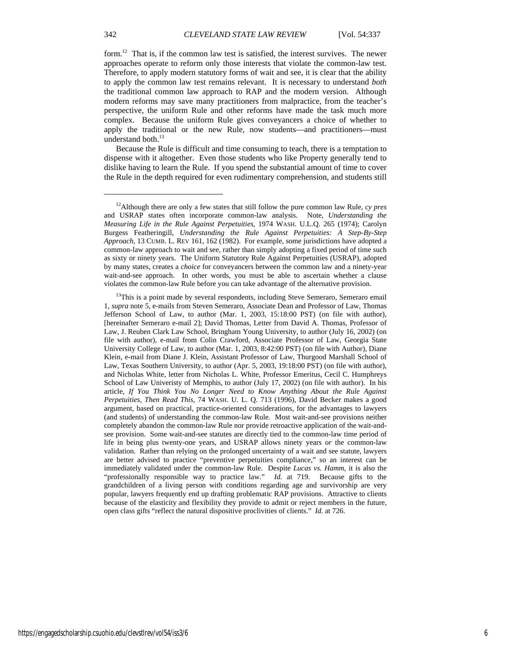form.<sup>12</sup> That is, if the common law test is satisfied, the interest survives. The newer approaches operate to reform only those interests that violate the common-law test. Therefore, to apply modern statutory forms of wait and see, it is clear that the ability to apply the common law test remains relevant. It is necessary to understand *both* the traditional common law approach to RAP and the modern version. Although modern reforms may save many practitioners from malpractice, from the teacher's perspective, the uniform Rule and other reforms have made the task much more complex. Because the uniform Rule gives conveyancers a choice of whether to apply the traditional or the new Rule, now students—and practitioners—must understand both. $^{13}$ 

Because the Rule is difficult and time consuming to teach, there is a temptation to dispense with it altogether. Even those students who like Property generally tend to dislike having to learn the Rule. If you spend the substantial amount of time to cover the Rule in the depth required for even rudimentary comprehension, and students still

<sup>12</sup>Although there are only a few states that still follow the pure common law Rule, *cy pres* and USRAP states often incorporate common-law analysis. Note, *Understanding the Measuring Life in the Rule Against Perpetuities*, 1974 WASH. U.L.Q. 265 (1974); Carolyn Burgess Featheringill, *Understanding the Rule Against Perpetuities: A Step-By-Step Approach*, 13 CUMB. L. REV 161, 162 (1982). For example, some jurisdictions have adopted a common-law approach to wait and see, rather than simply adopting a fixed period of time such as sixty or ninety years. The Uniform Statutory Rule Against Perpetuities (USRAP), adopted by many states, creates a *choice* for conveyancers between the common law and a ninety-year wait-and-see approach. In other words, you must be able to ascertain whether a clause violates the common-law Rule before you can take advantage of the alternative provision.

<sup>&</sup>lt;sup>13</sup>This is a point made by several respondents, including Steve Semeraro, Semeraro email 1, *supra* note 5, e-mails from Steven Semeraro, Associate Dean and Professor of Law, Thomas Jefferson School of Law, to author (Mar. 1, 2003, 15:18:00 PST) (on file with author), [hereinafter Semeraro e-mail 2]; David Thomas, Letter from David A. Thomas, Professor of Law, J. Reuben Clark Law School, Bringham Young University, to author (July 16, 2002) (on file with author), e-mail from Colin Crawford, Associate Professor of Law, Georgia State University College of Law, to author (Mar. 1, 2003, 8:42:00 PST) (on file with Author), Diane Klein, e-mail from Diane J. Klein, Assistant Professor of Law, Thurgood Marshall School of Law, Texas Southern University, to author (Apr. 5, 2003, 19:18:00 PST) (on file with author), and Nicholas White, letter from Nicholas L. White, Professor Emeritus, Cecil C. Humphreys School of Law Univeristy of Memphis, to author (July 17, 2002) (on file with author). In his article, *If You Think You No Longer Need to Know Anything About the Rule Against Perpetuities, Then Read This*, 74 WASH. U. L. Q. 713 (1996), David Becker makes a good argument, based on practical, practice-oriented considerations, for the advantages to lawyers (and students) of understanding the common-law Rule. Most wait-and-see provisions neither completely abandon the common-law Rule nor provide retroactive application of the wait-andsee provision. Some wait-and-see statutes are directly tied to the common-law time period of life in being plus twenty-one years, and USRAP allows ninety years *or* the common-law validation. Rather than relying on the prolonged uncertainty of a wait and see statute, lawyers are better advised to practice "preventive perpetuities compliance," so an interest can be immediately validated under the common-law Rule. Despite *Lucas vs. Hamm*, it is also the "professionally responsible way to practice law." *Id.* at 719. Because gifts to the grandchildren of a living person with conditions regarding age and survivorship are very popular, lawyers frequently end up drafting problematic RAP provisions. Attractive to clients because of the elasticity and flexibility they provide to admit or reject members in the future, open class gifts "reflect the natural dispositive proclivities of clients." *Id.* at 726.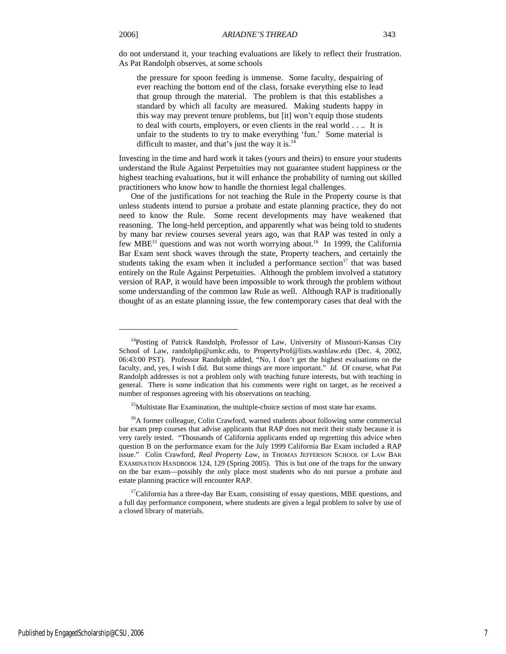j

do not understand it, your teaching evaluations are likely to reflect their frustration. As Pat Randolph observes, at some schools

the pressure for spoon feeding is immense. Some faculty, despairing of ever reaching the bottom end of the class, forsake everything else to lead that group through the material. The problem is that this establishes a standard by which all faculty are measured. Making students happy in this way may prevent tenure problems, but [it] won't equip those students to deal with courts, employers, or even clients in the real world . . .. It is unfair to the students to try to make everything 'fun.' Some material is difficult to master, and that's just the way it is. $<sup>14</sup>$ </sup>

Investing in the time and hard work it takes (yours and theirs) to ensure your students understand the Rule Against Perpetuities may not guarantee student happiness or the highest teaching evaluations, but it will enhance the probability of turning out skilled practitioners who know how to handle the thorniest legal challenges.

One of the justifications for not teaching the Rule in the Property course is that unless students intend to pursue a probate and estate planning practice, they do not need to know the Rule. Some recent developments may have weakened that reasoning. The long-held perception, and apparently what was being told to students by many bar review courses several years ago, was that RAP was tested in only a few MBE<sup>15</sup> questions and was not worth worrying about.<sup>16</sup> In 1999, the California Bar Exam sent shock waves through the state, Property teachers, and certainly the students taking the exam when it included a performance section $17$  that was based entirely on the Rule Against Perpetuities. Although the problem involved a statutory version of RAP, it would have been impossible to work through the problem without some understanding of the common law Rule as well. Although RAP is traditionally thought of as an estate planning issue, the few contemporary cases that deal with the

<sup>&</sup>lt;sup>14</sup>Posting of Patrick Randolph, Professor of Law, University of Missouri-Kansas City School of Law, randolphp@umkc.edu, to PropertyProf@lists.washlaw.edu (Dec. 4, 2002, 06:43:00 PST). Professor Randolph added, "No, I don't get the highest evaluations on the faculty, and, yes, I wish I did. But some things are more important." *Id.* Of course, what Pat Randolph addresses is not a problem only with teaching future interests, but with teaching in general. There is some indication that his comments were right on target, as he received a number of responses agreeing with his observations on teaching.

<sup>&</sup>lt;sup>15</sup>Multistate Bar Examination, the multiple-choice section of most state bar exams.

<sup>&</sup>lt;sup>16</sup>A former colleague, Colin Crawford, warned students about following some commercial bar exam prep courses that advise applicants that RAP does not merit their study because it is very rarely tested. "Thousands of California applicants ended up regretting this advice when question B on the performance exam for the July 1999 California Bar Exam included a RAP issue." Colin Crawford, *Real Property Law*, in THOMAS JEFFERSON SCHOOL OF LAW BAR EXAMINATION HANDBOOK 124, 129 (Spring 2005). This is but one of the traps for the unwary on the bar exam—possibly the only place most students who do not pursue a probate and estate planning practice will encounter RAP.

<sup>&</sup>lt;sup>17</sup>California has a three-day Bar Exam, consisting of essay questions, MBE questions, and a full day performance component, where students are given a legal problem to solve by use of a closed library of materials.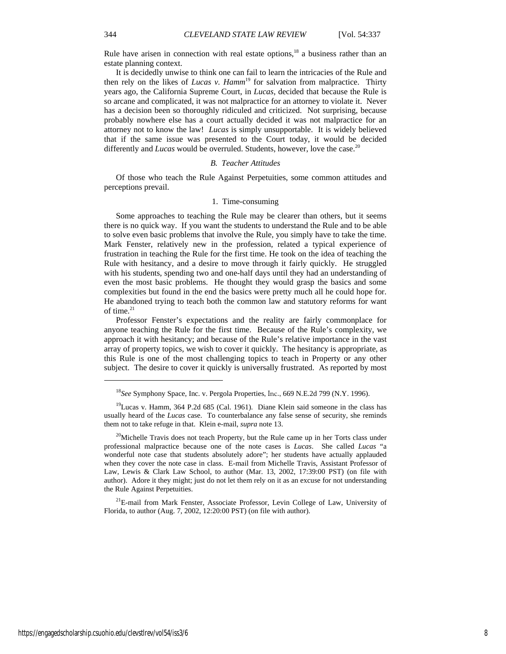Rule have arisen in connection with real estate options, $18$  a business rather than an estate planning context.

It is decidedly unwise to think one can fail to learn the intricacies of the Rule and then rely on the likes of *Lucas v. Hamm*<sup>19</sup> for salvation from malpractice. Thirty years ago, the California Supreme Court, in *Lucas*, decided that because the Rule is so arcane and complicated, it was not malpractice for an attorney to violate it. Never has a decision been so thoroughly ridiculed and criticized. Not surprising, because probably nowhere else has a court actually decided it was not malpractice for an attorney not to know the law! *Lucas* is simply unsupportable.It is widely believed that if the same issue was presented to the Court today, it would be decided differently and *Lucas* would be overruled. Students, however, love the case.<sup>20</sup>

#### *B. Teacher Attitudes*

Of those who teach the Rule Against Perpetuities, some common attitudes and perceptions prevail.

#### 1. Time-consuming

Some approaches to teaching the Rule may be clearer than others, but it seems there is no quick way. If you want the students to understand the Rule and to be able to solve even basic problems that involve the Rule, you simply have to take the time. Mark Fenster, relatively new in the profession, related a typical experience of frustration in teaching the Rule for the first time. He took on the idea of teaching the Rule with hesitancy, and a desire to move through it fairly quickly. He struggled with his students, spending two and one-half days until they had an understanding of even the most basic problems. He thought they would grasp the basics and some complexities but found in the end the basics were pretty much all he could hope for. He abandoned trying to teach both the common law and statutory reforms for want of time. $21$ 

Professor Fenster's expectations and the reality are fairly commonplace for anyone teaching the Rule for the first time. Because of the Rule's complexity, we approach it with hesitancy; and because of the Rule's relative importance in the vast array of property topics, we wish to cover it quickly. The hesitancy is appropriate, as this Rule is one of the most challenging topics to teach in Property or any other subject. The desire to cover it quickly is universally frustrated. As reported by most

1

<sup>18</sup>*See* Symphony Space, Inc. v. Pergola Properties, Inc., 669 N.E.2d 799 (N.Y. 1996).

<sup>19</sup>Lucas v. Hamm, 364 P.2d 685 (Cal. 1961).Diane Klein said someone in the class has usually heard of the *Lucas* case. To counterbalance any false sense of security, she reminds them not to take refuge in that. Klein e-mail, *supra* note 13.

<sup>&</sup>lt;sup>20</sup>Michelle Travis does not teach Property, but the Rule came up in her Torts class under professional malpractice because one of the note cases is *Lucas*. She called *Lucas* "a wonderful note case that students absolutely adore"; her students have actually applauded when they cover the note case in class. E-mail from Michelle Travis, Assistant Professor of Law, Lewis & Clark Law School, to author (Mar. 13, 2002, 17:39:00 PST) (on file with author). Adore it they might; just do not let them rely on it as an excuse for not understanding the Rule Against Perpetuities.

<sup>&</sup>lt;sup>21</sup>E-mail from Mark Fenster, Associate Professor, Levin College of Law, University of Florida, to author (Aug. 7, 2002, 12:20:00 PST) (on file with author).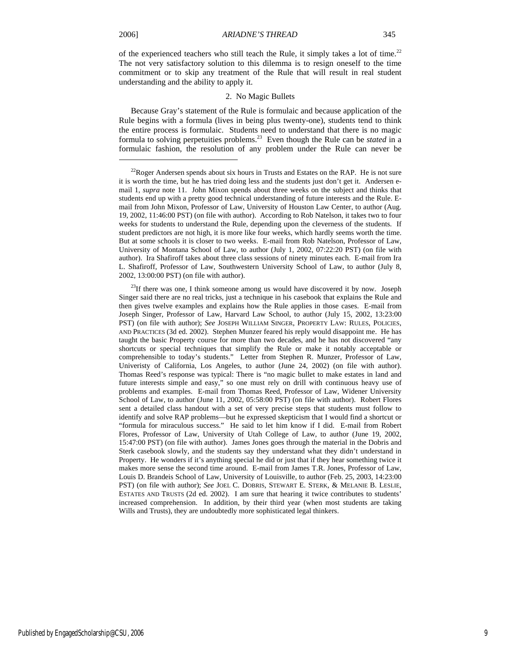1

of the experienced teachers who still teach the Rule, it simply takes a lot of time.<sup>22</sup> The not very satisfactory solution to this dilemma is to resign oneself to the time commitment or to skip any treatment of the Rule that will result in real student understanding and the ability to apply it.

#### 2. No Magic Bullets

Because Gray's statement of the Rule is formulaic and because application of the Rule begins with a formula (lives in being plus twenty-one), students tend to think the entire process is formulaic. Students need to understand that there is no magic formula to solving perpetuities problems.23 Even though the Rule can be *stated* in a formulaic fashion, the resolution of any problem under the Rule can never be

 $^{22}$ Roger Andersen spends about six hours in Trusts and Estates on the RAP. He is not sure it is worth the time, but he has tried doing less and the students just don't get it. Andersen email 1, *supra* note 11. John Mixon spends about three weeks on the subject and thinks that students end up with a pretty good technical understanding of future interests and the Rule. Email from John Mixon, Professor of Law, University of Houston Law Center, to author (Aug. 19, 2002, 11:46:00 PST) (on file with author). According to Rob Natelson, it takes two to four weeks for students to understand the Rule, depending upon the cleverness of the students. If student predictors are not high, it is more like four weeks, which hardly seems worth the time. But at some schools it is closer to two weeks. E-mail from Rob Natelson, Professor of Law, University of Montana School of Law, to author (July 1, 2002, 07:22:20 PST) (on file with author). Ira Shafiroff takes about three class sessions of ninety minutes each. E-mail from Ira L. Shafiroff, Professor of Law, Southwestern University School of Law, to author (July 8, 2002, 13:00:00 PST) (on file with author).

 $^{23}$ If there was one, I think someone among us would have discovered it by now. Joseph Singer said there are no real tricks, just a technique in his casebook that explains the Rule and then gives twelve examples and explains how the Rule applies in those cases. E-mail from Joseph Singer, Professor of Law, Harvard Law School, to author (July 15, 2002, 13:23:00 PST) (on file with author); *See* JOSEPH WILLIAM SINGER, PROPERTY LAW: RULES, POLICIES, AND PRACTICES (3d ed. 2002). Stephen Munzer feared his reply would disappoint me. He has taught the basic Property course for more than two decades, and he has not discovered "any shortcuts or special techniques that simplify the Rule or make it notably acceptable or comprehensible to today's students." Letter from Stephen R. Munzer, Professor of Law, Univeristy of California, Los Angeles, to author (June 24, 2002) (on file with author). Thomas Reed's response was typical: There is "no magic bullet to make estates in land and future interests simple and easy," so one must rely on drill with continuous heavy use of problems and examples. E-mail from Thomas Reed, Professor of Law, Widener University School of Law, to author (June 11, 2002, 05:58:00 PST) (on file with author). Robert Flores sent a detailed class handout with a set of very precise steps that students must follow to identify and solve RAP problems—but he expressed skepticism that I would find a shortcut or "formula for miraculous success." He said to let him know if I did. E-mail from Robert Flores, Professor of Law, University of Utah College of Law, to author (June 19, 2002, 15:47:00 PST) (on file with author). James Jones goes through the material in the Dobris and Sterk casebook slowly, and the students say they understand what they didn't understand in Property. He wonders if it's anything special he did or just that if they hear something twice it makes more sense the second time around. E-mail from James T.R. Jones, Professor of Law, Louis D. Brandeis School of Law, University of Louisville, to author (Feb. 25, 2003, 14:23:00 PST) (on file with author); *See* JOEL C. DOBRIS, STEWART E. STERK, & MELANIE B. LESLIE, ESTATES AND TRUSTS (2d ed. 2002). I am sure that hearing it twice contributes to students' increased comprehension. In addition, by their third year (when most students are taking Wills and Trusts), they are undoubtedly more sophisticated legal thinkers.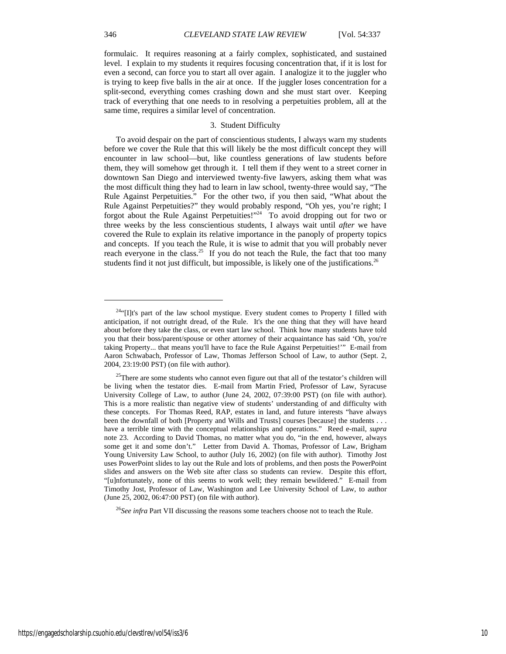formulaic. It requires reasoning at a fairly complex, sophisticated, and sustained level. I explain to my students it requires focusing concentration that, if it is lost for even a second, can force you to start all over again. I analogize it to the juggler who is trying to keep five balls in the air at once. If the juggler loses concentration for a split-second, everything comes crashing down and she must start over. Keeping track of everything that one needs to in resolving a perpetuities problem, all at the same time, requires a similar level of concentration.

### 3. Student Difficulty

To avoid despair on the part of conscientious students, I always warn my students before we cover the Rule that this will likely be the most difficult concept they will encounter in law school—but, like countless generations of law students before them, they will somehow get through it. I tell them if they went to a street corner in downtown San Diego and interviewed twenty-five lawyers, asking them what was the most difficult thing they had to learn in law school, twenty-three would say, "The Rule Against Perpetuities." For the other two, if you then said, "What about the Rule Against Perpetuities?" they would probably respond, "Oh yes, you're right; I forgot about the Rule Against Perpetuities!"24 To avoid dropping out for two or three weeks by the less conscientious students, I always wait until *after* we have covered the Rule to explain its relative importance in the panoply of property topics and concepts. If you teach the Rule, it is wise to admit that you will probably never reach everyone in the class.<sup>25</sup> If you do not teach the Rule, the fact that too many students find it not just difficult, but impossible, is likely one of the justifications.<sup>26</sup>

<sup>26</sup>*See infra* Part VII discussing the reasons some teachers choose not to teach the Rule.

<sup>&</sup>lt;sup>24"</sup>[I]t's part of the law school mystique. Every student comes to Property I filled with anticipation, if not outright dread, of the Rule. It's the one thing that they will have heard about before they take the class, or even start law school. Think how many students have told you that their boss/parent/spouse or other attorney of their acquaintance has said 'Oh, you're taking Property... that means you'll have to face the Rule Against Perpetuities!'" E-mail from Aaron Schwabach, Professor of Law, Thomas Jefferson School of Law, to author (Sept. 2, 2004, 23:19:00 PST) (on file with author).

 $25$ There are some students who cannot even figure out that all of the testator's children will be living when the testator dies. E-mail from Martin Fried, Professor of Law, Syracuse University College of Law, to author (June 24, 2002, 07:39:00 PST) (on file with author). This is a more realistic than negative view of students' understanding of and difficulty with these concepts. For Thomas Reed, RAP, estates in land, and future interests "have always been the downfall of both [Property and Wills and Trusts] courses [because] the students . . . have a terrible time with the conceptual relationships and operations." Reed e-mail, *supra*  note 23. According to David Thomas, no matter what you do, "in the end, however, always some get it and some don't." Letter from David A. Thomas, Professor of Law, Brigham Young University Law School, to author (July 16, 2002) (on file with author). Timothy Jost uses PowerPoint slides to lay out the Rule and lots of problems, and then posts the PowerPoint slides and answers on the Web site after class so students can review. Despite this effort, "[u]nfortunately, none of this seems to work well; they remain bewildered." E-mail from Timothy Jost, Professor of Law, Washington and Lee University School of Law, to author (June 25, 2002, 06:47:00 PST) (on file with author).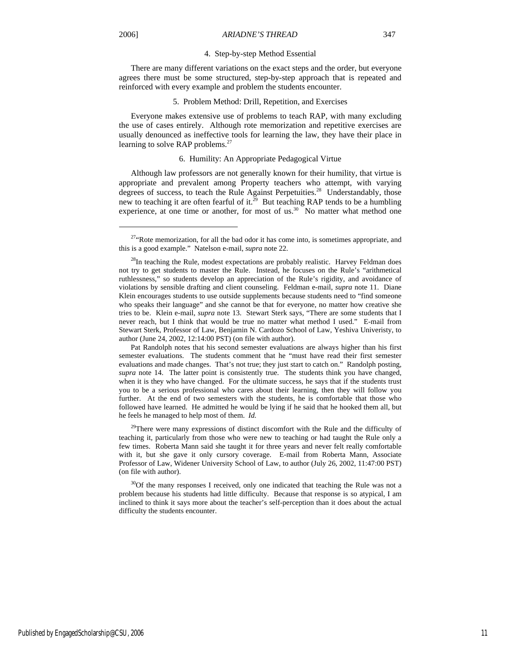j

#### 4. Step-by-step Method Essential

There are many different variations on the exact steps and the order, but everyone agrees there must be some structured, step-by-step approach that is repeated and reinforced with every example and problem the students encounter.

#### 5. Problem Method: Drill, Repetition, and Exercises

Everyone makes extensive use of problems to teach RAP, with many excluding the use of cases entirely. Although rote memorization and repetitive exercises are usually denounced as ineffective tools for learning the law, they have their place in learning to solve RAP problems.<sup>27</sup>

#### 6. Humility: An Appropriate Pedagogical Virtue

Although law professors are not generally known for their humility, that virtue is appropriate and prevalent among Property teachers who attempt, with varying degrees of success, to teach the Rule Against Perpetuities.<sup>28</sup> Understandably, those new to teaching it are often fearful of it.<sup>29</sup> But teaching RAP tends to be a humbling experience, at one time or another, for most of us. $30^\circ$  No matter what method one

Pat Randolph notes that his second semester evaluations are always higher than his first semester evaluations. The students comment that he "must have read their first semester evaluations and made changes. That's not true; they just start to catch on." Randolph posting, *supra* note 14. The latter point is consistently true. The students think you have changed, when it is they who have changed. For the ultimate success, he says that if the students trust you to be a serious professional who cares about their learning, then they will follow you further. At the end of two semesters with the students, he is comfortable that those who followed have learned. He admitted he would be lying if he said that he hooked them all, but he feels he managed to help most of them. *Id.*

<sup>29</sup>There were many expressions of distinct discomfort with the Rule and the difficulty of teaching it, particularly from those who were new to teaching or had taught the Rule only a few times. Roberta Mann said she taught it for three years and never felt really comfortable with it, but she gave it only cursory coverage. E-mail from Roberta Mann, Associate Professor of Law, Widener University School of Law, to author (July 26, 2002, 11:47:00 PST) (on file with author).

<sup>30</sup>Of the many responses I received, only one indicated that teaching the Rule was not a problem because his students had little difficulty. Because that response is so atypical, I am inclined to think it says more about the teacher's self-perception than it does about the actual difficulty the students encounter.

 $27$ <sup>27.</sup> Rote memorization, for all the bad odor it has come into, is sometimes appropriate, and this is a good example." Natelson e-mail, *supra* note 22.

<sup>&</sup>lt;sup>28</sup>In teaching the Rule, modest expectations are probably realistic. Harvey Feldman does not try to get students to master the Rule. Instead, he focuses on the Rule's "arithmetical ruthlessness," so students develop an appreciation of the Rule's rigidity, and avoidance of violations by sensible drafting and client counseling. Feldman e-mail, *supra* note 11. Diane Klein encourages students to use outside supplements because students need to "find someone who speaks their language" and she cannot be that for everyone, no matter how creative she tries to be. Klein e-mail, *supra* note 13. Stewart Sterk says, "There are some students that I never reach, but I think that would be true no matter what method I used." E-mail from Stewart Sterk, Professor of Law, Benjamin N. Cardozo School of Law, Yeshiva Univeristy, to author (June 24, 2002, 12:14:00 PST) (on file with author).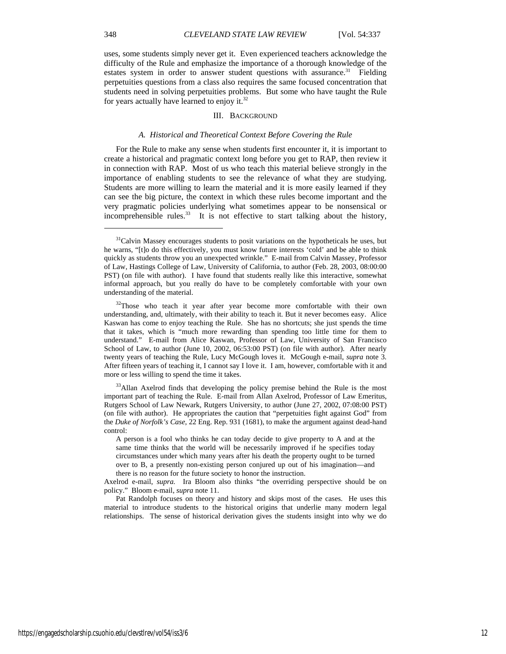uses, some students simply never get it. Even experienced teachers acknowledge the difficulty of the Rule and emphasize the importance of a thorough knowledge of the estates system in order to answer student questions with assurance.<sup>31</sup> Fielding perpetuities questions from a class also requires the same focused concentration that students need in solving perpetuities problems. But some who have taught the Rule for years actually have learned to enjoy it. $32$ 

#### III. BACKGROUND

#### *A. Historical and Theoretical Context Before Covering the Rule*

For the Rule to make any sense when students first encounter it, it is important to create a historical and pragmatic context long before you get to RAP, then review it in connection with RAP. Most of us who teach this material believe strongly in the importance of enabling students to see the relevance of what they are studying. Students are more willing to learn the material and it is more easily learned if they can see the big picture, the context in which these rules become important and the very pragmatic policies underlying what sometimes appear to be nonsensical or incomprehensible rules.<sup>33</sup> It is not effective to start talking about the history,

<sup>33</sup>Allan Axelrod finds that developing the policy premise behind the Rule is the most important part of teaching the Rule. E-mail from Allan Axelrod, Professor of Law Emeritus, Rutgers School of Law Newark, Rutgers University, to author (June 27, 2002, 07:08:00 PST) (on file with author). He appropriates the caution that "perpetuities fight against God" from the *Duke of Norfolk's Case*, 22 Eng. Rep. 931 (1681), to make the argument against dead-hand control:

Pat Randolph focuses on theory and history and skips most of the cases. He uses this material to introduce students to the historical origins that underlie many modern legal relationships. The sense of historical derivation gives the students insight into why we do

<sup>&</sup>lt;sup>31</sup>Calvin Massey encourages students to posit variations on the hypotheticals he uses, but he warns, "[t]o do this effectively, you must know future interests 'cold' and be able to think quickly as students throw you an unexpected wrinkle." E-mail from Calvin Massey, Professor of Law, Hastings College of Law, University of California, to author (Feb. 28, 2003, 08:00:00 PST) (on file with author). I have found that students really like this interactive, somewhat informal approach, but you really do have to be completely comfortable with your own understanding of the material.

 $32$ Those who teach it year after year become more comfortable with their own understanding, and, ultimately, with their ability to teach it. But it never becomes easy. Alice Kaswan has come to enjoy teaching the Rule. She has no shortcuts; she just spends the time that it takes, which is "much more rewarding than spending too little time for them to understand." E-mail from Alice Kaswan, Professor of Law, University of San Francisco School of Law, to author (June 10, 2002, 06:53:00 PST) (on file with author). After nearly twenty years of teaching the Rule, Lucy McGough loves it. McGough e-mail, *supra* note 3. After fifteen years of teaching it, I cannot say I love it. I am, however, comfortable with it and more or less willing to spend the time it takes.

A person is a fool who thinks he can today decide to give property to A and at the same time thinks that the world will be necessarily improved if he specifies today circumstances under which many years after his death the property ought to be turned over to B, a presently non-existing person conjured up out of his imagination—and there is no reason for the future society to honor the instruction.

Axelrod e-mail, *supra.* Ira Bloom also thinks "the overriding perspective should be on policy." Bloom e-mail, *supra* note 11.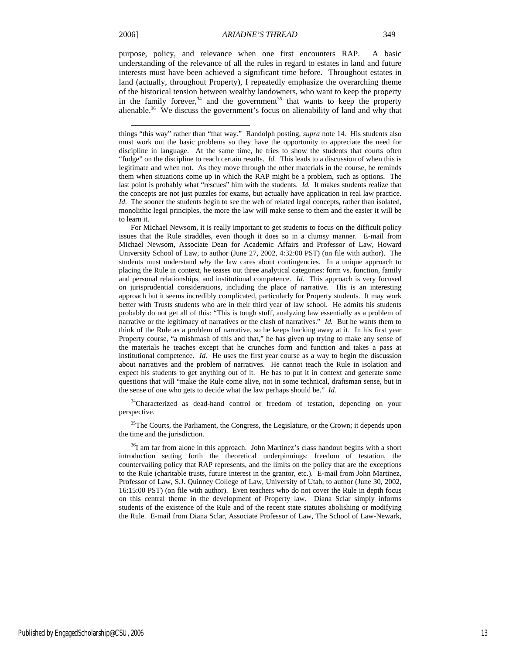l

purpose, policy, and relevance when one first encounters RAP. A basic understanding of the relevance of all the rules in regard to estates in land and future interests must have been achieved a significant time before. Throughout estates in land (actually, throughout Property), I repeatedly emphasize the overarching theme of the historical tension between wealthy landowners, who want to keep the property in the family forever,<sup>34</sup> and the government<sup>35</sup> that wants to keep the property alienable.36 We discuss the government's focus on alienability of land and why that

<sup>34</sup>Characterized as dead-hand control or freedom of testation, depending on your perspective.

<sup>35</sup>The Courts, the Parliament, the Congress, the Legislature, or the Crown; it depends upon the time and the jurisdiction.

<sup>36</sup>I am far from alone in this approach. John Martinez's class handout begins with a short introduction setting forth the theoretical underpinnings: freedom of testation, the countervailing policy that RAP represents, and the limits on the policy that are the exceptions to the Rule (charitable trusts, future interest in the grantor, etc.). E-mail from John Martinez, Professor of Law, S.J. Quinney College of Law, University of Utah, to author (June 30, 2002, 16:15:00 PST) (on file with author). Even teachers who do not cover the Rule in depth focus on this central theme in the development of Property law. Diana Sclar simply informs students of the existence of the Rule and of the recent state statutes abolishing or modifying the Rule. E-mail from Diana Sclar, Associate Professor of Law, The School of Law-Newark,

things "this way" rather than "that way." Randolph posting, *supra* note 14. His students also must work out the basic problems so they have the opportunity to appreciate the need for discipline in language. At the same time, he tries to show the students that courts often "fudge" on the discipline to reach certain results. *Id.* This leads to a discussion of when this is legitimate and when not. As they move through the other materials in the course, he reminds them when situations come up in which the RAP might be a problem, such as options. The last point is probably what "rescues" him with the students. *Id.* It makes students realize that the concepts are not just puzzles for exams, but actually have application in real law practice. *Id*. The sooner the students begin to see the web of related legal concepts, rather than isolated, monolithic legal principles, the more the law will make sense to them and the easier it will be to learn it.

For Michael Newsom, it is really important to get students to focus on the difficult policy issues that the Rule straddles, even though it does so in a clumsy manner. E-mail from Michael Newsom, Associate Dean for Academic Affairs and Professor of Law, Howard University School of Law, to author (June 27, 2002, 4:32:00 PST) (on file with author). The students must understand *why* the law cares about contingencies. In a unique approach to placing the Rule in context, he teases out three analytical categories: form vs. function, family and personal relationships, and institutional competence. *Id.* This approach is very focused on jurisprudential considerations, including the place of narrative. His is an interesting approach but it seems incredibly complicated, particularly for Property students. It may work better with Trusts students who are in their third year of law school. He admits his students probably do not get all of this: "This is tough stuff, analyzing law essentially as a problem of narrative or the legitimacy of narratives or the clash of narratives." *Id.* But he wants them to think of the Rule as a problem of narrative, so he keeps hacking away at it. In his first year Property course, "a mishmash of this and that," he has given up trying to make any sense of the materials he teaches except that he crunches form and function and takes a pass at institutional competence. *Id.* He uses the first year course as a way to begin the discussion about narratives and the problem of narratives. He cannot teach the Rule in isolation and expect his students to get anything out of it. He has to put it in context and generate some questions that will "make the Rule come alive, not in some technical, draftsman sense, but in the sense of one who gets to decide what the law perhaps should be." *Id.*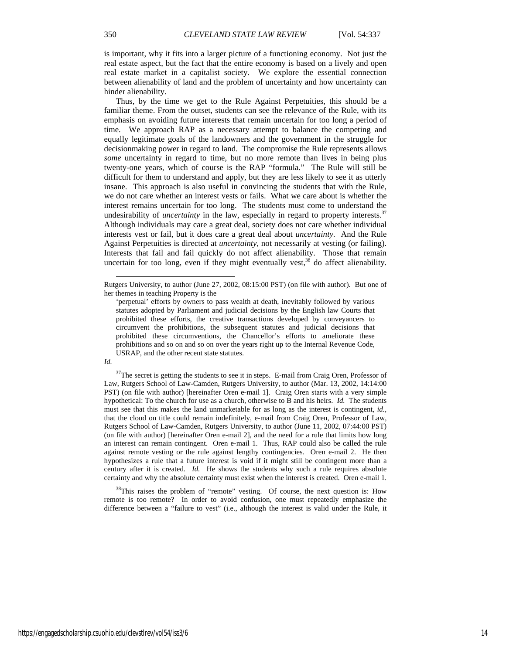is important, why it fits into a larger picture of a functioning economy. Not just the real estate aspect, but the fact that the entire economy is based on a lively and open real estate market in a capitalist society. We explore the essential connection between alienability of land and the problem of uncertainty and how uncertainty can hinder alienability.

Thus, by the time we get to the Rule Against Perpetuities, this should be a familiar theme. From the outset, students can see the relevance of the Rule, with its emphasis on avoiding future interests that remain uncertain for too long a period of time. We approach RAP as a necessary attempt to balance the competing and equally legitimate goals of the landowners and the government in the struggle for decisionmaking power in regard to land. The compromise the Rule represents allows *some* uncertainty in regard to time, but no more remote than lives in being plus twenty-one years, which of course is the RAP "formula." The Rule will still be difficult for them to understand and apply, but they are less likely to see it as utterly insane. This approach is also useful in convincing the students that with the Rule, we do not care whether an interest vests or fails. What we care about is whether the interest remains uncertain for too long. The students must come to understand the undesirability of *uncertainty* in the law, especially in regard to property interests.<sup>37</sup> Although individuals may care a great deal, society does not care whether individual interests vest or fail, but it does care a great deal about *uncertainty*. And the Rule Against Perpetuities is directed at *uncertainty*, not necessarily at vesting (or failing). Interests that fail and fail quickly do not affect alienability. Those that remain uncertain for too long, even if they might eventually vest, $38$  do affect alienability.

<sup>&#</sup>x27;perpetual' efforts by owners to pass wealth at death, inevitably followed by various statutes adopted by Parliament and judicial decisions by the English law Courts that prohibited these efforts, the creative transactions developed by conveyancers to circumvent the prohibitions, the subsequent statutes and judicial decisions that prohibited these circumventions, the Chancellor's efforts to ameliorate these prohibitions and so on and so on over the years right up to the Internal Revenue Code, USRAP, and the other recent state statutes.



l

<sup>38</sup>This raises the problem of "remote" vesting. Of course, the next question is: How remote is too remote? In order to avoid confusion, one must repeatedly emphasize the difference between a "failure to vest" (i.e., although the interest is valid under the Rule, it

Rutgers University, to author (June 27, 2002, 08:15:00 PST) (on file with author). But one of her themes in teaching Property is the

<sup>&</sup>lt;sup>37</sup>The secret is getting the students to see it in steps. E-mail from Craig Oren, Professor of Law, Rutgers School of Law-Camden, Rutgers University, to author (Mar. 13, 2002, 14:14:00 PST) (on file with author) [hereinafter Oren e-mail 1]. Craig Oren starts with a very simple hypothetical: To the church for use as a church, otherwise to B and his heirs. *Id.* The students must see that this makes the land unmarketable for as long as the interest is contingent, *id.,*  that the cloud on title could remain indefinitely, e-mail from Craig Oren, Professor of Law, Rutgers School of Law-Camden, Rutgers University, to author (June 11, 2002, 07:44:00 PST) (on file with author) [hereinafter Oren e-mail 2], and the need for a rule that limits how long an interest can remain contingent. Oren e-mail 1. Thus, RAP could also be called the rule against remote vesting or the rule against lengthy contingencies. Oren e-mail 2. He then hypothesizes a rule that a future interest is void if it might still be contingent more than a century after it is created. *Id.* He shows the students why such a rule requires absolute certainty and why the absolute certainty must exist when the interest is created. Oren e-mail 1.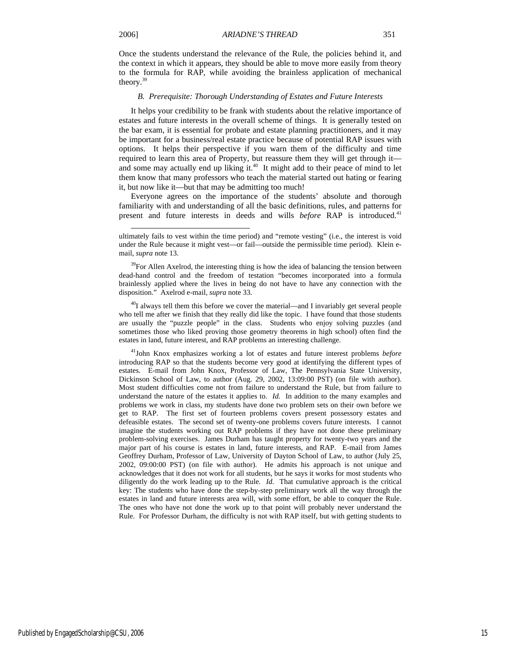l

Once the students understand the relevance of the Rule, the policies behind it, and the context in which it appears, they should be able to move more easily from theory to the formula for RAP, while avoiding the brainless application of mechanical theory.39

#### *B. Prerequisite: Thorough Understanding of Estates and Future Interests*

It helps your credibility to be frank with students about the relative importance of estates and future interests in the overall scheme of things. It is generally tested on the bar exam, it is essential for probate and estate planning practitioners, and it may be important for a business/real estate practice because of potential RAP issues with options. It helps their perspective if you warn them of the difficulty and time required to learn this area of Property, but reassure them they will get through it and some may actually end up liking it.<sup>40</sup> It might add to their peace of mind to let them know that many professors who teach the material started out hating or fearing it, but now like it—but that may be admitting too much!

Everyone agrees on the importance of the students' absolute and thorough familiarity with and understanding of all the basic definitions, rules, and patterns for present and future interests in deeds and wills *before* RAP is introduced.41

<sup>40</sup>I always tell them this before we cover the material—and I invariably get several people who tell me after we finish that they really did like the topic. I have found that those students are usually the "puzzle people" in the class. Students who enjoy solving puzzles (and sometimes those who liked proving those geometry theorems in high school) often find the estates in land, future interest, and RAP problems an interesting challenge.

41John Knox emphasizes working a lot of estates and future interest problems *before*  introducing RAP so that the students become very good at identifying the different types of estates. E-mail from John Knox, Professor of Law, The Pennsylvania State University, Dickinson School of Law, to author (Aug. 29, 2002, 13:09:00 PST) (on file with author). Most student difficulties come not from failure to understand the Rule, but from failure to understand the nature of the estates it applies to. *Id.* In addition to the many examples and problems we work in class, my students have done two problem sets on their own before we get to RAP. The first set of fourteen problems covers present possessory estates and defeasible estates. The second set of twenty-one problems covers future interests. I cannot imagine the students working out RAP problems if they have not done these preliminary problem-solving exercises. James Durham has taught property for twenty-two years and the major part of his course is estates in land, future interests, and RAP. E-mail from James Geoffrey Durham, Professor of Law, University of Dayton School of Law, to author (July 25, 2002, 09:00:00 PST) (on file with author). He admits his approach is not unique and acknowledges that it does not work for all students, but he says it works for most students who diligently do the work leading up to the Rule*. Id.* That cumulative approach is the critical key: The students who have done the step-by-step preliminary work all the way through the estates in land and future interests area will, with some effort, be able to conquer the Rule. The ones who have not done the work up to that point will probably never understand the Rule. For Professor Durham, the difficulty is not with RAP itself, but with getting students to

ultimately fails to vest within the time period) and "remote vesting" (i.e., the interest is void under the Rule because it might vest—or fail—outside the permissible time period). Klein email, *supra* note 13.

 $39$ For Allen Axelrod, the interesting thing is how the idea of balancing the tension between dead-hand control and the freedom of testation "becomes incorporated into a formula brainlessly applied where the lives in being do not have to have any connection with the disposition." Axelrod e-mail, *supra* note 33.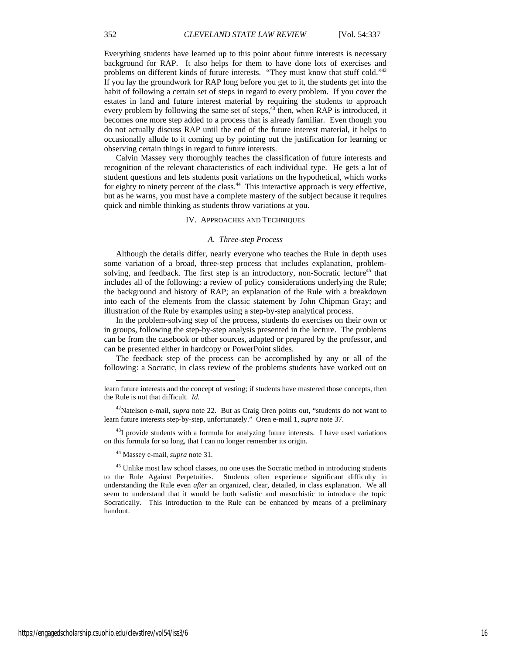Everything students have learned up to this point about future interests is necessary background for RAP. It also helps for them to have done lots of exercises and problems on different kinds of future interests. "They must know that stuff cold."<sup>42</sup> If you lay the groundwork for RAP long before you get to it, the students get into the habit of following a certain set of steps in regard to every problem. If you cover the estates in land and future interest material by requiring the students to approach every problem by following the same set of steps, $43$  then, when RAP is introduced, it becomes one more step added to a process that is already familiar. Even though you do not actually discuss RAP until the end of the future interest material, it helps to occasionally allude to it coming up by pointing out the justification for learning or observing certain things in regard to future interests.

Calvin Massey very thoroughly teaches the classification of future interests and recognition of the relevant characteristics of each individual type. He gets a lot of student questions and lets students posit variations on the hypothetical, which works for eighty to ninety percent of the class.<sup>44</sup> This interactive approach is very effective, but as he warns, you must have a complete mastery of the subject because it requires quick and nimble thinking as students throw variations at you.

#### IV. APPROACHES AND TECHNIQUES

#### *A. Three-step Process*

Although the details differ, nearly everyone who teaches the Rule in depth uses some variation of a broad, three-step process that includes explanation, problemsolving, and feedback. The first step is an introductory, non-Socratic lecture<sup>45</sup> that includes all of the following: a review of policy considerations underlying the Rule; the background and history of RAP; an explanation of the Rule with a breakdown into each of the elements from the classic statement by John Chipman Gray; and illustration of the Rule by examples using a step-by-step analytical process.

In the problem-solving step of the process, students do exercises on their own or in groups, following the step-by-step analysis presented in the lecture. The problems can be from the casebook or other sources, adapted or prepared by the professor, and can be presented either in hardcopy or PowerPoint slides.

The feedback step of the process can be accomplished by any or all of the following: a Socratic, in class review of the problems students have worked out on

<sup>43</sup>I provide students with a formula for analyzing future interests. I have used variations on this formula for so long, that I can no longer remember its origin.

44 Massey e-mail, *supra* note 31.

l

<sup>45</sup> Unlike most law school classes, no one uses the Socratic method in introducing students to the Rule Against Perpetuities. Students often experience significant difficulty in understanding the Rule even *after* an organized, clear, detailed, in class explanation. We all seem to understand that it would be both sadistic and masochistic to introduce the topic Socratically. This introduction to the Rule can be enhanced by means of a preliminary handout.

learn future interests and the concept of vesting; if students have mastered those concepts, then the Rule is not that difficult. *Id.*

<sup>42</sup>Natelson e-mail, *supra* note 22. But as Craig Oren points out, "students do not want to learn future interests step-by-step, unfortunately." Oren e-mail 1, *supra* note 37.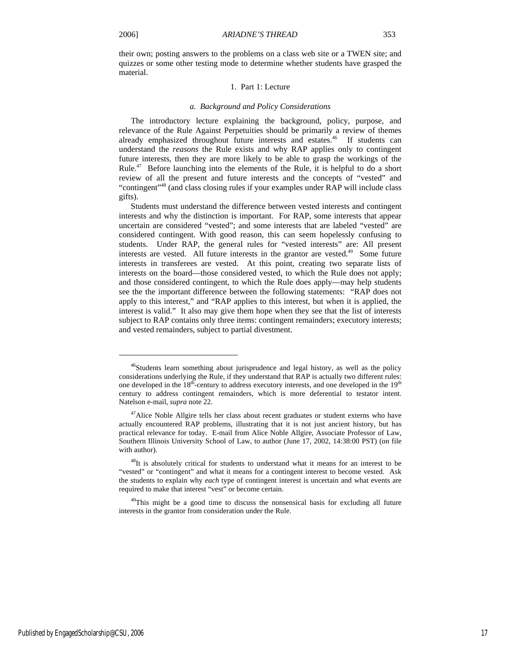j

their own; posting answers to the problems on a class web site or a TWEN site; and quizzes or some other testing mode to determine whether students have grasped the material.

### 1. Part 1: Lecture

#### *a. Background and Policy Considerations*

The introductory lecture explaining the background, policy, purpose, and relevance of the Rule Against Perpetuities should be primarily a review of themes already emphasized throughout future interests and estates.<sup>46</sup> If students can understand the *reasons* the Rule exists and why RAP applies only to contingent future interests, then they are more likely to be able to grasp the workings of the Rule.<sup>47</sup> Before launching into the elements of the Rule, it is helpful to do a short review of all the present and future interests and the concepts of "vested" and "contingent"48 (and class closing rules if your examples under RAP will include class gifts).

Students must understand the difference between vested interests and contingent interests and why the distinction is important. For RAP, some interests that appear uncertain are considered "vested"; and some interests that are labeled "vested" are considered contingent. With good reason, this can seem hopelessly confusing to students. Under RAP, the general rules for "vested interests" are: All present interests are vested. All future interests in the grantor are vested.<sup>49</sup> Some future interests in transferees are vested. At this point, creating two separate lists of interests on the board—those considered vested, to which the Rule does not apply; and those considered contingent, to which the Rule does apply—may help students see the the important difference between the following statements: "RAP does not apply to this interest," and "RAP applies to this interest, but when it is applied, the interest is valid." It also may give them hope when they see that the list of interests subject to RAP contains only three items: contingent remainders; executory interests; and vested remainders, subject to partial divestment.

<sup>&</sup>lt;sup>46</sup>Students learn something about jurisprudence and legal history, as well as the policy considerations underlying the Rule, if they understand that RAP is actually two different rules: one developed in the  $18<sup>th</sup>$ -century to address executory interests, and one developed in the  $19<sup>th</sup>$ century to address contingent remainders, which is more deferential to testator intent. Natelson e-mail, *supra* note 22.

<sup>&</sup>lt;sup>47</sup>Alice Noble Allgire tells her class about recent graduates or student externs who have actually encountered RAP problems, illustrating that it is not just ancient history, but has practical relevance for today. E-mail from Alice Noble Allgire, Associate Professor of Law, Southern Illinois University School of Law, to author (June 17, 2002, 14:38:00 PST) (on file with author).

<sup>&</sup>lt;sup>48</sup>It is absolutely critical for students to understand what it means for an interest to be "vested" or "contingent" and what it means for a contingent interest to become vested. Ask the students to explain why *each* type of contingent interest is uncertain and what events are required to make that interest "vest" or become certain.

<sup>&</sup>lt;sup>49</sup>This might be a good time to discuss the nonsensical basis for excluding all future interests in the grantor from consideration under the Rule.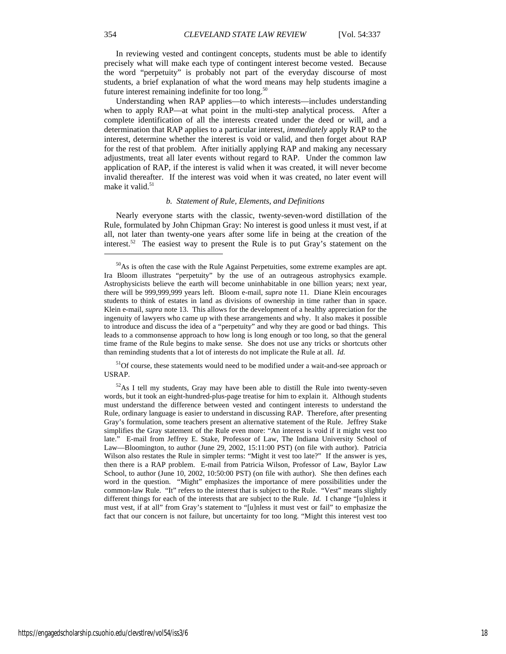In reviewing vested and contingent concepts, students must be able to identify precisely what will make each type of contingent interest become vested. Because the word "perpetuity" is probably not part of the everyday discourse of most students, a brief explanation of what the word means may help students imagine a future interest remaining indefinite for too long.<sup>50</sup>

Understanding when RAP applies—to which interests—includes understanding when to apply RAP—at what point in the multi-step analytical process. After a complete identification of all the interests created under the deed or will, and a determination that RAP applies to a particular interest, *immediately* apply RAP to the interest, determine whether the interest is void or valid, and then forget about RAP for the rest of that problem. After initially applying RAP and making any necessary adjustments, treat all later events without regard to RAP. Under the common law application of RAP, if the interest is valid when it was created, it will never become invalid thereafter. If the interest was void when it was created, no later event will make it valid.<sup>51</sup>

#### *b. Statement of Rule, Elements, and Definitions*

Nearly everyone starts with the classic, twenty-seven-word distillation of the Rule, formulated by John Chipman Gray: No interest is good unless it must vest, if at all, not later than twenty-one years after some life in being at the creation of the interest.<sup>52</sup> The easiest way to present the Rule is to put Gray's statement on the

<sup>51</sup>Of course, these statements would need to be modified under a wait-and-see approach or USRAP.

<sup>&</sup>lt;sup>50</sup>As is often the case with the Rule Against Perpetuities, some extreme examples are apt. Ira Bloom illustrates "perpetuity" by the use of an outrageous astrophysics example. Astrophysicists believe the earth will become uninhabitable in one billion years; next year, there will be 999,999,999 years left. Bloom e-mail, *supra* note 11. Diane Klein encourages students to think of estates in land as divisions of ownership in time rather than in space. Klein e-mail, *supra* note 13. This allows for the development of a healthy appreciation for the ingenuity of lawyers who came up with these arrangements and why. It also makes it possible to introduce and discuss the idea of a "perpetuity" and why they are good or bad things. This leads to a commonsense approach to how long is long enough or too long, so that the general time frame of the Rule begins to make sense. She does not use any tricks or shortcuts other than reminding students that a lot of interests do not implicate the Rule at all. *Id.*

 $52$ As I tell my students, Gray may have been able to distill the Rule into twenty-seven words, but it took an eight-hundred-plus-page treatise for him to explain it. Although students must understand the difference between vested and contingent interests to understand the Rule, ordinary language is easier to understand in discussing RAP. Therefore, after presenting Gray's formulation, some teachers present an alternative statement of the Rule. Jeffrey Stake simplifies the Gray statement of the Rule even more: "An interest is void if it might vest too late." E-mail from Jeffrey E. Stake, Professor of Law, The Indiana University School of Law—Bloomington, to author (June 29, 2002, 15:11:00 PST) (on file with author). Patricia Wilson also restates the Rule in simpler terms: "Might it vest too late?" If the answer is yes, then there is a RAP problem. E-mail from Patricia Wilson, Professor of Law, Baylor Law School, to author (June 10, 2002, 10:50:00 PST) (on file with author). She then defines each word in the question. "Might" emphasizes the importance of mere possibilities under the common-law Rule. "It" refers to the interest that is subject to the Rule. "Vest" means slightly different things for each of the interests that are subject to the Rule. *Id.* I change "[u]nless it must vest, if at all" from Gray's statement to "[u]nless it must vest or fail" to emphasize the fact that our concern is not failure, but uncertainty for too long. "Might this interest vest too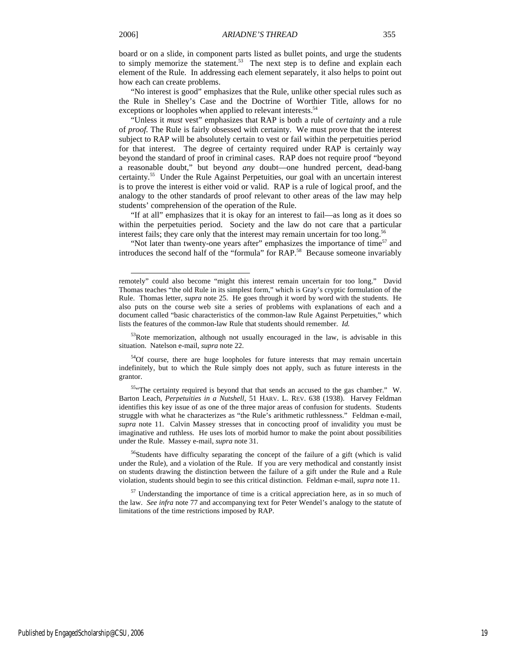board or on a slide, in component parts listed as bullet points, and urge the students to simply memorize the statement.<sup>53</sup> The next step is to define and explain each element of the Rule. In addressing each element separately, it also helps to point out how each can create problems.

"No interest is good" emphasizes that the Rule, unlike other special rules such as the Rule in Shelley's Case and the Doctrine of Worthier Title, allows for no exceptions or loopholes when applied to relevant interests.<sup>54</sup>

"Unless it *must* vest" emphasizes that RAP is both a rule of *certainty* and a rule of *proof.* The Rule is fairly obsessed with certainty. We must prove that the interest subject to RAP will be absolutely certain to vest or fail within the perpetuities period for that interest. The degree of certainty required under RAP is certainly way beyond the standard of proof in criminal cases. RAP does not require proof "beyond a reasonable doubt," but beyond *any* doubt—one hundred percent, dead-bang certainty.55 Under the Rule Against Perpetuities, our goal with an uncertain interest is to prove the interest is either void or valid. RAP is a rule of logical proof, and the analogy to the other standards of proof relevant to other areas of the law may help students' comprehension of the operation of the Rule.

"If at all" emphasizes that it is okay for an interest to fail—as long as it does so within the perpetuities period. Society and the law do not care that a particular interest fails; they care only that the interest may remain uncertain for too long.<sup>56</sup>

"Not later than twenty-one years after" emphasizes the importance of time<sup>57</sup> and introduces the second half of the "formula" for RAP.<sup>58</sup> Because someone invariably

remotely" could also become "might this interest remain uncertain for too long." David Thomas teaches "the old Rule in its simplest form," which is Gray's cryptic formulation of the Rule. Thomas letter, *supra* note 25. He goes through it word by word with the students. He also puts on the course web site a series of problems with explanations of each and a document called "basic characteristics of the common-law Rule Against Perpetuities," which lists the features of the common-law Rule that students should remember. *Id.*

<sup>&</sup>lt;sup>53</sup>Rote memorization, although not usually encouraged in the law, is advisable in this situation. Natelson e-mail, *supra* note 22.

<sup>&</sup>lt;sup>54</sup>Of course, there are huge loopholes for future interests that may remain uncertain indefinitely, but to which the Rule simply does not apply, such as future interests in the grantor.

<sup>55&</sup>quot;The certainty required is beyond that that sends an accused to the gas chamber." W. Barton Leach, *Perpetuities in a Nutshell*, 51 HARV. L. REV. 638 (1938). Harvey Feldman identifies this key issue of as one of the three major areas of confusion for students. Students struggle with what he characterizes as "the Rule's arithmetic ruthlessness." Feldman e-mail, *supra* note 11. Calvin Massey stresses that in concocting proof of invalidity you must be imaginative and ruthless. He uses lots of morbid humor to make the point about possibilities under the Rule. Massey e-mail, *supra* note 31.

<sup>&</sup>lt;sup>56</sup>Students have difficulty separating the concept of the failure of a gift (which is valid under the Rule), and a violation of the Rule. If you are very methodical and constantly insist on students drawing the distinction between the failure of a gift under the Rule and a Rule violation, students should begin to see this critical distinction. Feldman e-mail, *supra* note 11.

 $57$  Understanding the importance of time is a critical appreciation here, as in so much of the law. *See infra* note 77 and accompanying text for Peter Wendel's analogy to the statute of limitations of the time restrictions imposed by RAP.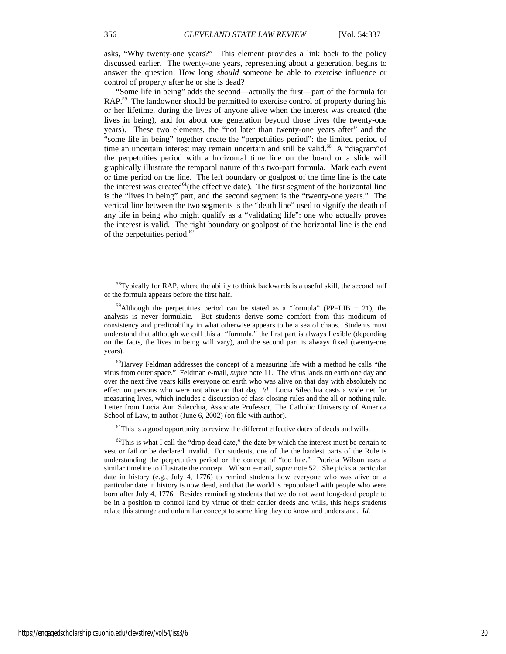asks, "Why twenty-one years?" This element provides a link back to the policy discussed earlier. The twenty-one years, representing about a generation, begins to answer the question: How long *should* someone be able to exercise influence or control of property after he or she is dead?

"Some life in being" adds the second—actually the first—part of the formula for RAP.<sup>59</sup> The landowner should be permitted to exercise control of property during his or her lifetime, during the lives of anyone alive when the interest was created (the lives in being), and for about one generation beyond those lives (the twenty-one years). These two elements, the "not later than twenty-one years after" and the "some life in being" together create the "perpetuities period": the limited period of time an uncertain interest may remain uncertain and still be valid.<sup>60</sup> A "diagram" of the perpetuities period with a horizontal time line on the board or a slide will graphically illustrate the temporal nature of this two-part formula. Mark each event or time period on the line. The left boundary or goalpost of the time line is the date the interest was created $^{61}$ (the effective date). The first segment of the horizontal line is the "lives in being" part, and the second segment is the "twenty-one years." The vertical line between the two segments is the "death line" used to signify the death of any life in being who might qualify as a "validating life": one who actually proves the interest is valid. The right boundary or goalpost of the horizontal line is the end of the perpetuities period. $62$ 

 $<sup>61</sup>$ This is a good opportunity to review the different effective dates of deeds and wills.</sup>

 $58$ Typically for RAP, where the ability to think backwards is a useful skill, the second half of the formula appears before the first half.

 $^{59}$ Although the perpetuities period can be stated as a "formula" (PP=LIB + 21), the analysis is never formulaic. But students derive some comfort from this modicum of consistency and predictability in what otherwise appears to be a sea of chaos. Students must understand that although we call this a "formula," the first part is always flexible (depending on the facts, the lives in being will vary), and the second part is always fixed (twenty-one years).

 $60$ Harvey Feldman addresses the concept of a measuring life with a method he calls "the virus from outer space." Feldman e-mail, *supra* note 11. The virus lands on earth one day and over the next five years kills everyone on earth who was alive on that day with absolutely no effect on persons who were not alive on that day. *Id.* Lucia Silecchia casts a wide net for measuring lives, which includes a discussion of class closing rules and the all or nothing rule. Letter from Lucia Ann Silecchia, Associate Professor, The Catholic University of America School of Law, to author (June 6, 2002) (on file with author).

 $62$ This is what I call the "drop dead date," the date by which the interest must be certain to vest or fail or be declared invalid. For students, one of the the hardest parts of the Rule is understanding the perpetuities period or the concept of "too late." Patricia Wilson uses a similar timeline to illustrate the concept. Wilson e-mail, *supra* note 52. She picks a particular date in history (e.g., July 4, 1776) to remind students how everyone who was alive on a particular date in history is now dead, and that the world is repopulated with people who were born after July 4, 1776. Besides reminding students that we do not want long-dead people to be in a position to control land by virtue of their earlier deeds and wills, this helps students relate this strange and unfamiliar concept to something they do know and understand. *Id.*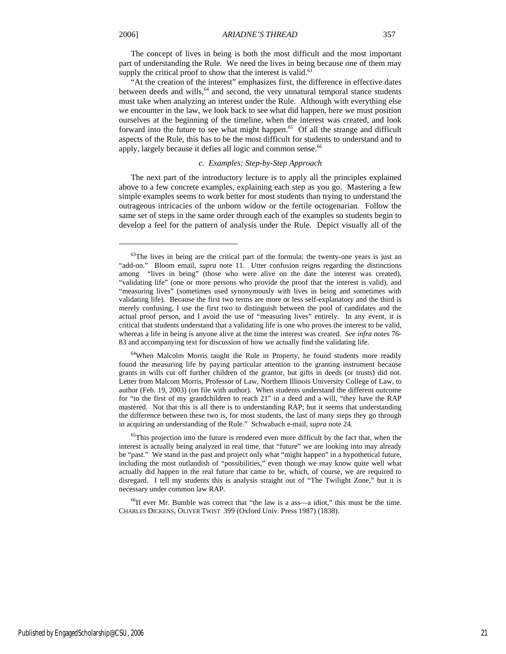The concept of lives in being is both the most difficult and the most important part of understanding the Rule. We need the lives in being because one of them may supply the critical proof to show that the interest is valid.<sup>63</sup>

"At the creation of the interest" emphasizes first, the difference in effective dates between deeds and wills, $64$  and second, the very unnatural temporal stance students must take when analyzing an interest under the Rule. Although with everything else we encounter in the law, we look back to see what did happen, here we must position ourselves at the beginning of the timeline, when the interest was created, and look forward into the future to see what might happen.<sup>65</sup> Of all the strange and difficult aspects of the Rule, this has to be the most difficult for students to understand and to apply, largely because it defies all logic and common sense.<sup>66</sup>

### *c. Examples: Step-by-Step Approach*

The next part of the introductory lecture is to apply all the principles explained above to a few concrete examples, explaining each step as you go. Mastering a few simple examples seems to work better for most students than trying to understand the outrageous intricacies of the unborn widow or the fertile octogenarian. Follow the same set of steps in the same order through each of the examples so students begin to develop a feel for the pattern of analysis under the Rule. Depict visually all of the

<sup>&</sup>lt;sup>63</sup>The lives in being are the critical part of the formula; the twenty-one years is just an "add-on." Bloom email, *supra* note 11. Utter confusion reigns regarding the distinctions among "lives in being" (those who were alive on the date the interest was created), "validating life" (one or more persons who provide the proof that the interest is valid), and "measuring lives" (sometimes used synonymously with lives in being and sometimes with validating life). Because the first two terms are more or less self-explanatory and the third is merely confusing, I use the first two to distinguish between the pool of candidates and the actual proof person, and I avoid the use of "measuring lives" entirely. In any event, it is critical that students understand that a validating life is one who proves the interest to be valid, whereas a life in being is anyone alive at the time the interest was created. *See infra* notes 76- 83 and accompanying text for discussion of how we actually find the validating life.

 $64$ When Malcolm Morris taught the Rule in Property, he found students more readily found the measuring life by paying particular attention to the granting instrument because grants in wills cut off further children of the grantor, but gifts in deeds (or trusts) did not. Letter from Malcom Morris, Professor of Law, Northern Illinois University College of Law, to author (Feb. 19, 2003) (on file with author). When students understand the different outcome for "to the first of my grandchildren to reach 21" in a deed and a will, "they have the RAP mastered. Not that this is all there is to understanding RAP; but it seems that understanding the difference between these two is, for most students, the last of many steps they go through in acquiring an understanding of the Rule." Schwabach e-mail, *supra* note 24.

 $<sup>65</sup>$ This projection into the future is rendered even more difficult by the fact that, when the</sup> interest is actually being analyzed in real time, that "future" we are looking into may already be "past." We stand in the past and project only what "might happen" in a hypothetical future, including the most outlandish of "possibilities," even though we may know quite well what actually did happen in the real future that came to be, which, of course, we are required to disregard. I tell my students this is analysis straight out of "The Twilight Zone," but it is necessary under common law RAP.

 $^{66}$ If ever Mr. Bumble was correct that "the law is a ass—a idiot," this must be the time. CHARLES DICKENS, OLIVER TWIST 399 (Oxford Univ. Press 1987) (1838).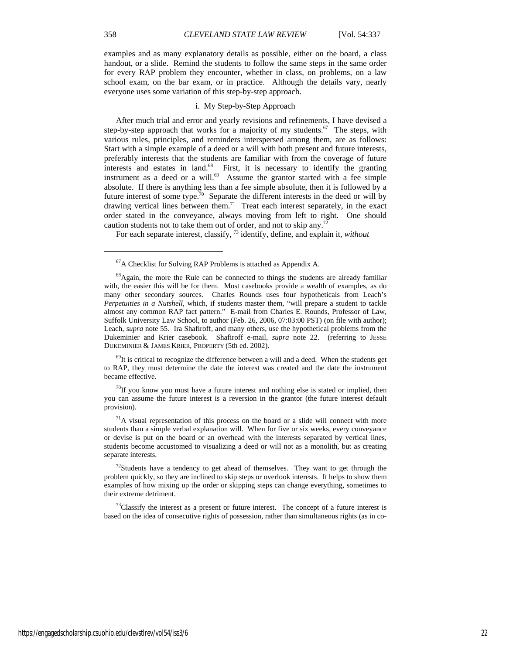examples and as many explanatory details as possible, either on the board, a class handout, or a slide. Remind the students to follow the same steps in the same order for every RAP problem they encounter, whether in class, on problems, on a law school exam, on the bar exam, or in practice. Although the details vary, nearly everyone uses some variation of this step-by-step approach.

#### i. My Step-by-Step Approach

After much trial and error and yearly revisions and refinements, I have devised a step-by-step approach that works for a majority of my students.<sup>67</sup> The steps, with various rules, principles, and reminders interspersed among them, are as follows: Start with a simple example of a deed or a will with both present and future interests, preferably interests that the students are familiar with from the coverage of future interests and estates in land.<sup>68</sup> First, it is necessary to identify the granting instrument as a deed or a will.<sup>69</sup> Assume the grantor started with a fee simple absolute. If there is anything less than a fee simple absolute, then it is followed by a future interest of some type.<sup>70</sup> Separate the different interests in the deed or will by drawing vertical lines between them.<sup>71</sup> Treat each interest separately, in the exact order stated in the conveyance, always moving from left to right. One should caution students not to take them out of order, and not to skip any.<sup>72</sup>

For each separate interest, classify, 73 identify, define, and explain it, *without* 

 $69$ It is critical to recognize the difference between a will and a deed. When the students get to RAP, they must determine the date the interest was created and the date the instrument became effective.

 $70$ If you know you must have a future interest and nothing else is stated or implied, then you can assume the future interest is a reversion in the grantor (the future interest default provision).

 $<sup>71</sup>A$  visual representation of this process on the board or a slide will connect with more</sup> students than a simple verbal explanation will. When for five or six weeks, every conveyance or devise is put on the board or an overhead with the interests separated by vertical lines, students become accustomed to visualizing a deed or will not as a monolith, but as creating separate interests.

 $72$ Students have a tendency to get ahead of themselves. They want to get through the problem quickly, so they are inclined to skip steps or overlook interests. It helps to show them examples of how mixing up the order or skipping steps can change everything, sometimes to their extreme detriment.

 $<sup>73</sup>$ Classify the interest as a present or future interest. The concept of a future interest is</sup> based on the idea of consecutive rights of possession, rather than simultaneous rights (as in co-

<sup>67</sup>A Checklist for Solving RAP Problems is attached as Appendix A.

<sup>&</sup>lt;sup>68</sup>Again, the more the Rule can be connected to things the students are already familiar with, the easier this will be for them. Most casebooks provide a wealth of examples, as do many other secondary sources. Charles Rounds uses four hypotheticals from Leach's *Perpetuities in a Nutshell*, which, if students master them, "will prepare a student to tackle almost any common RAP fact pattern." E-mail from Charles E. Rounds, Professor of Law, Suffolk University Law School, to author (Feb. 26, 2006, 07:03:00 PST) (on file with author); Leach, *supra* note 55. Ira Shafiroff, and many others, use the hypothetical problems from the Dukeminier and Krier casebook. Shafiroff e-mail, *supra* note 22. (referring to JESSE DUKEMINIER & JAMES KRIER, PROPERTY (5th ed. 2002).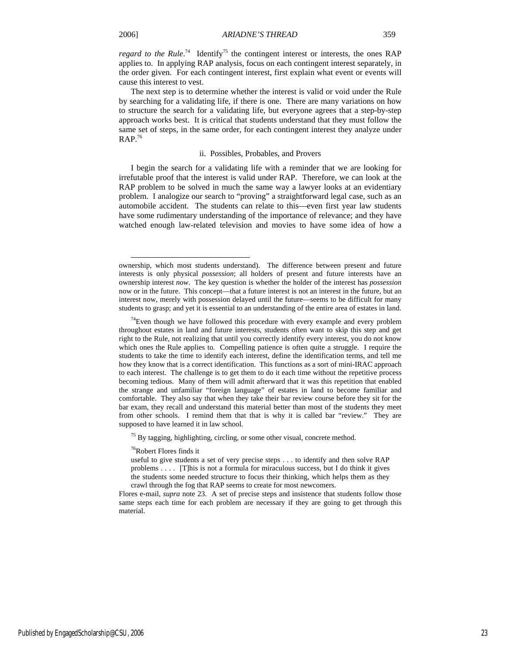l

*regard to the Rule*.<sup>74</sup> Identify<sup>75</sup> the contingent interest or interests, the ones RAP applies to. In applying RAP analysis, focus on each contingent interest separately, in the order given. For each contingent interest, first explain what event or events will cause this interest to vest.

The next step is to determine whether the interest is valid or void under the Rule by searching for a validating life, if there is one. There are many variations on how to structure the search for a validating life, but everyone agrees that a step-by-step approach works best. It is critical that students understand that they must follow the same set of steps, in the same order, for each contingent interest they analyze under  $RAP.^{76}$ 

#### ii. Possibles, Probables, and Provers

I begin the search for a validating life with a reminder that we are looking for irrefutable proof that the interest is valid under RAP. Therefore, we can look at the RAP problem to be solved in much the same way a lawyer looks at an evidentiary problem. I analogize our search to "proving" a straightforward legal case, such as an automobile accident. The students can relate to this—even first year law students have some rudimentary understanding of the importance of relevance; and they have watched enough law-related television and movies to have some idea of how a

<sup>75</sup> By tagging, highlighting, circling, or some other visual, concrete method.

76Robert Flores finds it

ownership, which most students understand). The difference between present and future interests is only physical *possession*; all holders of present and future interests have an ownership interest *now*. The key question is whether the holder of the interest has *possession*  now or in the future. This concept—that a future interest is not an interest in the future, but an interest now, merely with possession delayed until the future—seems to be difficult for many students to grasp; and yet it is essential to an understanding of the entire area of estates in land.

 $74$ Even though we have followed this procedure with every example and every problem throughout estates in land and future interests, students often want to skip this step and get right to the Rule, not realizing that until you correctly identify every interest, you do not know which ones the Rule applies to. Compelling patience is often quite a struggle. I require the students to take the time to identify each interest, define the identification terms, and tell me how they know that is a correct identification. This functions as a sort of mini-IRAC approach to each interest. The challenge is to get them to do it each time without the repetitive process becoming tedious. Many of them will admit afterward that it was this repetition that enabled the strange and unfamiliar "foreign language" of estates in land to become familiar and comfortable. They also say that when they take their bar review course before they sit for the bar exam, they recall and understand this material better than most of the students they meet from other schools. I remind them that that is why it is called bar "review." They are supposed to have learned it in law school.

useful to give students a set of very precise steps . . . to identify and then solve RAP problems . . . . [T]his is not a formula for miraculous success, but I do think it gives the students some needed structure to focus their thinking, which helps them as they crawl through the fog that RAP seems to create for most newcomers.

Flores e-mail, *supra* note 23. A set of precise steps and insistence that students follow those same steps each time for each problem are necessary if they are going to get through this material.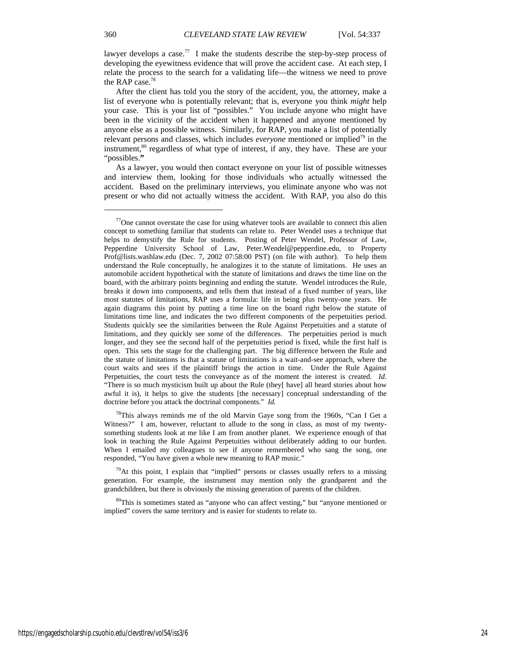lawyer develops a case.<sup>77</sup> I make the students describe the step-by-step process of developing the eyewitness evidence that will prove the accident case. At each step, I relate the process to the search for a validating life—the witness we need to prove the RAP case.<sup>78</sup>

After the client has told you the story of the accident, you, the attorney, make a list of everyone who is potentially relevant; that is, everyone you think *might* help your case. This is your list of "possibles."You include anyone who might have been in the vicinity of the accident when it happened and anyone mentioned by anyone else as a possible witness. Similarly, for RAP, you make a list of potentially relevant persons and classes, which includes *everyone* mentioned or implied<sup>79</sup> in the instrument,<sup>80</sup> regardless of what type of interest, if any, they have. These are your "possibles.**"** 

As a lawyer, you would then contact everyone on your list of possible witnesses and interview them, looking for those individuals who actually witnessed the accident. Based on the preliminary interviews, you eliminate anyone who was not present or who did not actually witness the accident. With RAP, you also do this

<sup>78</sup>This always reminds me of the old Marvin Gaye song from the 1960s, "Can I Get a Witness?" I am, however, reluctant to allude to the song in class, as most of my twentysomething students look at me like I am from another planet. We experience enough of that look in teaching the Rule Against Perpetuities without deliberately adding to our burden. When I emailed my colleagues to see if anyone remembered who sang the song, one responded, "You have given a whole new meaning to RAP music."

 $79$ At this point, I explain that "implied" persons or classes usually refers to a missing generation. For example, the instrument may mention only the grandparent and the grandchildren, but there is obviously the missing generation of parents of the children.

<sup>80</sup>This is sometimes stated as "anyone who can affect vesting," but "anyone mentioned or implied" covers the same territory and is easier for students to relate to.

 $77$ One cannot overstate the case for using whatever tools are available to connect this alien concept to something familiar that students can relate to. Peter Wendel uses a technique that helps to demystify the Rule for students. Posting of Peter Wendel, Professor of Law, Pepperdine University School of Law, Peter.Wendel@pepperdine.edu, to Property Prof@lists.washlaw.edu (Dec. 7, 2002 07:58:00 PST) (on file with author). To help them understand the Rule conceptually, he analogizes it to the statute of limitations. He uses an automobile accident hypothetical with the statute of limitations and draws the time line on the board, with the arbitrary points beginning and ending the statute. Wendel introduces the Rule, breaks it down into components, and tells them that instead of a fixed number of years, like most statutes of limitations, RAP uses a formula: life in being plus twenty-one years. He again diagrams this point by putting a time line on the board right below the statute of limitations time line, and indicates the two different components of the perpetuities period. Students quickly see the similarities between the Rule Against Perpetuities and a statute of limitations, and they quickly see some of the differences. The perpetuities period is much longer, and they see the second half of the perpetuities period is fixed, while the first half is open. This sets the stage for the challenging part. The big difference between the Rule and the statute of limitations is that a statute of limitations is a wait-and-see approach, where the court waits and sees if the plaintiff brings the action in time. Under the Rule Against Perpetuities, the court tests the conveyance as of the moment the interest is created. *Id.* "There is so much mysticism built up about the Rule (they[ have] all heard stories about how awful it is), it helps to give the students [the necessary] conceptual understanding of the doctrine before you attack the doctrinal components." *Id.*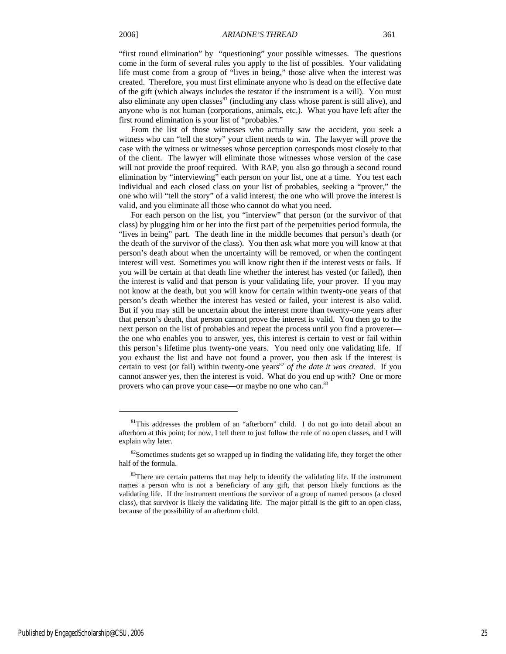"first round elimination" by "questioning" your possible witnesses. The questions come in the form of several rules you apply to the list of possibles. Your validating life must come from a group of "lives in being," those alive when the interest was created. Therefore, you must first eliminate anyone who is dead on the effective date of the gift (which always includes the testator if the instrument is a will). You must also eliminate any open classes $^{81}$  (including any class whose parent is still alive), and anyone who is not human (corporations, animals, etc.). What you have left after the first round elimination is your list of "probables."

From the list of those witnesses who actually saw the accident, you seek a witness who can "tell the story" your client needs to win. The lawyer will prove the case with the witness or witnesses whose perception corresponds most closely to that of the client. The lawyer will eliminate those witnesses whose version of the case will not provide the proof required. With RAP, you also go through a second round elimination by "interviewing" each person on your list, one at a time. You test each individual and each closed class on your list of probables, seeking a "prover," the one who will "tell the story" of a valid interest, the one who will prove the interest is valid, and you eliminate all those who cannot do what you need.

For each person on the list, you "interview" that person (or the survivor of that class) by plugging him or her into the first part of the perpetuities period formula, the "lives in being" part. The death line in the middle becomes that person's death (or the death of the survivor of the class). You then ask what more you will know at that person's death about when the uncertainty will be removed, or when the contingent interest will vest. Sometimes you will know right then if the interest vests or fails. If you will be certain at that death line whether the interest has vested (or failed), then the interest is valid and that person is your validating life, your prover. If you may not know at the death, but you will know for certain within twenty-one years of that person's death whether the interest has vested or failed, your interest is also valid. But if you may still be uncertain about the interest more than twenty-one years after that person's death, that person cannot prove the interest is valid. You then go to the next person on the list of probables and repeat the process until you find a proverer the one who enables you to answer, yes, this interest is certain to vest or fail within this person's lifetime plus twenty-one years. You need only one validating life. If you exhaust the list and have not found a prover, you then ask if the interest is certain to vest (or fail) within twenty-one years<sup>82</sup> of the date it was created. If you cannot answer yes, then the interest is void. What do you end up with? One or more provers who can prove your case—or maybe no one who can.<sup>83</sup>

1

<sup>&</sup>lt;sup>81</sup>This addresses the problem of an "afterborn" child. I do not go into detail about an afterborn at this point; for now, I tell them to just follow the rule of no open classes, and I will explain why later.

 $82$ Sometimes students get so wrapped up in finding the validating life, they forget the other half of the formula.

 $83$ There are certain patterns that may help to identify the validating life. If the instrument names a person who is not a beneficiary of any gift, that person likely functions as the validating life. If the instrument mentions the survivor of a group of named persons (a closed class), that survivor is likely the validating life. The major pitfall is the gift to an open class, because of the possibility of an afterborn child.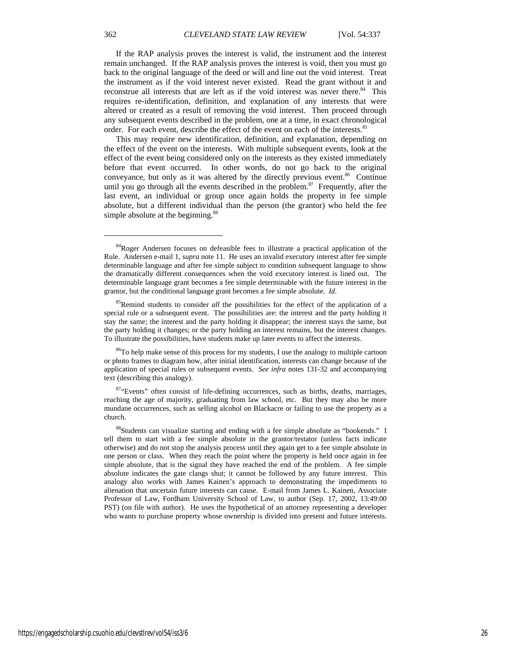If the RAP analysis proves the interest is valid, the instrument and the interest remain unchanged. If the RAP analysis proves the interest is void, then you must go back to the original language of the deed or will and line out the void interest. Treat the instrument as if the void interest never existed. Read the grant without it and reconstrue all interests that are left as if the void interest was never there.<sup>84</sup> This requires re-identification, definition, and explanation of any interests that were altered or created as a result of removing the void interest. Then proceed through any subsequent events described in the problem, one at a time, in exact chronological order. For each event, describe the effect of the event on each of the interests.<sup>85</sup>

This may require new identification, definition, and explanation, depending on the effect of the event on the interests. With multiple subsequent events, look at the effect of the event being considered only on the interests as they existed immediately before that event occurred. In other words, do not go back to the original conveyance, but only as it was altered by the directly previous event.<sup>86</sup> Continue until you go through all the events described in the problem.<sup>87</sup> Frequently, after the last event, an individual or group once again holds the property in fee simple absolute, but a different individual than the person (the grantor) who held the fee simple absolute at the beginning.<sup>88</sup>

1

<sup>&</sup>lt;sup>84</sup>Roger Andersen focuses on defeasible fees to illustrate a practical application of the Rule. Andersen e-mail 1, *supra* note 11. He uses an invalid executory interest after fee simple determinable language and after fee simple subject to condition subsequent language to show the dramatically different consequences when the void executory interest is lined out. The determinable language grant becomes a fee simple determinable with the future interest in the grantor, but the conditional language grant becomes a fee simple absolute. *Id*.

<sup>85</sup>Remind students to consider *all* the possibilities for the effect of the application of a special rule or a subsequent event. The possibilities are: the interest and the party holding it stay the same; the interest and the party holding it disappear; the interest stays the same, but the party holding it changes; or the party holding an interest remains, but the interest changes. To illustrate the possibilities, have students make up later events to affect the interests.

<sup>&</sup>lt;sup>86</sup>To help make sense of this process for my students, I use the analogy to multiple cartoon or photo frames to diagram how, after initial identification, interests can change because of the application of special rules or subsequent events. *See infra* notes 131-32 and accompanying text (describing this analogy).

<sup>87&</sup>quot;Events" often consist of life-defining occurrences, such as births, deaths, marriages, reaching the age of majority, graduating from law school, etc. But they may also be more mundane occurrences, such as selling alcohol on Blackacre or failing to use the property as a church.

<sup>&</sup>lt;sup>88</sup>Students can visualize starting and ending with a fee simple absolute as "bookends." I tell them to start with a fee simple absolute in the grantor/testator (unless facts indicate otherwise) and do not stop the analysis process until they again get to a fee simple absolute in one person or class. When they reach the point where the property is held once again in fee simple absolute, that is the signal they have reached the end of the problem. A fee simple absolute indicates the gate clangs shut; it cannot be followed by any future interest. This analogy also works with James Kainen's approach to demonstrating the impediments to alienation that uncertain future interests can cause. E-mail from James L. Kainen, Associate Professor of Law, Fordham University School of Law, to author (Sep. 17, 2002, 13:49:00 PST) (on file with author). He uses the hypothetical of an attorney representing a developer who wants to purchase property whose ownership is divided into present and future interests.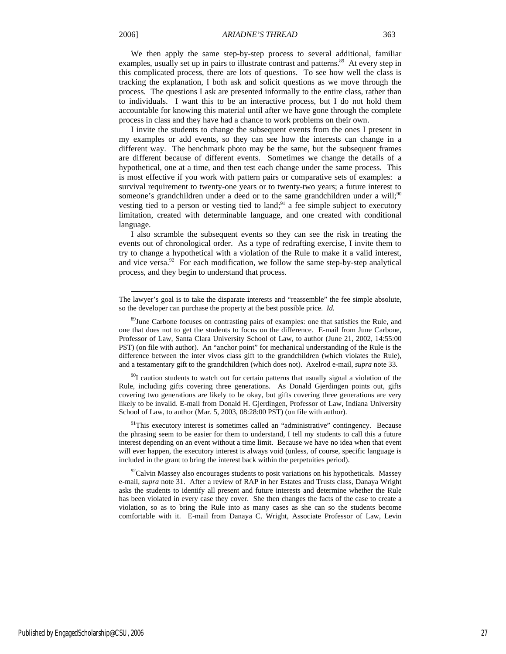l

We then apply the same step-by-step process to several additional, familiar examples, usually set up in pairs to illustrate contrast and patterns.<sup>89</sup> At every step in this complicated process, there are lots of questions. To see how well the class is tracking the explanation, I both ask and solicit questions as we move through the process. The questions I ask are presented informally to the entire class, rather than to individuals. I want this to be an interactive process, but I do not hold them accountable for knowing this material until after we have gone through the complete process in class and they have had a chance to work problems on their own.

I invite the students to change the subsequent events from the ones I present in my examples or add events, so they can see how the interests can change in a different way. The benchmark photo may be the same, but the subsequent frames are different because of different events. Sometimes we change the details of a hypothetical, one at a time, and then test each change under the same process. This is most effective if you work with pattern pairs or comparative sets of examples: a survival requirement to twenty-one years or to twenty-two years; a future interest to someone's grandchildren under a deed or to the same grandchildren under a will;<sup>90</sup> vesting tied to a person or vesting tied to land; $91$  a fee simple subject to executory limitation, created with determinable language, and one created with conditional language.

I also scramble the subsequent events so they can see the risk in treating the events out of chronological order. As a type of redrafting exercise, I invite them to try to change a hypothetical with a violation of the Rule to make it a valid interest, and vice versa. $92$  For each modification, we follow the same step-by-step analytical process, and they begin to understand that process.

<sup>90</sup>I caution students to watch out for certain patterns that usually signal a violation of the Rule, including gifts covering three generations. As Donald Gjerdingen points out, gifts covering two generations are likely to be okay, but gifts covering three generations are very likely to be invalid. E-mail from Donald H. Gjerdingen, Professor of Law, Indiana University School of Law, to author (Mar. 5, 2003, 08:28:00 PST) (on file with author).

<sup>91</sup>This executory interest is sometimes called an "administrative" contingency. Because the phrasing seem to be easier for them to understand, I tell my students to call this a future interest depending on an event without a time limit. Because we have no idea when that event will ever happen, the executory interest is always void (unless, of course, specific language is included in the grant to bring the interest back within the perpetuities period).

 $\frac{92}{2}$ Calvin Massey also encourages students to posit variations on his hypotheticals. Massey e-mail, *supra* note 31. After a review of RAP in her Estates and Trusts class, Danaya Wright asks the students to identify all present and future interests and determine whether the Rule has been violated in every case they cover. She then changes the facts of the case to create a violation, so as to bring the Rule into as many cases as she can so the students become comfortable with it. E-mail from Danaya C. Wright, Associate Professor of Law, Levin

The lawyer's goal is to take the disparate interests and "reassemble" the fee simple absolute, so the developer can purchase the property at the best possible price. *Id.*

<sup>&</sup>lt;sup>89</sup>June Carbone focuses on contrasting pairs of examples: one that satisfies the Rule, and one that does not to get the students to focus on the difference. E-mail from June Carbone, Professor of Law, Santa Clara University School of Law, to author (June 21, 2002, 14:55:00 PST) (on file with author). An "anchor point" for mechanical understanding of the Rule is the difference between the inter vivos class gift to the grandchildren (which violates the Rule), and a testamentary gift to the grandchildren (which does not). Axelrod e-mail, *supra* note 33.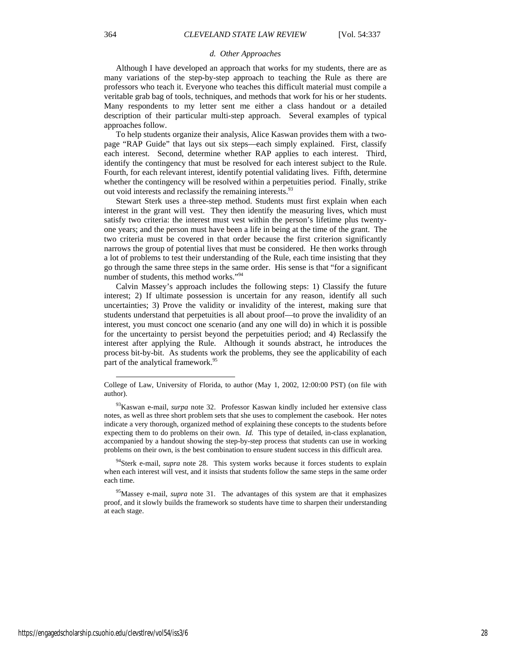#### *d. Other Approaches*

Although I have developed an approach that works for my students, there are as many variations of the step-by-step approach to teaching the Rule as there are professors who teach it. Everyone who teaches this difficult material must compile a veritable grab bag of tools, techniques, and methods that work for his or her students. Many respondents to my letter sent me either a class handout or a detailed description of their particular multi-step approach. Several examples of typical approaches follow.

To help students organize their analysis, Alice Kaswan provides them with a twopage "RAP Guide" that lays out six steps—each simply explained. First, classify each interest. Second, determine whether RAP applies to each interest. Third, identify the contingency that must be resolved for each interest subject to the Rule. Fourth, for each relevant interest, identify potential validating lives. Fifth, determine whether the contingency will be resolved within a perpetuities period. Finally, strike out void interests and reclassify the remaining interests.<sup>93</sup>

Stewart Sterk uses a three-step method. Students must first explain when each interest in the grant will vest. They then identify the measuring lives, which must satisfy two criteria: the interest must vest within the person's lifetime plus twentyone years; and the person must have been a life in being at the time of the grant. The two criteria must be covered in that order because the first criterion significantly narrows the group of potential lives that must be considered. He then works through a lot of problems to test their understanding of the Rule, each time insisting that they go through the same three steps in the same order. His sense is that "for a significant number of students, this method works."<sup>94</sup>

Calvin Massey's approach includes the following steps: 1) Classify the future interest; 2) If ultimate possession is uncertain for any reason, identify all such uncertainties; 3) Prove the validity or invalidity of the interest, making sure that students understand that perpetuities is all about proof—to prove the invalidity of an interest, you must concoct one scenario (and any one will do) in which it is possible for the uncertainty to persist beyond the perpetuities period; and 4) Reclassify the interest after applying the Rule. Although it sounds abstract, he introduces the process bit-by-bit. As students work the problems, they see the applicability of each part of the analytical framework.<sup>95</sup>

<sup>94</sup>Sterk e-mail, *supra* note 28. This system works because it forces students to explain when each interest will vest, and it insists that students follow the same steps in the same order each time.

College of Law, University of Florida, to author (May 1, 2002, 12:00:00 PST) (on file with author).

<sup>93</sup>Kaswan e-mail, *surpa* note 32. Professor Kaswan kindly included her extensive class notes, as well as three short problem sets that she uses to complement the casebook. Her notes indicate a very thorough, organized method of explaining these concepts to the students before expecting them to do problems on their own. *Id.* This type of detailed, in-class explanation, accompanied by a handout showing the step-by-step process that students can use in working problems on their own, is the best combination to ensure student success in this difficult area.

<sup>95</sup>Massey e-mail, *supra* note 31. The advantages of this system are that it emphasizes proof, and it slowly builds the framework so students have time to sharpen their understanding at each stage.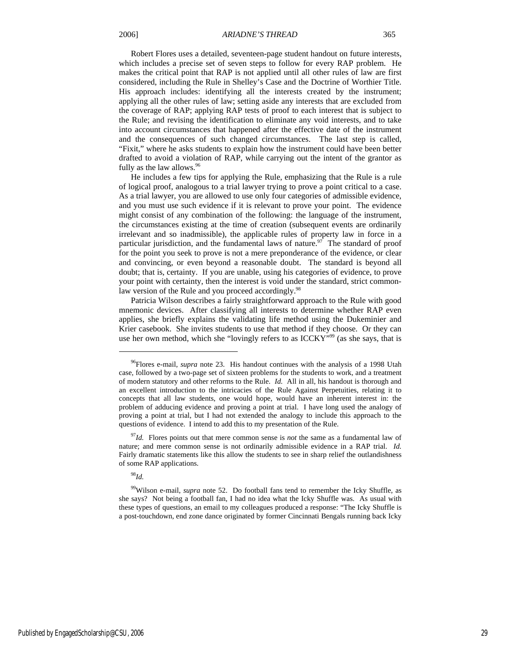Robert Flores uses a detailed, seventeen-page student handout on future interests, which includes a precise set of seven steps to follow for every RAP problem. He makes the critical point that RAP is not applied until all other rules of law are first considered, including the Rule in Shelley's Case and the Doctrine of Worthier Title. His approach includes: identifying all the interests created by the instrument; applying all the other rules of law; setting aside any interests that are excluded from the coverage of RAP; applying RAP tests of proof to each interest that is subject to the Rule; and revising the identification to eliminate any void interests, and to take into account circumstances that happened after the effective date of the instrument and the consequences of such changed circumstances. The last step is called, "Fixit," where he asks students to explain how the instrument could have been better drafted to avoid a violation of RAP, while carrying out the intent of the grantor as fully as the law allows. $96$ 

He includes a few tips for applying the Rule, emphasizing that the Rule is a rule of logical proof, analogous to a trial lawyer trying to prove a point critical to a case. As a trial lawyer, you are allowed to use only four categories of admissible evidence, and you must use such evidence if it is relevant to prove your point. The evidence might consist of any combination of the following: the language of the instrument, the circumstances existing at the time of creation (subsequent events are ordinarily irrelevant and so inadmissible), the applicable rules of property law in force in a particular jurisdiction, and the fundamental laws of nature. $97$  The standard of proof for the point you seek to prove is not a mere preponderance of the evidence, or clear and convincing, or even beyond a reasonable doubt. The standard is beyond all doubt; that is, certainty. If you are unable, using his categories of evidence, to prove your point with certainty, then the interest is void under the standard, strict commonlaw version of the Rule and you proceed accordingly.<sup>98</sup>

Patricia Wilson describes a fairly straightforward approach to the Rule with good mnemonic devices. After classifying all interests to determine whether RAP even applies, she briefly explains the validating life method using the Dukeminier and Krier casebook. She invites students to use that method if they choose. Or they can use her own method, which she "lovingly refers to as ICCKY"<sup>99</sup> (as she says, that is

<sup>98</sup>*Id.*

<sup>96</sup>Flores e-mail, *supra* note 23. His handout continues with the analysis of a 1998 Utah case, followed by a two-page set of sixteen problems for the students to work, and a treatment of modern statutory and other reforms to the Rule. *Id.* All in all, his handout is thorough and an excellent introduction to the intricacies of the Rule Against Perpetuities, relating it to concepts that all law students, one would hope, would have an inherent interest in: the problem of adducing evidence and proving a point at trial. I have long used the analogy of proving a point at trial, but I had not extended the analogy to include this approach to the questions of evidence. I intend to add this to my presentation of the Rule.

<sup>97</sup>*Id.* Flores points out that mere common sense is *not* the same as a fundamental law of nature; and mere common sense is not ordinarily admissible evidence in a RAP trial. *Id.*  Fairly dramatic statements like this allow the students to see in sharp relief the outlandishness of some RAP applications.

<sup>99</sup>Wilson e-mail, *supra* note 52. Do football fans tend to remember the Icky Shuffle, as she says? Not being a football fan, I had no idea what the Icky Shuffle was. As usual with these types of questions, an email to my colleagues produced a response: "The Icky Shuffle is a post-touchdown, end zone dance originated by former Cincinnati Bengals running back Icky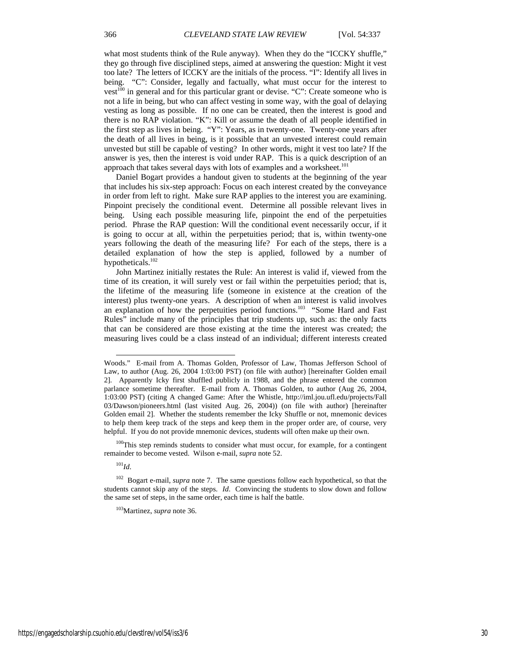what most students think of the Rule anyway). When they do the "ICCKY shuffle," they go through five disciplined steps, aimed at answering the question: Might it vest too late? The letters of ICCKY are the initials of the process. "I": Identify all lives in being. "C": Consider, legally and factually, what must occur for the interest to vest<sup>100</sup> in general and for this particular grant or devise. "C": Create someone who is not a life in being, but who can affect vesting in some way, with the goal of delaying vesting as long as possible. If no one can be created, then the interest is good and there is no RAP violation. "K": Kill or assume the death of all people identified in the first step as lives in being. "Y": Years, as in twenty-one. Twenty-one years after the death of all lives in being, is it possible that an unvested interest could remain unvested but still be capable of vesting? In other words, might it vest too late? If the answer is yes, then the interest is void under RAP. This is a quick description of an approach that takes several days with lots of examples and a worksheet.<sup>101</sup>

Daniel Bogart provides a handout given to students at the beginning of the year that includes his six-step approach: Focus on each interest created by the conveyance in order from left to right. Make sure RAP applies to the interest you are examining. Pinpoint precisely the conditional event. Determine all possible relevant lives in being. Using each possible measuring life, pinpoint the end of the perpetuities period. Phrase the RAP question: Will the conditional event necessarily occur, if it is going to occur at all, within the perpetuities period; that is, within twenty-one years following the death of the measuring life? For each of the steps, there is a detailed explanation of how the step is applied, followed by a number of hypotheticals.102

John Martinez initially restates the Rule: An interest is valid if, viewed from the time of its creation, it will surely vest or fail within the perpetuities period; that is, the lifetime of the measuring life (someone in existence at the creation of the interest) plus twenty-one years. A description of when an interest is valid involves an explanation of how the perpetuities period functions.<sup>103</sup> "Some Hard and Fast Rules" include many of the principles that trip students up, such as: the only facts that can be considered are those existing at the time the interest was created; the measuring lives could be a class instead of an individual; different interests created

 $100$ This step reminds students to consider what must occur, for example, for a contingent remainder to become vested. Wilson e-mail, *supra* note 52.

<sup>101</sup>*Id*.

l

103Martinez, *supra* note 36.

Woods." E-mail from A. Thomas Golden, Professor of Law, Thomas Jefferson School of Law, to author (Aug. 26, 2004 1:03:00 PST) (on file with author) [hereinafter Golden email 2]. Apparently Icky first shuffled publicly in 1988, and the phrase entered the common parlance sometime thereafter. E-mail from A. Thomas Golden, to author (Aug 26, 2004, 1:03:00 PST) (citing A changed Game: After the Whistle, http://iml.jou.ufl.edu/projects/Fall 03/Dawson/pioneers.html (last visited Aug. 26, 2004)) (on file with author) [hereinafter Golden email 2]. Whether the students remember the Icky Shuffle or not, mnemonic devices to help them keep track of the steps and keep them in the proper order are, of course, very helpful. If you do not provide mnemonic devices, students will often make up their own.

<sup>102</sup> Bogart e-mail, *supra* note 7. The same questions follow each hypothetical, so that the students cannot skip any of the steps. *Id*. Convincing the students to slow down and follow the same set of steps, in the same order, each time is half the battle.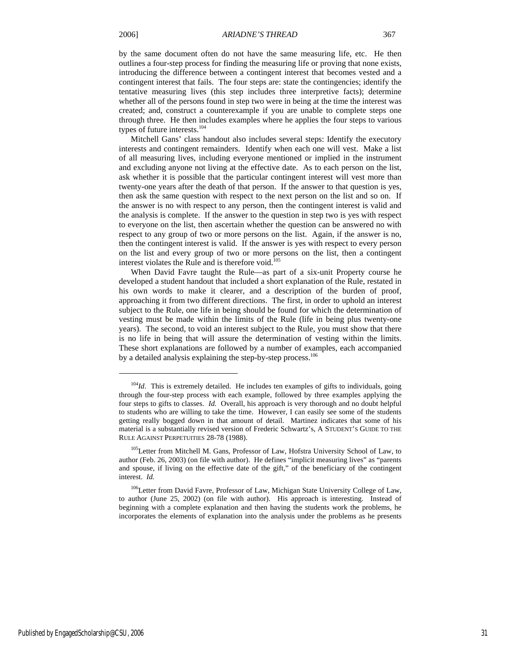j

by the same document often do not have the same measuring life, etc. He then outlines a four-step process for finding the measuring life or proving that none exists, introducing the difference between a contingent interest that becomes vested and a contingent interest that fails. The four steps are: state the contingencies; identify the tentative measuring lives (this step includes three interpretive facts); determine whether all of the persons found in step two were in being at the time the interest was created; and, construct a counterexample if you are unable to complete steps one through three. He then includes examples where he applies the four steps to various types of future interests.<sup>104</sup>

Mitchell Gans' class handout also includes several steps: Identify the executory interests and contingent remainders. Identify when each one will vest. Make a list of all measuring lives, including everyone mentioned or implied in the instrument and excluding anyone not living at the effective date. As to each person on the list, ask whether it is possible that the particular contingent interest will vest more than twenty-one years after the death of that person. If the answer to that question is yes, then ask the same question with respect to the next person on the list and so on. If the answer is no with respect to any person, then the contingent interest is valid and the analysis is complete. If the answer to the question in step two is yes with respect to everyone on the list, then ascertain whether the question can be answered no with respect to any group of two or more persons on the list. Again, if the answer is no, then the contingent interest is valid. If the answer is yes with respect to every person on the list and every group of two or more persons on the list, then a contingent interest violates the Rule and is therefore void.<sup>105</sup>

When David Favre taught the Rule—as part of a six-unit Property course he developed a student handout that included a short explanation of the Rule, restated in his own words to make it clearer, and a description of the burden of proof, approaching it from two different directions. The first, in order to uphold an interest subject to the Rule, one life in being should be found for which the determination of vesting must be made within the limits of the Rule (life in being plus twenty-one years). The second, to void an interest subject to the Rule, you must show that there is no life in being that will assure the determination of vesting within the limits. These short explanations are followed by a number of examples, each accompanied by a detailed analysis explaining the step-by-step process.<sup>106</sup>

<sup>&</sup>lt;sup>104</sup>*Id*. This is extremely detailed. He includes ten examples of gifts to individuals, going through the four-step process with each example, followed by three examples applying the four steps to gifts to classes. *Id.* Overall, his approach is very thorough and no doubt helpful to students who are willing to take the time. However, I can easily see some of the students getting really bogged down in that amount of detail. Martinez indicates that some of his material is a substantially revised version of Frederic Schwartz's, A STUDENT'S GUIDE TO THE RULE AGAINST PERPETUITIES 28-78 (1988).

<sup>&</sup>lt;sup>105</sup>Letter from Mitchell M. Gans, Professor of Law, Hofstra University School of Law, to author (Feb. 26, 2003) (on file with author). He defines "implicit measuring lives" as "parents and spouse, if living on the effective date of the gift," of the beneficiary of the contingent interest. *Id.* 

<sup>&</sup>lt;sup>106</sup>Letter from David Favre, Professor of Law, Michigan State University College of Law, to author (June 25, 2002) (on file with author). His approach is interesting. Instead of beginning with a complete explanation and then having the students work the problems, he incorporates the elements of explanation into the analysis under the problems as he presents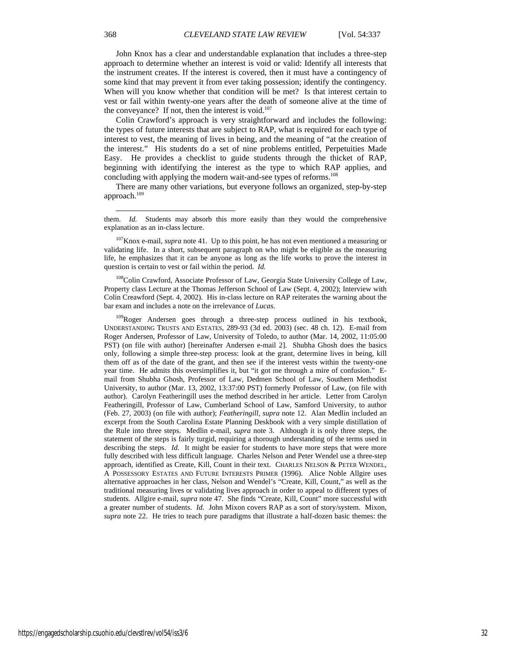John Knox has a clear and understandable explanation that includes a three-step approach to determine whether an interest is void or valid: Identify all interests that the instrument creates. If the interest is covered, then it must have a contingency of some kind that may prevent it from ever taking possession; identify the contingency. When will you know whether that condition will be met? Is that interest certain to vest or fail within twenty-one years after the death of someone alive at the time of the conveyance? If not, then the interest is void.<sup>107</sup>

Colin Crawford's approach is very straightforward and includes the following: the types of future interests that are subject to RAP, what is required for each type of interest to vest, the meaning of lives in being, and the meaning of "at the creation of the interest." His students do a set of nine problems entitled, Perpetuities Made Easy. He provides a checklist to guide students through the thicket of RAP, beginning with identifying the interest as the type to which RAP applies, and concluding with applying the modern wait-and-see types of reforms.<sup>108</sup>

There are many other variations, but everyone follows an organized, step-by-step approach. $109$ 

<sup>107</sup>Knox e-mail, *supra* note 41. Up to this point, he has not even mentioned a measuring or validating life. In a short, subsequent paragraph on who might be eligible as the measuring life, he emphasizes that it can be anyone as long as the life works to prove the interest in question is certain to vest or fail within the period. *Id.* 

<sup>108</sup>Colin Crawford, Associate Professor of Law, Georgia State University College of Law, Property class Lecture at the Thomas Jefferson School of Law (Sept. 4, 2002); Interview with Colin Creawford (Sept. 4, 2002). His in-class lecture on RAP reiterates the warning about the bar exam and includes a note on the irrelevance of *Lucas*.

<sup>109</sup>Roger Andersen goes through a three-step process outlined in his textbook, UNDERSTANDING TRUSTS AND ESTATES, 289-93 (3d ed. 2003) (sec. 48 ch. 12). E-mail from Roger Andersen, Professor of Law, University of Toledo, to author (Mar. 14, 2002, 11:05:00 PST) (on file with author) [hereinafter Andersen e-mail 2]. Shubha Ghosh does the basics only, following a simple three-step process: look at the grant, determine lives in being, kill them off as of the date of the grant, and then see if the interest vests within the twenty-one year time. He admits this oversimplifies it, but "it got me through a mire of confusion." Email from Shubha Ghosh, Professor of Law, Dedmen School of Law, Southern Methodist University, to author (Mar. 13, 2002, 13:37:00 PST) formerly Professor of Law, (on file with author). Carolyn Featheringill uses the method described in her article. Letter from Carolyn Featheringill, Professor of Law, Cumberland School of Law, Samford University, to author (Feb. 27, 2003) (on file with author); *Featheringill, supra* note 12. Alan Medlin included an excerpt from the South Carolina Estate Planning Deskbook with a very simple distillation of the Rule into three steps. Medlin e-mail, *supra* note 3. Although it is only three steps, the statement of the steps is fairly turgid, requiring a thorough understanding of the terms used in describing the steps. *Id.* It might be easier for students to have more steps that were more fully described with less difficult language. Charles Nelson and Peter Wendel use a three-step approach, identified as Create, Kill, Count in their text. CHARLES NELSON & PETER WENDEL, A POSSESSORY ESTATES AND FUTURE INTERESTS PRIMER (1996). Alice Noble Allgire uses alternative approaches in her class, Nelson and Wendel's "Create, Kill, Count," as well as the traditional measuring lives or validating lives approach in order to appeal to different types of students. Allgire e-mail, *supra* note 47. She finds "Create, Kill, Count" more successful with a greater number of students. *Id.* John Mixon covers RAP as a sort of story/system. Mixon, *supra* note 22. He tries to teach pure paradigms that illustrate a half-dozen basic themes: the

them. *Id.* Students may absorb this more easily than they would the comprehensive explanation as an in-class lecture.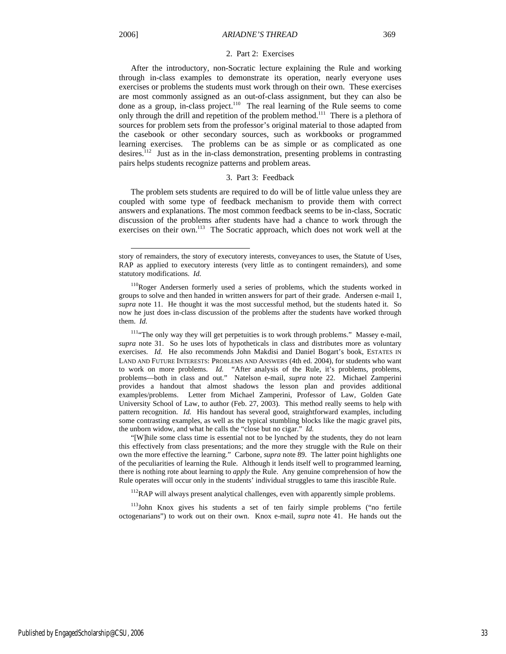l

#### 2. Part 2: Exercises

After the introductory, non-Socratic lecture explaining the Rule and working through in-class examples to demonstrate its operation, nearly everyone uses exercises or problems the students must work through on their own. These exercises are most commonly assigned as an out-of-class assignment, but they can also be done as a group, in-class project.<sup>110</sup> The real learning of the Rule seems to come only through the drill and repetition of the problem method.<sup>111</sup> There is a plethora of sources for problem sets from the professor's original material to those adapted from the casebook or other secondary sources, such as workbooks or programmed learning exercises. The problems can be as simple or as complicated as one desires.112 Just as in the in-class demonstration, presenting problems in contrasting pairs helps students recognize patterns and problem areas.

#### 3. Part 3: Feedback

The problem sets students are required to do will be of little value unless they are coupled with some type of feedback mechanism to provide them with correct answers and explanations. The most common feedback seems to be in-class, Socratic discussion of the problems after students have had a chance to work through the exercises on their own.<sup>113</sup> The Socratic approach, which does not work well at the

<sup>111</sup>"The only way they will get perpetuities is to work through problems." Massey e-mail, *supra* note 31. So he uses lots of hypotheticals in class and distributes more as voluntary exercises. *Id.* He also recommends John Makdisi and Daniel Bogart's book, ESTATES IN LAND AND FUTURE INTERESTS: PROBLEMS AND ANSWERS (4th ed. 2004), for students who want to work on more problems. *Id.* "After analysis of the Rule, it's problems, problems, problems—both in class and out." Natelson e-mail, *supra* note 22. Michael Zamperini provides a handout that almost shadows the lesson plan and provides additional examples/problems. Letter from Michael Zamperini, Professor of Law, Golden Gate University School of Law, to author (Feb. 27, 2003). This method really seems to help with pattern recognition. *Id.* His handout has several good, straightforward examples, including some contrasting examples, as well as the typical stumbling blocks like the magic gravel pits, the unborn widow, and what he calls the "close but no cigar." *Id.* 

"[W]hile some class time is essential not to be lynched by the students, they do not learn this effectively from class presentations; and the more they struggle with the Rule on their own the more effective the learning." Carbone, *supra* note 89. The latter point highlights one of the peculiarities of learning the Rule. Although it lends itself well to programmed learning, there is nothing rote about learning to *apply* the Rule. Any genuine comprehension of how the Rule operates will occur only in the students' individual struggles to tame this irascible Rule.

<sup>112</sup>RAP will always present analytical challenges, even with apparently simple problems.

<sup>113</sup>John Knox gives his students a set of ten fairly simple problems ("no fertile octogenarians") to work out on their own. Knox e-mail, *supra* note 41. He hands out the

story of remainders, the story of executory interests, conveyances to uses, the Statute of Uses, RAP as applied to executory interests (very little as to contingent remainders), and some statutory modifications. *Id.*

<sup>&</sup>lt;sup>110</sup>Roger Andersen formerly used a series of problems, which the students worked in groups to solve and then handed in written answers for part of their grade. Andersen e-mail 1, *supra* note 11. He thought it was the most successful method, but the students hated it. So now he just does in-class discussion of the problems after the students have worked through them. *Id.*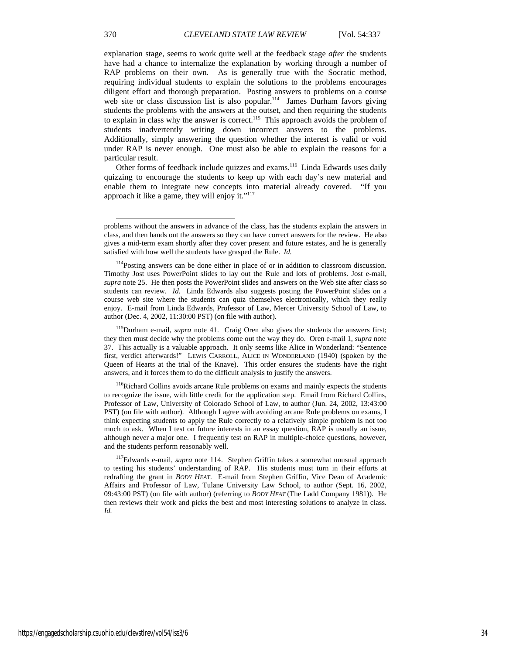explanation stage, seems to work quite well at the feedback stage *after* the students have had a chance to internalize the explanation by working through a number of RAP problems on their own. As is generally true with the Socratic method, requiring individual students to explain the solutions to the problems encourages diligent effort and thorough preparation. Posting answers to problems on a course web site or class discussion list is also popular.<sup>114</sup> James Durham favors giving students the problems with the answers at the outset, and then requiring the students to explain in class why the answer is correct.<sup>115</sup> This approach avoids the problem of students inadvertently writing down incorrect answers to the problems. Additionally, simply answering the question whether the interest is valid or void under RAP is never enough. One must also be able to explain the reasons for a particular result.

Other forms of feedback include quizzes and exams.<sup>116</sup> Linda Edwards uses daily quizzing to encourage the students to keep up with each day's new material and enable them to integrate new concepts into material already covered. "If you approach it like a game, they will enjoy it."<sup>117</sup>

<sup>116</sup>Richard Collins avoids arcane Rule problems on exams and mainly expects the students to recognize the issue, with little credit for the application step. Email from Richard Collins, Professor of Law, University of Colorado School of Law, to author (Jun. 24, 2002, 13:43:00 PST) (on file with author). Although I agree with avoiding arcane Rule problems on exams, I think expecting students to apply the Rule correctly to a relatively simple problem is not too much to ask. When I test on future interests in an essay question, RAP is usually an issue, although never a major one. I frequently test on RAP in multiple-choice questions, however, and the students perform reasonably well.

117Edwards e-mail, *supra* note 114. Stephen Griffin takes a somewhat unusual approach to testing his students' understanding of RAP. His students must turn in their efforts at redrafting the grant in *BODY HEAT*. E-mail from Stephen Griffin, Vice Dean of Academic Affairs and Professor of Law, Tulane University Law School, to author (Sept. 16, 2002, 09:43:00 PST) (on file with author) (referring to *BODY HEAT* (The Ladd Company 1981)). He then reviews their work and picks the best and most interesting solutions to analyze in class. *Id.* 

problems without the answers in advance of the class, has the students explain the answers in class, and then hands out the answers so they can have correct answers for the review. He also gives a mid-term exam shortly after they cover present and future estates, and he is generally satisfied with how well the students have grasped the Rule. *Id.* 

<sup>&</sup>lt;sup>114</sup>Posting answers can be done either in place of or in addition to classroom discussion. Timothy Jost uses PowerPoint slides to lay out the Rule and lots of problems. Jost e-mail, *supra* note 25. He then posts the PowerPoint slides and answers on the Web site after class so students can review. *Id.* Linda Edwards also suggests posting the PowerPoint slides on a course web site where the students can quiz themselves electronically, which they really enjoy. E-mail from Linda Edwards, Professor of Law, Mercer University School of Law, to author (Dec. 4, 2002, 11:30:00 PST) (on file with author).

<sup>115</sup>Durham e-mail, *supra* note 41. Craig Oren also gives the students the answers first; they then must decide why the problems come out the way they do. Oren e-mail 1, *supra* note 37. This actually is a valuable approach. It only seems like Alice in Wonderland: "Sentence first, verdict afterwards!" LEWIS CARROLL, ALICE IN WONDERLAND (1940) (spoken by the Queen of Hearts at the trial of the Knave). This order ensures the students have the right answers, and it forces them to do the difficult analysis to justify the answers.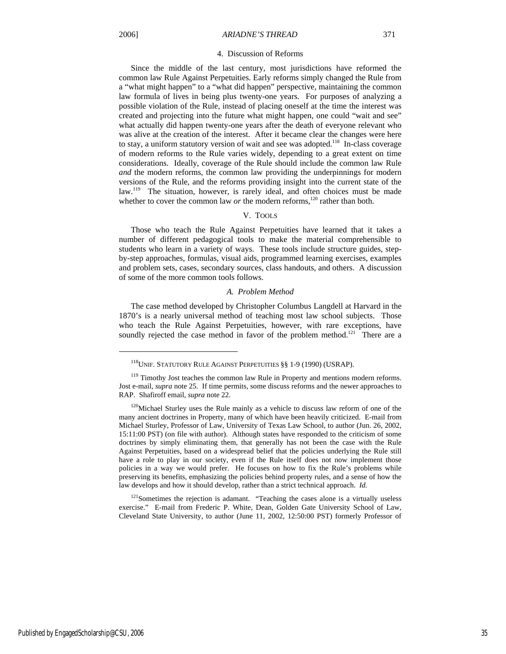j

#### 4. Discussion of Reforms

Since the middle of the last century, most jurisdictions have reformed the common law Rule Against Perpetuities. Early reforms simply changed the Rule from a "what might happen" to a "what did happen" perspective, maintaining the common law formula of lives in being plus twenty-one years. For purposes of analyzing a possible violation of the Rule, instead of placing oneself at the time the interest was created and projecting into the future what might happen, one could "wait and see" what actually did happen twenty-one years after the death of everyone relevant who was alive at the creation of the interest. After it became clear the changes were here to stay, a uniform statutory version of wait and see was adopted.<sup>118</sup> In-class coverage of modern reforms to the Rule varies widely, depending to a great extent on time considerations. Ideally, coverage of the Rule should include the common law Rule *and* the modern reforms, the common law providing the underpinnings for modern versions of the Rule, and the reforms providing insight into the current state of the law.<sup>119</sup> The situation, however, is rarely ideal, and often choices must be made whether to cover the common law  $or$  the modern reforms,<sup>120</sup> rather than both.

### V. TOOLS

Those who teach the Rule Against Perpetuities have learned that it takes a number of different pedagogical tools to make the material comprehensible to students who learn in a variety of ways. These tools include structure guides, stepby-step approaches, formulas, visual aids, programmed learning exercises, examples and problem sets, cases, secondary sources, class handouts, and others. A discussion of some of the more common tools follows.

#### *A. Problem Method*

The case method developed by Christopher Columbus Langdell at Harvard in the 1870's is a nearly universal method of teaching most law school subjects. Those who teach the Rule Against Perpetuities, however, with rare exceptions, have soundly rejected the case method in favor of the problem method.<sup>121</sup> There are a

<sup>121</sup>Sometimes the rejection is adamant. "Teaching the cases alone is a virtually useless exercise." E-mail from Frederic P. White, Dean, Golden Gate University School of Law, Cleveland State University, to author (June 11, 2002, 12:50:00 PST) formerly Professor of

<sup>&</sup>lt;sup>118</sup>UNIF. STATUTORY RULE AGAINST PERPETUITIES §§ 1-9 (1990) (USRAP).

<sup>&</sup>lt;sup>119</sup> Timothy Jost teaches the common law Rule in Property and mentions modern reforms. Jost e-mail, *supra* note 25. If time permits, some discuss reforms and the newer approaches to RAP. Shafiroff email, *supra* note 22.

 $120$ Michael Sturley uses the Rule mainly as a vehicle to discuss law reform of one of the many ancient doctrines in Property, many of which have been heavily criticized. E-mail from Michael Sturley, Professor of Law, University of Texas Law School, to author (Jun. 26, 2002, 15:11:00 PST) (on file with author). Although states have responded to the criticism of some doctrines by simply eliminating them, that generally has not been the case with the Rule Against Perpetuities, based on a widespread belief that the policies underlying the Rule still have a role to play in our society, even if the Rule itself does not now implement those policies in a way we would prefer. He focuses on how to fix the Rule's problems while preserving its benefits, emphasizing the policies behind property rules, and a sense of how the law develops and how it should develop, rather than a strict technical approach. *Id.*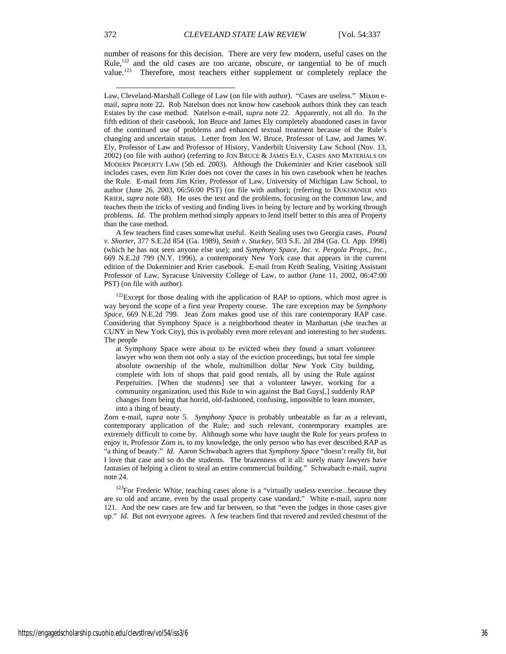number of reasons for this decision. There are very few modern, useful cases on the Rule,<sup>122</sup> and the old cases are too arcane, obscure, or tangential to be of much value.<sup>123</sup> Therefore, most teachers either supplement or completely replace the Therefore, most teachers either supplement or completely replace the

A few teachers find cases somewhat useful. Keith Sealing uses two Georgia cases, *Pound v. Shorter*, 377 S.E.2d 854 (Ga. 1989), *Smith v. Stuckey*, 503 S.E. 2d 284 (Ga. Ct. App. 1998) (which he has not seen anyone else use); and *Symphony Space, Inc. v. Pergola Props., Inc.*, 669 N.E.2d 799 (N.Y. 1996), a contemporary New York case that appears in the current edition of the Dukeminier and Krier casebook. E-mail from Keith Sealing, Visiting Assistant Professor of Law, Syracuse University College of Law, to author (June 11, 2002, 06:47:00 PST) (on file with author).

 $122$ Except for those dealing with the application of RAP to options, which most agree is way beyond the scope of a first year Property course. The rare exception may be *Symphony Space*, 669 N.E.2d 799. Jean Zorn makes good use of this rare contemporary RAP case. Considering that Symphony Space is a neighborhood theater in Manhattan (she teaches at CUNY in New York City), this is probably even more relevant and interesting to her students. The people

at Symphony Space were about to be evicted when they found a smart volunteer lawyer who won them not only a stay of the eviction proceedings, but total fee simple absolute ownership of the whole, multimillion dollar New York City building, complete with lots of shops that paid good rentals, all by using the Rule against Perpetuities. [When the students] see that a volunteer lawyer, working for a community organization, used this Rule to win against the Bad Guys[,] suddenly RAP changes from being that horrid, old-fashioned, confusing, impossible to learn monster, into a thing of beauty.

Zorn e-mail, *supra* note 5. *Symphony Space* is probably unbeatable as far as a relevant, contemporary application of the Rule; and such relevant, contemporary examples are extremely difficult to come by. Although some who have taught the Rule for years profess to enjoy it, Professor Zorn is, to my knowledge, the only person who has ever described RAP as "a thing of beauty." *Id.* Aaron Schwabach agrees that *Symphony Space* "doesn't really fit, but I love that case and so do the students. The brazenness of it all: surely many lawyers have fantasies of helping a client to steal an entire commercial building." Schwabach e-mail, *supra*  note 24.

<sup>123</sup>For Frederic White, teaching cases alone is a "virtually useless exercise...because they are so old and arcane, even by the usual property case standard." White e-mail, *supra* note 121. And the new cases are few and far between, so that "even the judges in those cases give up." *Id*. But not everyone agrees. A few teachers find that revered and reviled chestnut of the

Law, Cleveland-Marshall College of Law (on file with author). "Cases are useless." Mixon email, *supra* note 22. Rob Natelson does not know how casebook authors think they can teach Estates by the case method. Natelson e-mail, *supra* note 22. Apparently, not all do. In the fifth edition of their casebook, Jon Bruce and James Ely completely abandoned cases in favor of the continued use of problems and enhanced textual treatment because of the Rule's changing and uncertain status.Letter from Jon W. Bruce, Professor of Law, and James W. Ely, Professor of Law and Professor of History, Vanderbilt University Law School (Nov. 13, 2002) (on file with author) (referring to JON BRUCE & JAMES ELY, CASES AND MATERIALS ON MODERN PROPERTY LAW (5th ed. 2003).Although the Dukeminier and Krier casebook still includes cases, even Jim Krier does not cover the cases in his own casebook when he teaches the Rule. E-mail from Jim Krier, Professor of Law, University of Michigan Law School, to author (June 26, 2003, 06:56:00 PST) (on file with author); (referring to DUKEMINIER AND KRIER, *supra* note 68). He uses the text and the problems, focusing on the common law, and teaches them the tricks of vesting and finding lives in being by lecture and by working through problems. *Id.* The problem method simply appears to lend itself better to this area of Property than the case method.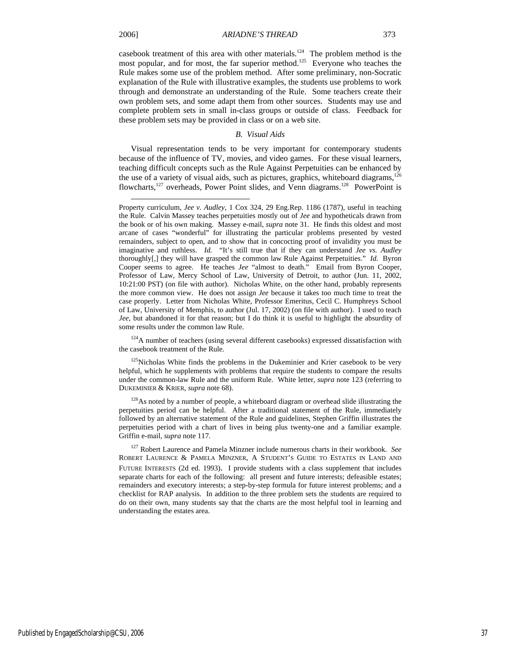l

casebook treatment of this area with other materials.<sup>124</sup> The problem method is the most popular, and for most, the far superior method.<sup>125</sup> Everyone who teaches the Rule makes some use of the problem method. After some preliminary, non-Socratic explanation of the Rule with illustrative examples, the students use problems to work through and demonstrate an understanding of the Rule. Some teachers create their own problem sets, and some adapt them from other sources. Students may use and complete problem sets in small in-class groups or outside of class. Feedback for these problem sets may be provided in class or on a web site.

#### *B. Visual Aids*

Visual representation tends to be very important for contemporary students because of the influence of TV, movies, and video games. For these visual learners, teaching difficult concepts such as the Rule Against Perpetuities can be enhanced by the use of a variety of visual aids, such as pictures, graphics, whiteboard diagrams, $126$ flowcharts,127 overheads, Power Point slides, and Venn diagrams.128 PowerPoint is

<sup>124</sup>A number of teachers (using several different casebooks) expressed dissatisfaction with the casebook treatment of the Rule.

 $125$ Nicholas White finds the problems in the Dukeminier and Krier casebook to be very helpful, which he supplements with problems that require the students to compare the results under the common-law Rule and the uniform Rule. White letter, *supra* note 123 (referring to DUKEMINIER & KRIER, *supra* note 68).

 $126\text{As}$  noted by a number of people, a whiteboard diagram or overhead slide illustrating the perpetuities period can be helpful. After a traditional statement of the Rule, immediately followed by an alternative statement of the Rule and guidelines, Stephen Griffin illustrates the perpetuities period with a chart of lives in being plus twenty-one and a familiar example. Griffin e-mail, *supra* note 117.

Property curriculum, *Jee v. Audley*, 1 Cox 324, 29 Eng.Rep. 1186 (1787), useful in teaching the Rule. Calvin Massey teaches perpetuities mostly out of *Jee* and hypotheticals drawn from the book or of his own making. Massey e-mail, *supra* note 31. He finds this oldest and most arcane of cases "wonderful" for illustrating the particular problems presented by vested remainders, subject to open, and to show that in concocting proof of invalidity you must be imaginative and ruthless. *Id.* "It's still true that if they can understand *Jee vs. Audley* thoroughly[,] they will have grasped the common law Rule Against Perpetuities." *Id.* Byron Cooper seems to agree. He teaches *Jee* "almost to death." Email from Byron Cooper, Professor of Law, Mercy School of Law, University of Detroit, to author (Jun. 11, 2002, 10:21:00 PST) (on file with author). Nicholas White, on the other hand, probably represents the more common view. He does not assign *Jee* because it takes too much time to treat the case properly. Letter from Nicholas White, Professor Emeritus, Cecil C. Humphreys School of Law, University of Memphis, to author (Jul. 17, 2002) (on file with author). I used to teach *Jee*, but abandoned it for that reason; but I do think it is useful to highlight the absurdity of some results under the common law Rule.

<sup>127</sup> Robert Laurence and Pamela Minzner include numerous charts in their workbook. *See*  ROBERT LAURENCE & PAMELA MINZNER, A STUDENT'S GUIDE TO ESTATES IN LAND AND FUTURE INTERESTS (2d ed. 1993). I provide students with a class supplement that includes separate charts for each of the following: all present and future interests; defeasible estates; remainders and executory interests; a step-by-step formula for future interest problems; and a checklist for RAP analysis. In addition to the three problem sets the students are required to do on their own, many students say that the charts are the most helpful tool in learning and understanding the estates area.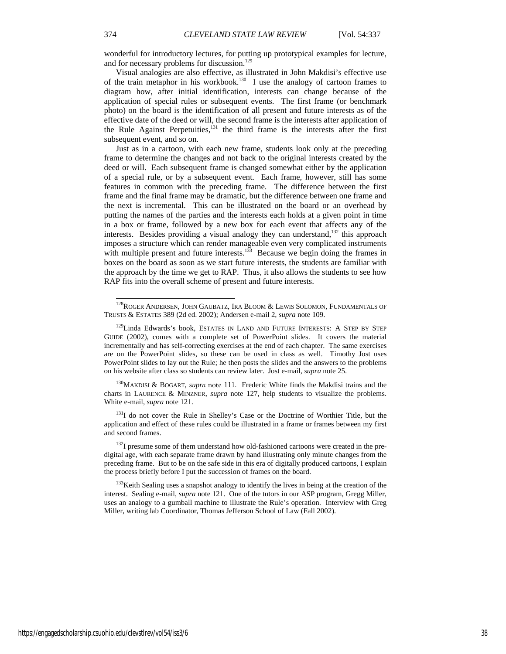wonderful for introductory lectures, for putting up prototypical examples for lecture, and for necessary problems for discussion.<sup>129</sup>

Visual analogies are also effective, as illustrated in John Makdisi's effective use of the train metaphor in his workbook.<sup>130</sup> I use the analogy of cartoon frames to diagram how, after initial identification, interests can change because of the application of special rules or subsequent events. The first frame (or benchmark photo) on the board is the identification of all present and future interests as of the effective date of the deed or will, the second frame is the interests after application of the Rule Against Perpetuities, $131$  the third frame is the interests after the first subsequent event, and so on.

Just as in a cartoon, with each new frame, students look only at the preceding frame to determine the changes and not back to the original interests created by the deed or will. Each subsequent frame is changed somewhat either by the application of a special rule, or by a subsequent event. Each frame, however, still has some features in common with the preceding frame. The difference between the first frame and the final frame may be dramatic, but the difference between one frame and the next is incremental. This can be illustrated on the board or an overhead by putting the names of the parties and the interests each holds at a given point in time in a box or frame, followed by a new box for each event that affects any of the interests. Besides providing a visual analogy they can understand, $132$  this approach imposes a structure which can render manageable even very complicated instruments with multiple present and future interests.<sup>133</sup> Because we begin doing the frames in boxes on the board as soon as we start future interests, the students are familiar with the approach by the time we get to RAP. Thus, it also allows the students to see how RAP fits into the overall scheme of present and future interests.

130MAKDISI & BOGART, *supra* note 111*.* Frederic White finds the Makdisi trains and the charts in LAURENCE & MINZNER, *supra* note 127, help students to visualize the problems. White e-mail, *supra* note 121.

<sup>131</sup>I do not cover the Rule in Shelley's Case or the Doctrine of Worthier Title, but the application and effect of these rules could be illustrated in a frame or frames between my first and second frames.

 $132$ I presume some of them understand how old-fashioned cartoons were created in the predigital age, with each separate frame drawn by hand illustrating only minute changes from the preceding frame. But to be on the safe side in this era of digitally produced cartoons, I explain the process briefly before I put the succession of frames on the board.

<sup>133</sup>Keith Sealing uses a snapshot analogy to identify the lives in being at the creation of the interest. Sealing e-mail, *supra* note 121. One of the tutors in our ASP program, Gregg Miller, uses an analogy to a gumball machine to illustrate the Rule's operation. Interview with Greg Miller, writing lab Coordinator, Thomas Jefferson School of Law (Fall 2002).

 $^{128}\rm{ROGER}$  ANDERSEN, JOHN GAUBATZ, IRA BLOOM & LEWIS SOLOMON, FUNDAMENTALS OF TRUSTS & ESTATES 389 (2d ed. 2002); Andersen e-mail 2, *supra* note 109.

<sup>&</sup>lt;sup>129</sup>Linda Edwards's book, ESTATES IN LAND AND FUTURE INTERESTS: A STEP BY STEP GUIDE (2002), comes with a complete set of PowerPoint slides. It covers the material incrementally and has self-correcting exercises at the end of each chapter. The same exercises are on the PowerPoint slides, so these can be used in class as well. Timothy Jost uses PowerPoint slides to lay out the Rule; he then posts the slides and the answers to the problems on his website after class so students can review later. Jost e-mail, *supra* note 25.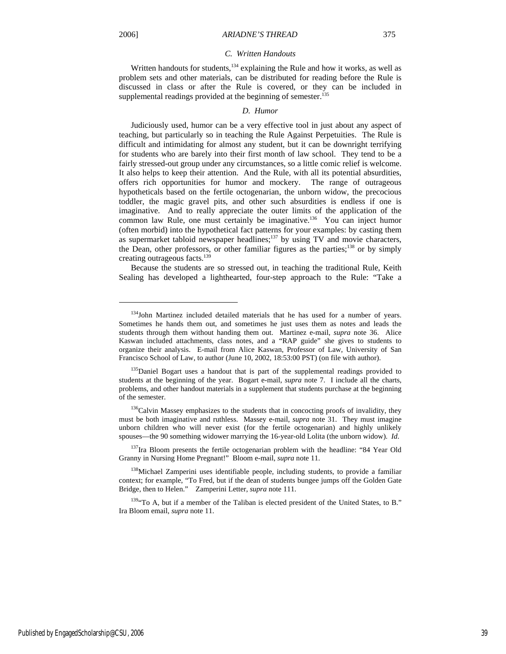j

#### *C. Written Handouts*

Written handouts for students,<sup>134</sup> explaining the Rule and how it works, as well as problem sets and other materials, can be distributed for reading before the Rule is discussed in class or after the Rule is covered, or they can be included in supplemental readings provided at the beginning of semester.<sup>135</sup>

#### *D. Humor*

Judiciously used, humor can be a very effective tool in just about any aspect of teaching, but particularly so in teaching the Rule Against Perpetuities. The Rule is difficult and intimidating for almost any student, but it can be downright terrifying for students who are barely into their first month of law school. They tend to be a fairly stressed-out group under any circumstances, so a little comic relief is welcome. It also helps to keep their attention. And the Rule, with all its potential absurdities, offers rich opportunities for humor and mockery. The range of outrageous hypotheticals based on the fertile octogenarian, the unborn widow, the precocious toddler, the magic gravel pits, and other such absurdities is endless if one is imaginative. And to really appreciate the outer limits of the application of the common law Rule, one must certainly be imaginative.<sup>136</sup> You can inject humor (often morbid) into the hypothetical fact patterns for your examples: by casting them as supermarket tabloid newspaper headlines;<sup>137</sup> by using TV and movie characters, the Dean, other professors, or other familiar figures as the parties;<sup>138</sup> or by simply creating outrageous facts.<sup>139</sup>

Because the students are so stressed out, in teaching the traditional Rule, Keith Sealing has developed a lighthearted, four-step approach to the Rule: "Take a

<sup>&</sup>lt;sup>134</sup>John Martinez included detailed materials that he has used for a number of years. Sometimes he hands them out, and sometimes he just uses them as notes and leads the students through them without handing them out. Martinez e-mail, *supra* note 36. Alice Kaswan included attachments, class notes, and a "RAP guide" she gives to students to organize their analysis. E-mail from Alice Kaswan, Professor of Law, University of San Francisco School of Law, to author (June 10, 2002, 18:53:00 PST) (on file with author).

<sup>&</sup>lt;sup>135</sup>Daniel Bogart uses a handout that is part of the supplemental readings provided to students at the beginning of the year. Bogart e-mail, *supra* note 7. I include all the charts, problems, and other handout materials in a supplement that students purchase at the beginning of the semester.

<sup>&</sup>lt;sup>136</sup>Calvin Massey emphasizes to the students that in concocting proofs of invalidity, they must be both imaginative and ruthless. Massey e-mail, *supra* note 31. They must imagine unborn children who will never exist (for the fertile octogenarian) and highly unlikely spouses—the 90 something widower marrying the 16-year-old Lolita (the unborn widow). *Id*.

 $137$ Ira Bloom presents the fertile octogenarian problem with the headline: "84 Year Old Granny in Nursing Home Pregnant!" Bloom e-mail, *supra* note 11.

<sup>&</sup>lt;sup>138</sup>Michael Zamperini uses identifiable people, including students, to provide a familiar context; for example, "To Fred, but if the dean of students bungee jumps off the Golden Gate Bridge, then to Helen." Zamperini Letter, *supra* note 111.

<sup>&</sup>lt;sup>139</sup>"To A, but if a member of the Taliban is elected president of the United States, to B." Ira Bloom email, *supra* note 11.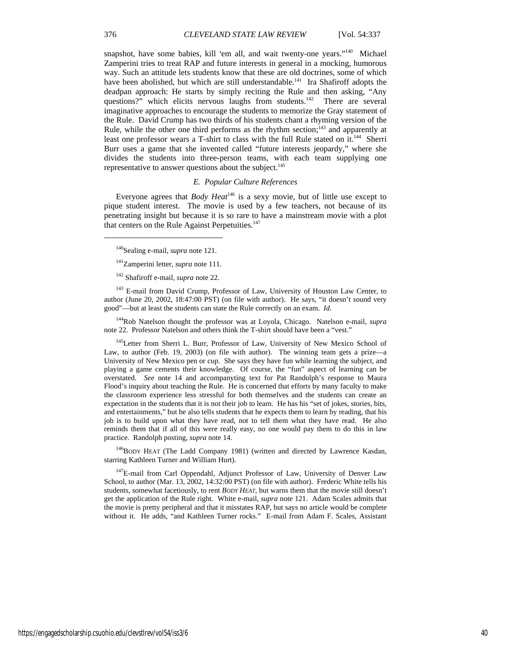snapshot, have some babies, kill 'em all, and wait twenty-one years."<sup>140</sup> Michael Zamperini tries to treat RAP and future interests in general in a mocking, humorous way. Such an attitude lets students know that these are old doctrines, some of which have been abolished, but which are still understandable.<sup>141</sup> Ira Shafiroff adopts the deadpan approach: He starts by simply reciting the Rule and then asking, "Any questions?" which elicits nervous laughs from students.<sup>142</sup> There are several imaginative approaches to encourage the students to memorize the Gray statement of the Rule. David Crump has two thirds of his students chant a rhyming version of the Rule, while the other one third performs as the rhythm section; $^{143}$  and apparently at least one professor wears a T-shirt to class with the full Rule stated on it.<sup>144</sup> Sherri Burr uses a game that she invented called "future interests jeopardy," where she divides the students into three-person teams, with each team supplying one representative to answer questions about the subject.<sup>145</sup>

### *E. Popular Culture References*

Everyone agrees that *Body Heat*146 is a sexy movie, but of little use except to pique student interest. The movie is used by a few teachers, not because of its penetrating insight but because it is so rare to have a mainstream movie with a plot that centers on the Rule Against Perpetuities.<sup>147</sup>

140Sealing e-mail, *supra* note 121.

<sup>143</sup> E-mail from David Crump, Professor of Law, University of Houston Law Center, to author (June 20, 2002, 18:47:00 PST) (on file with author). He says, "it doesn't sound very good"—but at least the students can state the Rule correctly on an exam. *Id.*

144Rob Natelson thought the professor was at Loyola, Chicago. Natelson e-mail, *supra*  note 22. Professor Natelson and others think the T-shirt should have been a "vest."

<sup>145</sup>Letter from Sherri L. Burr, Professor of Law, University of New Mexico School of Law, to author (Feb. 19, 2003) (on file with author). The winning team gets a prize—a University of New Mexico pen or cup. She says they have fun while learning the subject, and playing a game cements their knowledge. Of course, the "fun" aspect of learning can be overstated. *See* note 14 and accompanyting text for Pat Randolph's response to Maura Flood's inquiry about teaching the Rule. He is concerned that efforts by many faculty to make the classroom experience less stressful for both themselves and the students can create an expectation in the students that it is not their job to learn. He has his "set of jokes, stories, bits, and entertainments," but he also tells students that he expects them to learn by reading, that his job is to build upon what they have read, not to tell them what they have read. He also reminds them that if all of this were really easy, no one would pay them to do this in law practice. Randolph posting, *supra* note 14.

<sup>146</sup>BODY HEAT (The Ladd Company 1981) (written and directed by Lawrence Kasdan, starring Kathleen Turner and William Hurt).

<sup>147</sup>E-mail from Carl Oppendahl, Adjunct Professor of Law, University of Denver Law School, to author (Mar. 13, 2002, 14:32:00 PST) (on file with author). Frederic White tells his students, somewhat facetiously, to rent *BODY HEAT*, but warns them that the movie still doesn't get the application of the Rule right. White e-mail, *supra* note 121. Adam Scales admits that the movie is pretty peripheral and that it misstates RAP, but says no article would be complete without it. He adds, "and Kathleen Turner rocks." E-mail from Adam F. Scales, Assistant

<sup>141</sup>Zamperini letter, *supra* note 111.

<sup>142</sup> Shafiroff e-mail, *supra* note 22.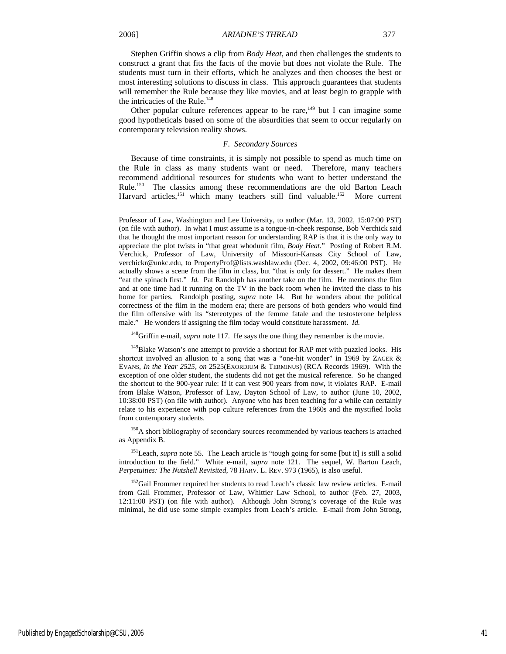Stephen Griffin shows a clip from *Body Heat*, and then challenges the students to construct a grant that fits the facts of the movie but does not violate the Rule. The students must turn in their efforts, which he analyzes and then chooses the best or most interesting solutions to discuss in class. This approach guarantees that students will remember the Rule because they like movies, and at least begin to grapple with the intricacies of the Rule.<sup>148</sup>

Other popular culture references appear to be rare,<sup>149</sup> but I can imagine some good hypotheticals based on some of the absurdities that seem to occur regularly on contemporary television reality shows.

#### *F. Secondary Sources*

Because of time constraints, it is simply not possible to spend as much time on the Rule in class as many students want or need. Therefore, many teachers recommend additional resources for students who want to better understand the Rule.<sup>150</sup> The classics among these recommendations are the old Barton Leach Harvard articles,<sup>151</sup> which many teachers still find valuable.<sup>152</sup> More current

148Griffin e-mail, *supra* note 117. He says the one thing they remember is the movie.

<sup>150</sup>A short bibliography of secondary sources recommended by various teachers is attached as Appendix B.

<sup>151</sup>Leach, *supra* note 55. The Leach article is "tough going for some [but it] is still a solid introduction to the field." White e-mail, *supra* note 121. The sequel, W. Barton Leach, *Perpetuities: The Nutshell Revisited*, 78 HARV. L. REV. 973 (1965), is also useful.

<sup>152</sup>Gail Frommer required her students to read Leach's classic law review articles. E-mail from Gail Frommer, Professor of Law, Whittier Law School, to author (Feb. 27, 2003, 12:11:00 PST) (on file with author). Although John Strong's coverage of the Rule was minimal, he did use some simple examples from Leach's article. E-mail from John Strong,

Professor of Law, Washington and Lee University, to author (Mar. 13, 2002, 15:07:00 PST) (on file with author). In what I must assume is a tongue-in-cheek response, Bob Verchick said that he thought the most important reason for understanding RAP is that it is the only way to appreciate the plot twists in "that great whodunit film, *Body Heat.*" Posting of Robert R.M. Verchick, Professor of Law, University of Missouri-Kansas City School of Law, verchickr@unkc.edu, to PropertyProf@lists.washlaw.edu (Dec. 4, 2002, 09:46:00 PST). He actually shows a scene from the film in class, but "that is only for dessert." He makes them "eat the spinach first." *Id.* Pat Randolph has another take on the film. He mentions the film and at one time had it running on the TV in the back room when he invited the class to his home for parties. Randolph posting, *supra* note 14. But he wonders about the political correctness of the film in the modern era; there are persons of both genders who would find the film offensive with its "stereotypes of the femme fatale and the testosterone helpless male." He wonders if assigning the film today would constitute harassment. *Id.*

<sup>&</sup>lt;sup>149</sup>Blake Watson's one attempt to provide a shortcut for RAP met with puzzled looks. His shortcut involved an allusion to a song that was a "one-hit wonder" in 1969 by ZAGER & EVANS, *In the Year 2525, on* 2525(EXORDIUM & TERMINUS) (RCA Records 1969). With the exception of one older student, the students did not get the musical reference. So he changed the shortcut to the 900-year rule: If it can vest 900 years from now, it violates RAP. E-mail from Blake Watson, Professor of Law, Dayton School of Law, to author (June 10, 2002, 10:38:00 PST) (on file with author). Anyone who has been teaching for a while can certainly relate to his experience with pop culture references from the 1960s and the mystified looks from contemporary students.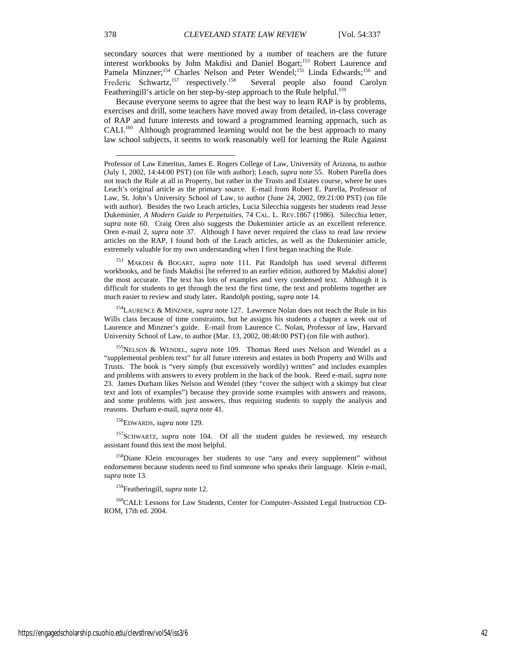secondary sources that were mentioned by a number of teachers are the future interest workbooks by John Makdisi and Daniel Bogart;<sup>153</sup> Robert Laurence and Pamela Minzner;<sup>154</sup> Charles Nelson and Peter Wendel;<sup>155</sup> Linda Edwards;<sup>156</sup> and Frederic Schwartz,<sup>157</sup> respectively.<sup>158</sup> Several people also found Carolyn Frederic Schwartz,<sup>157</sup> respectively.<sup>158</sup> Featheringill's article on her step-by-step approach to the Rule helpful.<sup>159</sup>

Because everyone seems to agree that the best way to learn RAP is by problems, exercises and drill, some teachers have moved away from detailed, in-class coverage of RAP and future interests and toward a programmed learning approach, such as CALI.<sup>160</sup> Although programmed learning would not be the best approach to many law school subjects, it seems to work reasonably well for learning the Rule Against

<sup>153</sup> MAKDISI & BOGART, *supra* note 111. Pat Randolph has used several different workbooks, and he finds Makdisi [he referred to an earlier edition, authored by Makdisi alone] the most accurate. The text has lots of examples and very condensed text. Although it is difficult for students to get through the text the first time, the text and problems together are much easier to review and study later**.** Randolph posting, *supra* note 14.

154LAURENCE & MINZNER, *supra* note 127. Lawrence Nolan does not teach the Rule in his Wills class because of time constraints, but he assigns his students a chapter a week out of Laurence and Minzner's guide. E-mail from Laurence C. Nolan, Professor of law, Harvard University School of Law, to author (Mar. 13, 2002, 08:48:00 PST) (on file with author).

155NELSON & WENDEL, *supra* note 109. Thomas Reed uses Nelson and Wendel as a "supplemental problem text" for all future interests and estates in both Property and Wills and Trusts. The book is "very simply (but excessively wordily) written" and includes examples and problems with answers to every problem in the back of the book. Reed e-mail, *supra* note 23. James Durham likes Nelson and Wendel (they "cover the subject with a skimpy but clear text and lots of examples") because they provide some examples with answers and reasons, and some problems with just answers, thus requiring students to supply the analysis and reasons. Durham e-mail, *supra* note 41.

156EDWARDS, *supra* note 129.

<sup>157</sup>SCHWARTZ, *supra* note 104. Of all the student guides he reviewed, my research assistant found this text the most helpful.

<sup>158</sup>Diane Klein encourages her students to use "any and every supplement" without endorsement because students need to find someone who speaks their language. Klein e-mail, *supra* note 13.

159Featheringill, *supra* note 12.

<sup>160</sup>CALI: Lessons for Law Students, Center for Computer-Assisted Legal Instruction CD-ROM, 17th ed. 2004.

Professor of Law Emeritus, James E. Rogers College of Law, University of Arizona, to author (July 1, 2002, 14:44:00 PST) (on file with author); Leach, *supra* note 55. Robert Parella does not teach the Rule at all in Property, but rather in the Trusts and Estates course, where he uses Leach's original article as the primary source. E-mail from Robert E. Parella, Professor of Law, St. John's University School of Law, to author (June 24, 2002, 09:21:00 PST) (on file with author). Besides the two Leach articles, Lucia Silecchia suggests her students read Jesse Dukeminier, *A Modern Guide to Perpetuities*, 74 CAL. L. REV.1867 (1986). Silecchia letter, *supra* note 60. Craig Oren also suggests the Dukeminier article as an excellent reference. Oren e-mail 2, *supra* note 37. Although I have never required the class to read law review articles on the RAP, I found both of the Leach articles, as well as the Dukeminier article, extremely valuable for my own understanding when I first began teaching the Rule.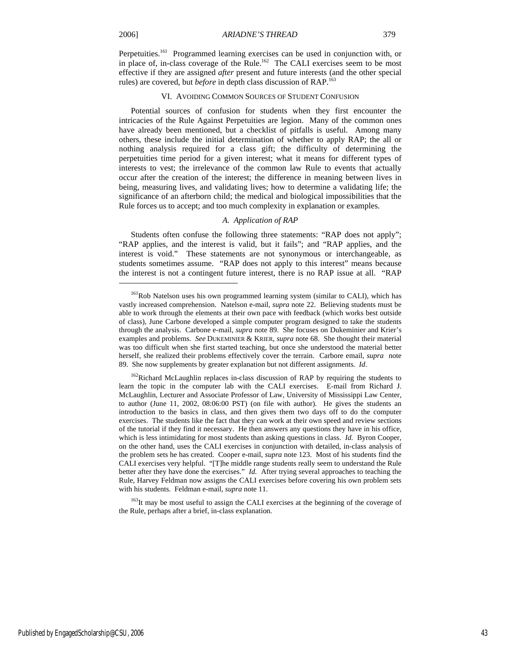j

#### VI. AVOIDING COMMON SOURCES OF STUDENT CONFUSION

Potential sources of confusion for students when they first encounter the intricacies of the Rule Against Perpetuities are legion. Many of the common ones have already been mentioned, but a checklist of pitfalls is useful. Among many others, these include the initial determination of whether to apply RAP; the all or nothing analysis required for a class gift; the difficulty of determining the perpetuities time period for a given interest; what it means for different types of interests to vest; the irrelevance of the common law Rule to events that actually occur after the creation of the interest; the difference in meaning between lives in being, measuring lives, and validating lives; how to determine a validating life; the significance of an afterborn child; the medical and biological impossibilities that the Rule forces us to accept; and too much complexity in explanation or examples.

#### *A. Application of RAP*

Students often confuse the following three statements: "RAP does not apply"; "RAP applies, and the interest is valid, but it fails"; and "RAP applies, and the interest is void." These statements are not synonymous or interchangeable, as students sometimes assume. "RAP does not apply to this interest" means because the interest is not a contingent future interest, there is no RAP issue at all. "RAP

<sup>163</sup>It may be most useful to assign the CALI exercises at the beginning of the coverage of the Rule, perhaps after a brief, in-class explanation.

<sup>&</sup>lt;sup>161</sup>Rob Natelson uses his own programmed learning system (similar to CALI), which has vastly increased comprehension. Natelson e-mail, *supra* note 22. Believing students must be able to work through the elements at their own pace with feedback (which works best outside of class), June Carbone developed a simple computer program designed to take the students through the analysis. Carbone e-mail, *supra* note 89. She focuses on Dukeminier and Krier's examples and problems. *See* DUKEMINIER & KRIER, *supra* note 68. She thought their material was too difficult when she first started teaching, but once she understood the material better herself, she realized their problems effectively cover the terrain. Carbore email, *supra* note 89. She now supplements by greater explanation but not different assignments*. Id*.

<sup>&</sup>lt;sup>162</sup>Richard McLaughlin replaces in-class discussion of RAP by requiring the students to learn the topic in the computer lab with the CALI exercises. E-mail from Richard J. McLaughlin, Lecturer and Associate Professor of Law, University of Mississippi Law Center, to author (June 11, 2002, 08:06:00 PST) (on file with author). He gives the students an introduction to the basics in class, and then gives them two days off to do the computer exercises. The students like the fact that they can work at their own speed and review sections of the tutorial if they find it necessary. He then answers any questions they have in his office, which is less intimidating for most students than asking questions in class. *Id.* Byron Cooper, on the other hand, uses the CALI exercises in conjunction with detailed, in-class analysis of the problem sets he has created. Cooper e-mail, *supra* note 123. Most of his students find the CALI exercises very helpful. "[T]he middle range students really seem to understand the Rule better after they have done the exercises." *Id.* After trying several approaches to teaching the Rule, Harvey Feldman now assigns the CALI exercises before covering his own problem sets with his students. Feldman e-mail, *supra* note 11.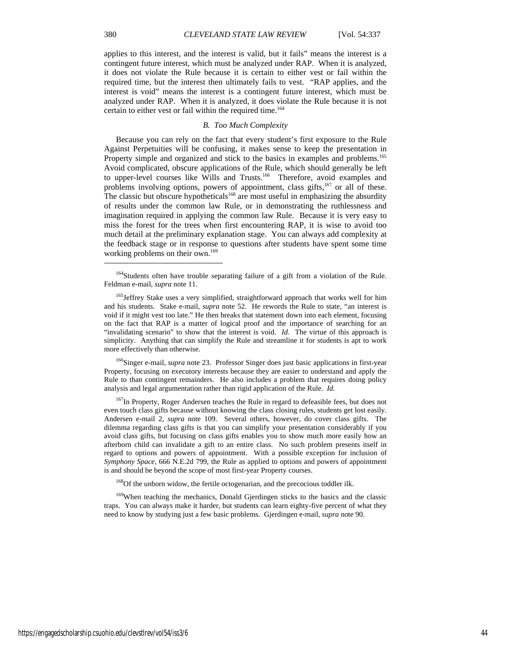applies to this interest, and the interest is valid, but it fails" means the interest is a contingent future interest, which must be analyzed under RAP. When it is analyzed, it does not violate the Rule because it is certain to either vest or fail within the required time, but the interest then ultimately fails to vest. "RAP applies, and the interest is void" means the interest is a contingent future interest, which must be analyzed under RAP. When it is analyzed, it does violate the Rule because it is not certain to either vest or fail within the required time.<sup>164</sup>

### *B. Too Much Complexity*

Because you can rely on the fact that every student's first exposure to the Rule Against Perpetuities will be confusing, it makes sense to keep the presentation in Property simple and organized and stick to the basics in examples and problems.<sup>165</sup> Avoid complicated, obscure applications of the Rule, which should generally be left to upper-level courses like Wills and Trusts.<sup>166</sup> Therefore, avoid examples and problems involving options, powers of appointment, class gifts, $167$  or all of these. The classic but obscure hypotheticals<sup>168</sup> are most useful in emphasizing the absurdity of results under the common law Rule, or in demonstrating the ruthlessness and imagination required in applying the common law Rule. Because it is very easy to miss the forest for the trees when first encountering RAP, it is wise to avoid too much detail at the preliminary explanation stage. You can always add complexity at the feedback stage or in response to questions after students have spent some time working problems on their own.<sup>169</sup>

166Singer e-mail, *supra* note 23. Professor Singer does just basic applications in first-year Property, focusing on executory interests because they are easier to understand and apply the Rule to than contingent remainders. He also includes a problem that requires doing policy analysis and legal argumentation rather than rigid application of the Rule. *Id.*

<sup>167</sup>In Property, Roger Andersen teaches the Rule in regard to defeasible fees, but does not even touch class gifts because without knowing the class closing rules, students get lost easily. Andersen e-mail 2, *supra* note 109. Several others, however, do cover class gifts. The dilemma regarding class gifts is that you can simplify your presentation considerably if you avoid class gifts, but focusing on class gifts enables you to show much more easily how an afterborn child can invalidate a gift to an entire class. No such problem presents itself in regard to options and powers of appointment. With a possible exception for inclusion of *Symphony Space,* 666 N.E.2d 799, the Rule as applied to options and powers of appointment is and should be beyond the scope of most first-year Property courses.

<sup>168</sup>Of the unborn widow, the fertile octogenarian, and the precocious toddler ilk.

<sup>169</sup>When teaching the mechanics, Donald Gjerdingen sticks to the basics and the classic traps. You can always make it harder, but students can learn eighty-five percent of what they need to know by studying just a few basic problems. Gjerdingen e-mail, *supra* note 90.

1

<sup>&</sup>lt;sup>164</sup>Students often have trouble separating failure of a gift from a violation of the Rule. Feldman e-mail, *supra* note 11.

<sup>&</sup>lt;sup>165</sup>Jeffrey Stake uses a very simplified, straightforward approach that works well for him and his students. Stake e-mail, *supra* note 52. He rewords the Rule to state, "an interest is void if it might vest too late." He then breaks that statement down into each element, focusing on the fact that RAP is a matter of logical proof and the importance of searching for an "invalidating scenario" to show that the interest is void. *Id.* The virtue of this approach is simplicity. Anything that can simplify the Rule and streamline it for students is apt to work more effectively than otherwise.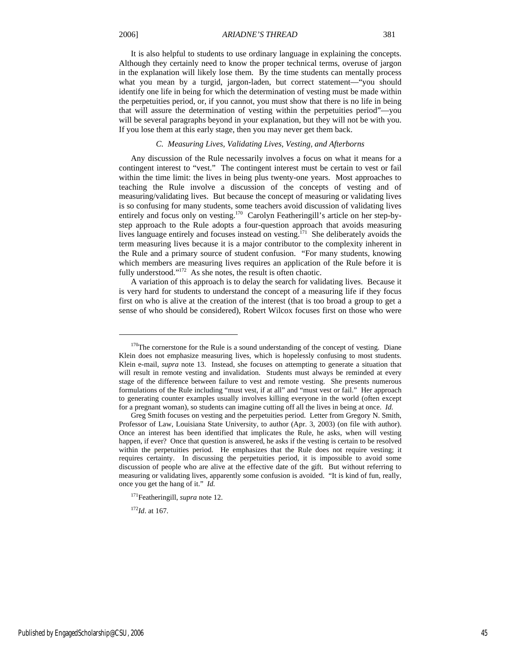It is also helpful to students to use ordinary language in explaining the concepts. Although they certainly need to know the proper technical terms, overuse of jargon in the explanation will likely lose them. By the time students can mentally process what you mean by a turgid, jargon-laden, but correct statement—"you should identify one life in being for which the determination of vesting must be made within the perpetuities period, or, if you cannot, you must show that there is no life in being that will assure the determination of vesting within the perpetuities period"—you will be several paragraphs beyond in your explanation, but they will not be with you. If you lose them at this early stage, then you may never get them back.

#### *C. Measuring Lives, Validating Lives, Vesting, and Afterborns*

Any discussion of the Rule necessarily involves a focus on what it means for a contingent interest to "vest." The contingent interest must be certain to vest or fail within the time limit: the lives in being plus twenty-one years. Most approaches to teaching the Rule involve a discussion of the concepts of vesting and of measuring/validating lives. But because the concept of measuring or validating lives is so confusing for many students, some teachers avoid discussion of validating lives entirely and focus only on vesting.170 Carolyn Featheringill's article on her step-bystep approach to the Rule adopts a four-question approach that avoids measuring lives language entirely and focuses instead on vesting.<sup>171</sup> She deliberately avoids the term measuring lives because it is a major contributor to the complexity inherent in the Rule and a primary source of student confusion. "For many students, knowing which members are measuring lives requires an application of the Rule before it is fully understood."<sup>172</sup> As she notes, the result is often chaotic.

A variation of this approach is to delay the search for validating lives. Because it is very hard for students to understand the concept of a measuring life if they focus first on who is alive at the creation of the interest (that is too broad a group to get a sense of who should be considered), Robert Wilcox focuses first on those who were

<sup>172</sup>*Id*. at 167.

<sup>&</sup>lt;sup>170</sup>The cornerstone for the Rule is a sound understanding of the concept of vesting. Diane Klein does not emphasize measuring lives, which is hopelessly confusing to most students. Klein e-mail, *supra* note 13. Instead, she focuses on attempting to generate a situation that will result in remote vesting and invalidation. Students must always be reminded at every stage of the difference between failure to vest and remote vesting. She presents numerous formulations of the Rule including "must vest, if at all" and "must vest or fail." Her approach to generating counter examples usually involves killing everyone in the world (often except for a pregnant woman), so students can imagine cutting off all the lives in being at once. *Id.*

Greg Smith focuses on vesting and the perpetuities period. Letter from Gregory N. Smith, Professor of Law, Louisiana State University, to author (Apr. 3, 2003) (on file with author). Once an interest has been identified that implicates the Rule, he asks, when will vesting happen, if ever? Once that question is answered, he asks if the vesting is certain to be resolved within the perpetuities period. He emphasizes that the Rule does not require vesting; it requires certainty. In discussing the perpetuities period, it is impossible to avoid some discussion of people who are alive at the effective date of the gift. But without referring to measuring or validating lives, apparently some confusion is avoided. "It is kind of fun, really, once you get the hang of it." *Id.*

<sup>171</sup>Featheringill, *supra* note 12.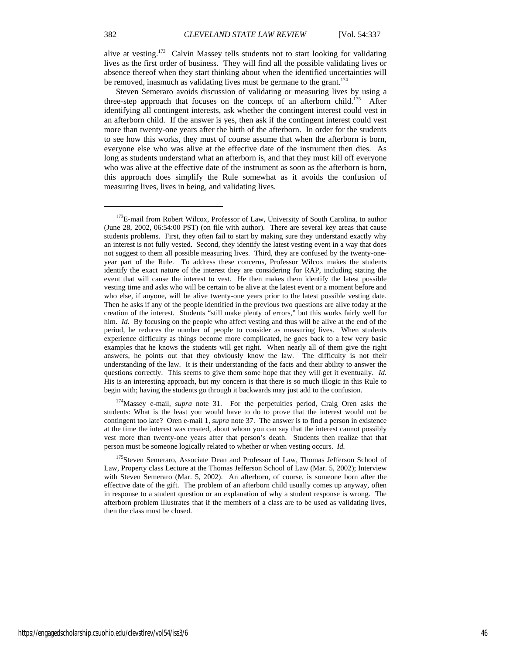alive at vesting.<sup>173</sup> Calvin Massey tells students not to start looking for validating lives as the first order of business. They will find all the possible validating lives or absence thereof when they start thinking about when the identified uncertainties will be removed, inasmuch as validating lives must be germane to the grant.<sup>174</sup>

Steven Semeraro avoids discussion of validating or measuring lives by using a three-step approach that focuses on the concept of an afterborn child.<sup>175</sup> After identifying all contingent interests, ask whether the contingent interest could vest in an afterborn child. If the answer is yes, then ask if the contingent interest could vest more than twenty-one years after the birth of the afterborn. In order for the students to see how this works, they must of course assume that when the afterborn is born, everyone else who was alive at the effective date of the instrument then dies. As long as students understand what an afterborn is, and that they must kill off everyone who was alive at the effective date of the instrument as soon as the afterborn is born, this approach does simplify the Rule somewhat as it avoids the confusion of measuring lives, lives in being, and validating lives.

174Massey e-mail, *supra* note 31. For the perpetuities period, Craig Oren asks the students: What is the least you would have to do to prove that the interest would not be contingent too late? Oren e-mail 1, *supra* note 37. The answer is to find a person in existence at the time the interest was created, about whom you can say that the interest cannot possibly vest more than twenty-one years after that person's death. Students then realize that that person must be someone logically related to whether or when vesting occurs. *Id.* 

<sup>175</sup>Steven Semeraro, Associate Dean and Professor of Law, Thomas Jefferson School of Law, Property class Lecture at the Thomas Jefferson School of Law (Mar. 5, 2002); Interview with Steven Semeraro (Mar. 5, 2002). An afterborn, of course, is someone born after the effective date of the gift. The problem of an afterborn child usually comes up anyway, often in response to a student question or an explanation of why a student response is wrong. The afterborn problem illustrates that if the members of a class are to be used as validating lives, then the class must be closed.

<sup>&</sup>lt;sup>173</sup>E-mail from Robert Wilcox, Professor of Law, University of South Carolina, to author (June 28, 2002, 06:54:00 PST) (on file with author). There are several key areas that cause students problems. First, they often fail to start by making sure they understand exactly why an interest is not fully vested. Second, they identify the latest vesting event in a way that does not suggest to them all possible measuring lives. Third, they are confused by the twenty-oneyear part of the Rule. To address these concerns, Professor Wilcox makes the students identify the exact nature of the interest they are considering for RAP, including stating the event that will cause the interest to vest. He then makes them identify the latest possible vesting time and asks who will be certain to be alive at the latest event or a moment before and who else, if anyone, will be alive twenty-one years prior to the latest possible vesting date. Then he asks if any of the people identified in the previous two questions are alive today at the creation of the interest. Students "still make plenty of errors," but this works fairly well for him. *Id.* By focusing on the people who affect vesting and thus will be alive at the end of the period, he reduces the number of people to consider as measuring lives. When students experience difficulty as things become more complicated, he goes back to a few very basic examples that he knows the students will get right. When nearly all of them give the right answers, he points out that they obviously know the law. The difficulty is not their understanding of the law. It is their understanding of the facts and their ability to answer the questions correctly. This seems to give them some hope that they will get it eventually. *Id.* His is an interesting approach, but my concern is that there is so much illogic in this Rule to begin with; having the students go through it backwards may just add to the confusion.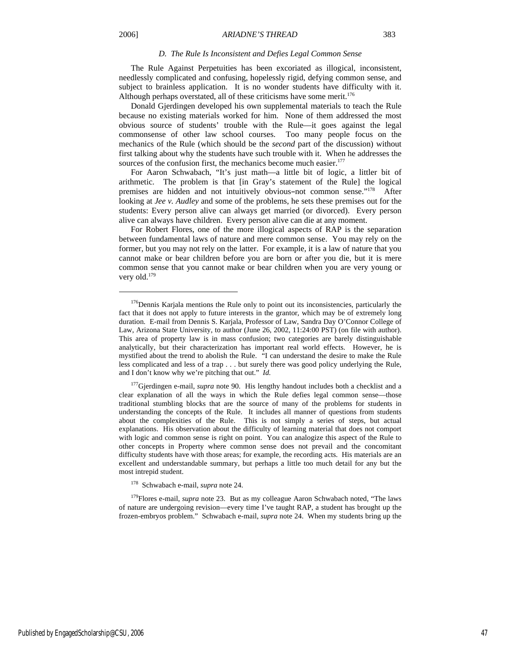#### *D. The Rule Is Inconsistent and Defies Legal Common Sense*

The Rule Against Perpetuities has been excoriated as illogical, inconsistent, needlessly complicated and confusing, hopelessly rigid, defying common sense, and subject to brainless application. It is no wonder students have difficulty with it. Although perhaps overstated, all of these criticisms have some merit.<sup>176</sup>

Donald Gjerdingen developed his own supplemental materials to teach the Rule because no existing materials worked for him. None of them addressed the most obvious source of students' trouble with the Rule—it goes against the legal commonsense of other law school courses. Too many people focus on the mechanics of the Rule (which should be the *second* part of the discussion) without first talking about why the students have such trouble with it. When he addresses the sources of the confusion first, the mechanics become much easier. $177$ 

For Aaron Schwabach, "It's just math—a little bit of logic, a littler bit of arithmetic. The problem is that [in Gray's statement of the Rule] the logical premises are hidden and not intuitively obvious-not common sense."<sup>178</sup> After looking at *Jee v. Audley* and some of the problems, he sets these premises out for the students: Every person alive can always get married (or divorced). Every person alive can always have children. Every person alive can die at any moment.

For Robert Flores, one of the more illogical aspects of RAP is the separation between fundamental laws of nature and mere common sense. You may rely on the former, but you may not rely on the latter. For example, it is a law of nature that you cannot make or bear children before you are born or after you die, but it is mere common sense that you cannot make or bear children when you are very young or very old.<sup>179</sup>

<sup>177</sup>Gjerdingen e-mail, *supra* note 90. His lengthy handout includes both a checklist and a clear explanation of all the ways in which the Rule defies legal common sense—those traditional stumbling blocks that are the source of many of the problems for students in understanding the concepts of the Rule. It includes all manner of questions from students about the complexities of the Rule. This is not simply a series of steps, but actual explanations. His observation about the difficulty of learning material that does not comport with logic and common sense is right on point. You can analogize this aspect of the Rule to other concepts in Property where common sense does not prevail and the concomitant difficulty students have with those areas; for example, the recording acts. His materials are an excellent and understandable summary, but perhaps a little too much detail for any but the most intrepid student.

178 Schwabach e-mail, *supra* note 24.

179Flores e-mail, *supra* note 23. But as my colleague Aaron Schwabach noted, "The laws of nature are undergoing revision—every time I've taught RAP, a student has brought up the frozen-embryos problem." Schwabach e-mail, *supra* note 24. When my students bring up the

<sup>&</sup>lt;sup>176</sup>Dennis Karjala mentions the Rule only to point out its inconsistencies, particularly the fact that it does not apply to future interests in the grantor, which may be of extremely long duration. E-mail from Dennis S. Karjala, Professor of Law, Sandra Day O'Connor College of Law, Arizona State University, to author (June 26, 2002, 11:24:00 PST) (on file with author). This area of property law is in mass confusion; two categories are barely distinguishable analytically, but their characterization has important real world effects. However, he is mystified about the trend to abolish the Rule. "I can understand the desire to make the Rule less complicated and less of a trap . . . but surely there was good policy underlying the Rule, and I don't know why we're pitching that out." *Id.*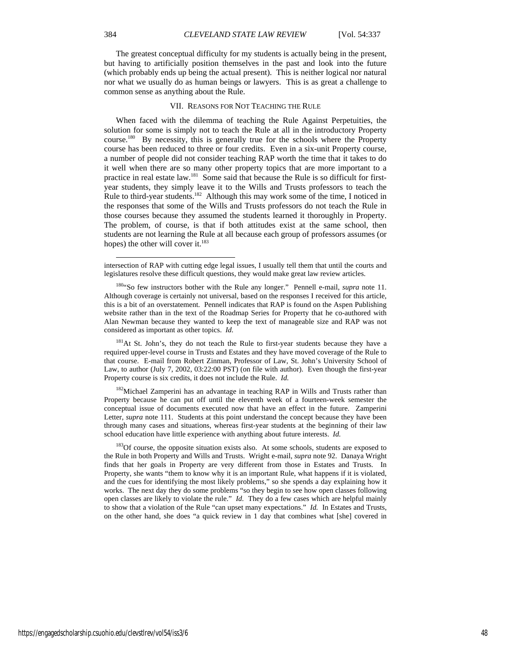The greatest conceptual difficulty for my students is actually being in the present, but having to artificially position themselves in the past and look into the future (which probably ends up being the actual present). This is neither logical nor natural nor what we usually do as human beings or lawyers. This is as great a challenge to common sense as anything about the Rule.

#### VII. REASONS FOR NOT TEACHING THE RULE

When faced with the dilemma of teaching the Rule Against Perpetuities, the solution for some is simply not to teach the Rule at all in the introductory Property course.180 By necessity, this is generally true for the schools where the Property course has been reduced to three or four credits. Even in a six-unit Property course, a number of people did not consider teaching RAP worth the time that it takes to do it well when there are so many other property topics that are more important to a practice in real estate law.<sup>181</sup> Some said that because the Rule is so difficult for firstyear students, they simply leave it to the Wills and Trusts professors to teach the Rule to third-year students.<sup>182</sup> Although this may work some of the time, I noticed in the responses that some of the Wills and Trusts professors do not teach the Rule in those courses because they assumed the students learned it thoroughly in Property. The problem, of course, is that if both attitudes exist at the same school, then students are not learning the Rule at all because each group of professors assumes (or hopes) the other will cover it.<sup>183</sup>

<sup>181</sup>At St. John's, they do not teach the Rule to first-year students because they have a required upper-level course in Trusts and Estates and they have moved coverage of the Rule to that course. E-mail from Robert Zinman, Professor of Law, St. John's University School of Law, to author (July 7, 2002, 03:22:00 PST) (on file with author). Even though the first-year Property course is six credits, it does not include the Rule. *Id.*

<sup>182</sup>Michael Zamperini has an advantage in teaching RAP in Wills and Trusts rather than Property because he can put off until the eleventh week of a fourteen-week semester the conceptual issue of documents executed now that have an effect in the future. Zamperini Letter, *supra* note 111. Students at this point understand the concept because they have been through many cases and situations, whereas first-year students at the beginning of their law school education have little experience with anything about future interests. *Id.*

<sup>183</sup>Of course, the opposite situation exists also. At some schools, students are exposed to the Rule in both Property and Wills and Trusts. Wright e-mail, *supra* note 92. Danaya Wright finds that her goals in Property are very different from those in Estates and Trusts. In Property, she wants "them to know why it is an important Rule, what happens if it is violated, and the cues for identifying the most likely problems," so she spends a day explaining how it works. The next day they do some problems "so they begin to see how open classes following open classes are likely to violate the rule." *Id.* They do a few cases which are helpful mainly to show that a violation of the Rule "can upset many expectations." *Id.* In Estates and Trusts, on the other hand, she does "a quick review in 1 day that combines what [she] covered in

intersection of RAP with cutting edge legal issues, I usually tell them that until the courts and legislatures resolve these difficult questions, they would make great law review articles.

<sup>180&</sup>quot;So few instructors bother with the Rule any longer." Pennell e-mail, *supra* note 11. Although coverage is certainly not universal, based on the responses I received for this article, this is a bit of an overstatement. Pennell indicates that RAP is found on the Aspen Publishing website rather than in the text of the Roadmap Series for Property that he co-authored with Alan Newman because they wanted to keep the text of manageable size and RAP was not considered as important as other topics. *Id.*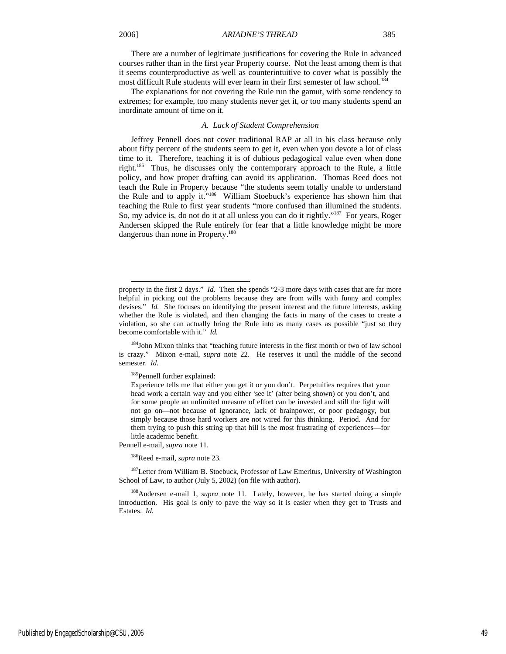There are a number of legitimate justifications for covering the Rule in advanced courses rather than in the first year Property course. Not the least among them is that it seems counterproductive as well as counterintuitive to cover what is possibly the most difficult Rule students will ever learn in their first semester of law school.<sup>184</sup>

The explanations for not covering the Rule run the gamut, with some tendency to extremes; for example, too many students never get it, or too many students spend an inordinate amount of time on it.

#### *A. Lack of Student Comprehension*

Jeffrey Pennell does not cover traditional RAP at all in his class because only about fifty percent of the students seem to get it, even when you devote a lot of class time to it. Therefore, teaching it is of dubious pedagogical value even when done right.185 Thus, he discusses only the contemporary approach to the Rule, a little policy, and how proper drafting can avoid its application. Thomas Reed does not teach the Rule in Property because "the students seem totally unable to understand the Rule and to apply it."186 William Stoebuck's experience has shown him that teaching the Rule to first year students "more confused than illumined the students. So, my advice is, do not do it at all unless you can do it rightly."<sup>187</sup> For years, Roger Andersen skipped the Rule entirely for fear that a little knowledge might be more dangerous than none in Property.<sup>188</sup>

<sup>185</sup>Pennell further explained:

Pennell e-mail, *supra* note 11.

186Reed e-mail, *supra* note 23.

<sup>187</sup>Letter from William B. Stoebuck, Professor of Law Emeritus, University of Washington School of Law, to author (July 5, 2002) (on file with author).

188Andersen e-mail 1, *supra* note 11. Lately, however, he has started doing a simple introduction. His goal is only to pave the way so it is easier when they get to Trusts and Estates. *Id.*

property in the first 2 days." *Id.* Then she spends "2-3 more days with cases that are far more helpful in picking out the problems because they are from wills with funny and complex devises." *Id.* She focuses on identifying the present interest and the future interests, asking whether the Rule is violated, and then changing the facts in many of the cases to create a violation, so she can actually bring the Rule into as many cases as possible "just so they become comfortable with it." *Id.*

<sup>&</sup>lt;sup>184</sup>John Mixon thinks that "teaching future interests in the first month or two of law school is crazy." Mixon e-mail, *supra* note 22. He reserves it until the middle of the second semester. *Id.* 

Experience tells me that either you get it or you don't. Perpetuities requires that your head work a certain way and you either 'see it' (after being shown) or you don't, and for some people an unlimited measure of effort can be invested and still the light will not go on—not because of ignorance, lack of brainpower, or poor pedagogy, but simply because those hard workers are not wired for this thinking. Period. And for them trying to push this string up that hill is the most frustrating of experiences—for little academic benefit.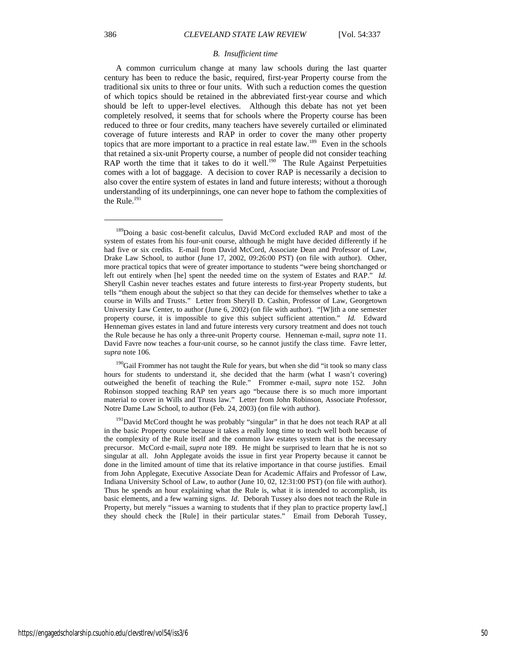#### *B. Insufficient time*

A common curriculum change at many law schools during the last quarter century has been to reduce the basic, required, first-year Property course from the traditional six units to three or four units. With such a reduction comes the question of which topics should be retained in the abbreviated first-year course and which should be left to upper-level electives. Although this debate has not yet been completely resolved, it seems that for schools where the Property course has been reduced to three or four credits, many teachers have severely curtailed or eliminated coverage of future interests and RAP in order to cover the many other property topics that are more important to a practice in real estate law.<sup>189</sup> Even in the schools that retained a six-unit Property course, a number of people did not consider teaching RAP worth the time that it takes to do it well.<sup>190</sup> The Rule Against Perpetuities comes with a lot of baggage. A decision to cover RAP is necessarily a decision to also cover the entire system of estates in land and future interests; without a thorough understanding of its underpinnings, one can never hope to fathom the complexities of the Rule. $191$ 

<sup>190</sup>Gail Frommer has not taught the Rule for years, but when she did "it took so many class hours for students to understand it, she decided that the harm (what I wasn't covering) outweighed the benefit of teaching the Rule." Frommer e-mail, *supra* note 152. John Robinson stopped teaching RAP ten years ago "because there is so much more important material to cover in Wills and Trusts law." Letter from John Robinson, Associate Professor, Notre Dame Law School, to author (Feb. 24, 2003) (on file with author).

<sup>191</sup>David McCord thought he was probably "singular" in that he does not teach RAP at all in the basic Property course because it takes a really long time to teach well both because of the complexity of the Rule itself and the common law estates system that is the necessary precursor. McCord e-mail, *supra* note 189. He might be surprised to learn that he is not so singular at all. John Applegate avoids the issue in first year Property because it cannot be done in the limited amount of time that its relative importance in that course justifies. Email from John Applegate, Executive Associate Dean for Academic Affairs and Professor of Law, Indiana University School of Law, to author (June 10, 02, 12:31:00 PST) (on file with author). Thus he spends an hour explaining what the Rule is, what it is intended to accomplish, its basic elements, and a few warning signs. *Id*. Deborah Tussey also does not teach the Rule in Property, but merely "issues a warning to students that if they plan to practice property law[,] they should check the [Rule] in their particular states." Email from Deborah Tussey,

<sup>&</sup>lt;sup>189</sup>Doing a basic cost-benefit calculus, David McCord excluded RAP and most of the system of estates from his four-unit course, although he might have decided differently if he had five or six credits. E-mail from David McCord, Associate Dean and Professor of Law, Drake Law School, to author (June 17, 2002, 09:26:00 PST) (on file with author). Other, more practical topics that were of greater importance to students "were being shortchanged or left out entirely when [he] spent the needed time on the system of Estates and RAP." *Id.* Sheryll Cashin never teaches estates and future interests to first-year Property students, but tells "them enough about the subject so that they can decide for themselves whether to take a course in Wills and Trusts." Letter from Sheryll D. Cashin, Professor of Law, Georgetown University Law Center, to author (June 6, 2002) (on file with author). "[W]ith a one semester property course, it is impossible to give this subject sufficient attention." *Id.* Edward Henneman gives estates in land and future interests very cursory treatment and does not touch the Rule because he has only a three-unit Property course. Henneman e-mail, *supra* note 11. David Favre now teaches a four-unit course, so he cannot justify the class time. Favre letter, *supra* note 106.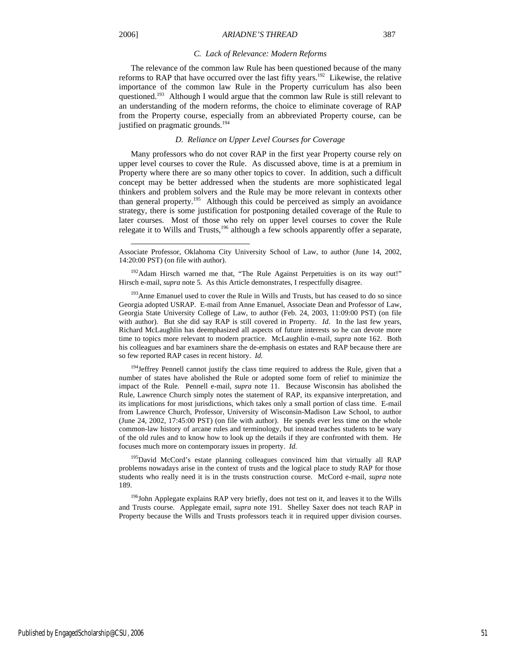l

#### *C. Lack of Relevance: Modern Reforms*

The relevance of the common law Rule has been questioned because of the many reforms to RAP that have occurred over the last fifty years.<sup>192</sup> Likewise, the relative importance of the common law Rule in the Property curriculum has also been questioned.193 Although I would argue that the common law Rule is still relevant to an understanding of the modern reforms, the choice to eliminate coverage of RAP from the Property course, especially from an abbreviated Property course, can be justified on pragmatic grounds.<sup>194</sup>

#### *D. Reliance on Upper Level Courses for Coverage*

Many professors who do not cover RAP in the first year Property course rely on upper level courses to cover the Rule. As discussed above, time is at a premium in Property where there are so many other topics to cover. In addition, such a difficult concept may be better addressed when the students are more sophisticated legal thinkers and problem solvers and the Rule may be more relevant in contexts other than general property.<sup>195</sup> Although this could be perceived as simply an avoidance strategy, there is some justification for postponing detailed coverage of the Rule to later courses. Most of those who rely on upper level courses to cover the Rule relegate it to Wills and Trusts,<sup>196</sup> although a few schools apparently offer a separate,

<sup>192</sup>Adam Hirsch warned me that, "The Rule Against Perpetuities is on its way out!" Hirsch e-mail, *supra* note 5. As this Article demonstrates, I respectfully disagree.

<sup>193</sup> Anne Emanuel used to cover the Rule in Wills and Trusts, but has ceased to do so since Georgia adopted USRAP. E-mail from Anne Emanuel, Associate Dean and Professor of Law, Georgia State University College of Law, to author (Feb. 24, 2003, 11:09:00 PST) (on file with author). But she did say RAP is still covered in Property. *Id*. In the last few years, Richard McLaughlin has deemphasized all aspects of future interests so he can devote more time to topics more relevant to modern practice. McLaughlin e-mail, *supra* note 162. Both his colleagues and bar examiners share the de-emphasis on estates and RAP because there are so few reported RAP cases in recent history. *Id.*

<sup>194</sup>Jeffrey Pennell cannot justify the class time required to address the Rule, given that a number of states have abolished the Rule or adopted some form of relief to minimize the impact of the Rule. Pennell e-mail, *supra* note 11. Because Wisconsin has abolished the Rule, Lawrence Church simply notes the statement of RAP, its expansive interpretation, and its implications for most jurisdictions, which takes only a small portion of class time. E-mail from Lawrence Church, Professor, University of Wisconsin-Madison Law School, to author (June 24, 2002, 17:45:00 PST) (on file with author). He spends ever less time on the whole common-law history of arcane rules and terminology, but instead teaches students to be wary of the old rules and to know how to look up the details if they are confronted with them. He focuses much more on contemporary issues in property. *Id.* 

<sup>195</sup>David McCord's estate planning colleagues convinced him that virtually all RAP problems nowadays arise in the context of trusts and the logical place to study RAP for those students who really need it is in the trusts construction course. McCord e-mail, *supra* note 189.

<sup>196</sup>John Applegate explains RAP very briefly, does not test on it, and leaves it to the Wills and Trusts course. Applegate email, *supra* note 191. Shelley Saxer does not teach RAP in Property because the Wills and Trusts professors teach it in required upper division courses.

Associate Professor, Oklahoma City University School of Law, to author (June 14, 2002, 14:20:00 PST) (on file with author).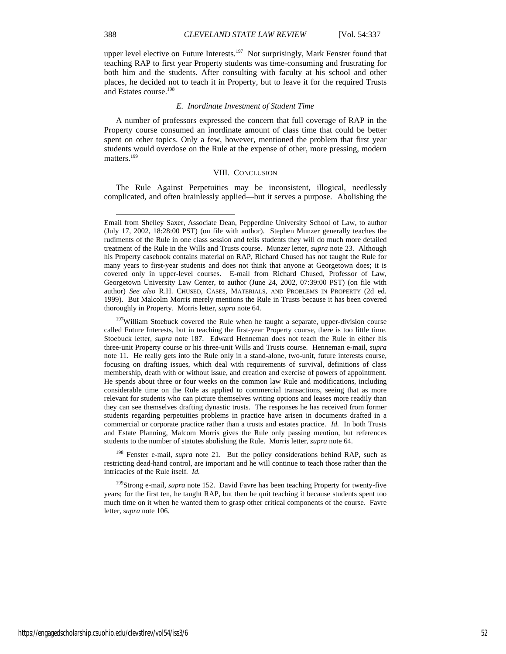upper level elective on Future Interests.<sup>197</sup> Not surprisingly, Mark Fenster found that teaching RAP to first year Property students was time-consuming and frustrating for both him and the students. After consulting with faculty at his school and other places, he decided not to teach it in Property, but to leave it for the required Trusts and Estates course.198

#### *E. Inordinate Investment of Student Time*

A number of professors expressed the concern that full coverage of RAP in the Property course consumed an inordinate amount of class time that could be better spent on other topics. Only a few, however, mentioned the problem that first year students would overdose on the Rule at the expense of other, more pressing, modern matters.<sup>199</sup>

#### VIII. CONCLUSION

The Rule Against Perpetuities may be inconsistent, illogical, needlessly complicated, and often brainlessly applied—but it serves a purpose. Abolishing the

<sup>198</sup> Fenster e-mail, *supra* note 21. But the policy considerations behind RAP, such as restricting dead-hand control, are important and he will continue to teach those rather than the intricacies of the Rule itself*. Id.* 

199Strong e-mail, *supra* note 152. David Favre has been teaching Property for twenty-five years; for the first ten, he taught RAP, but then he quit teaching it because students spent too much time on it when he wanted them to grasp other critical components of the course. Favre letter, *supra* note 106.

https://engagedscholarship.csuohio.edu/clevstlrev/vol54/iss3/6 52

Email from Shelley Saxer, Associate Dean, Pepperdine University School of Law, to author (July 17, 2002, 18:28:00 PST) (on file with author). Stephen Munzer generally teaches the rudiments of the Rule in one class session and tells students they will do much more detailed treatment of the Rule in the Wills and Trusts course. Munzer letter, *supra* note 23. Although his Property casebook contains material on RAP, Richard Chused has not taught the Rule for many years to first-year students and does not think that anyone at Georgetown does; it is covered only in upper-level courses. E-mail from Richard Chused, Professor of Law, Georgetown University Law Center, to author (June 24, 2002, 07:39:00 PST) (on file with author) *See also* R.H. CHUSED, CASES, MATERIALS, AND PROBLEMS IN PROPERTY (2d ed. 1999). But Malcolm Morris merely mentions the Rule in Trusts because it has been covered thoroughly in Property. Morris letter, *supra* note 64.

<sup>&</sup>lt;sup>197</sup>William Stoebuck covered the Rule when he taught a separate, upper-division course called Future Interests, but in teaching the first-year Property course, there is too little time. Stoebuck letter, *supra* note 187. Edward Henneman does not teach the Rule in either his three-unit Property course or his three-unit Wills and Trusts course. Henneman e-mail, *supra*  note 11. He really gets into the Rule only in a stand-alone, two-unit, future interests course, focusing on drafting issues, which deal with requirements of survival, definitions of class membership, death with or without issue, and creation and exercise of powers of appointment. He spends about three or four weeks on the common law Rule and modifications, including considerable time on the Rule as applied to commercial transactions, seeing that as more relevant for students who can picture themselves writing options and leases more readily than they can see themselves drafting dynastic trusts. The responses he has received from former students regarding perpetuities problems in practice have arisen in documents drafted in a commercial or corporate practice rather than a trusts and estates practice. *Id.* In both Trusts and Estate Planning, Malcom Morris gives the Rule only passing mention, but references students to the number of statutes abolishing the Rule. Morris letter, *supra* note 64.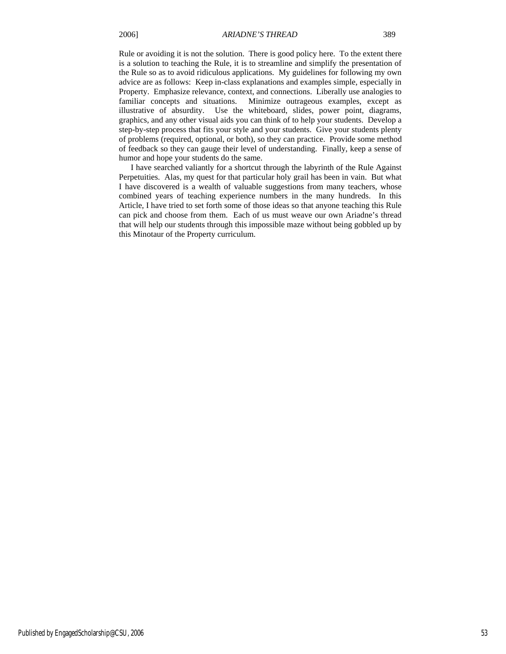Rule or avoiding it is not the solution. There is good policy here. To the extent there is a solution to teaching the Rule, it is to streamline and simplify the presentation of the Rule so as to avoid ridiculous applications. My guidelines for following my own advice are as follows: Keep in-class explanations and examples simple, especially in Property. Emphasize relevance, context, and connections. Liberally use analogies to familiar concepts and situations. Minimize outrageous examples, except as illustrative of absurdity. Use the whiteboard, slides, power point, diagrams, graphics, and any other visual aids you can think of to help your students. Develop a step-by-step process that fits your style and your students. Give your students plenty of problems (required, optional, or both), so they can practice. Provide some method of feedback so they can gauge their level of understanding. Finally, keep a sense of humor and hope your students do the same.

I have searched valiantly for a shortcut through the labyrinth of the Rule Against Perpetuities. Alas, my quest for that particular holy grail has been in vain. But what I have discovered is a wealth of valuable suggestions from many teachers, whose combined years of teaching experience numbers in the many hundreds. In this Article, I have tried to set forth some of those ideas so that anyone teaching this Rule can pick and choose from them. Each of us must weave our own Ariadne's thread that will help our students through this impossible maze without being gobbled up by this Minotaur of the Property curriculum.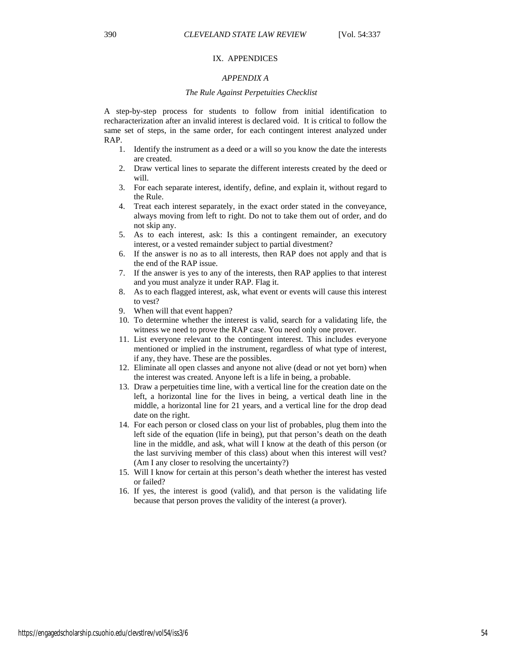#### IX. APPENDICES

### *APPENDIX A*

### *The Rule Against Perpetuities Checklist*

A step-by-step process for students to follow from initial identification to recharacterization after an invalid interest is declared void. It is critical to follow the same set of steps, in the same order, for each contingent interest analyzed under RAP.

- 1. Identify the instrument as a deed or a will so you know the date the interests are created.
- 2. Draw vertical lines to separate the different interests created by the deed or will.
- 3. For each separate interest, identify, define, and explain it, without regard to the Rule.
- 4. Treat each interest separately, in the exact order stated in the conveyance, always moving from left to right. Do not to take them out of order, and do not skip any.
- 5. As to each interest, ask: Is this a contingent remainder, an executory interest, or a vested remainder subject to partial divestment?
- 6. If the answer is no as to all interests, then RAP does not apply and that is the end of the RAP issue.
- 7. If the answer is yes to any of the interests, then RAP applies to that interest and you must analyze it under RAP. Flag it.
- 8. As to each flagged interest, ask, what event or events will cause this interest to vest?
- 9. When will that event happen?
- 10. To determine whether the interest is valid, search for a validating life, the witness we need to prove the RAP case. You need only one prover.
- 11. List everyone relevant to the contingent interest. This includes everyone mentioned or implied in the instrument, regardless of what type of interest, if any, they have. These are the possibles.
- 12. Eliminate all open classes and anyone not alive (dead or not yet born) when the interest was created. Anyone left is a life in being, a probable.
- 13. Draw a perpetuities time line, with a vertical line for the creation date on the left, a horizontal line for the lives in being, a vertical death line in the middle, a horizontal line for 21 years, and a vertical line for the drop dead date on the right.
- 14. For each person or closed class on your list of probables, plug them into the left side of the equation (life in being), put that person's death on the death line in the middle, and ask, what will I know at the death of this person (or the last surviving member of this class) about when this interest will vest? (Am I any closer to resolving the uncertainty?)
- 15. Will I know for certain at this person's death whether the interest has vested or failed?
- 16. If yes, the interest is good (valid), and that person is the validating life because that person proves the validity of the interest (a prover).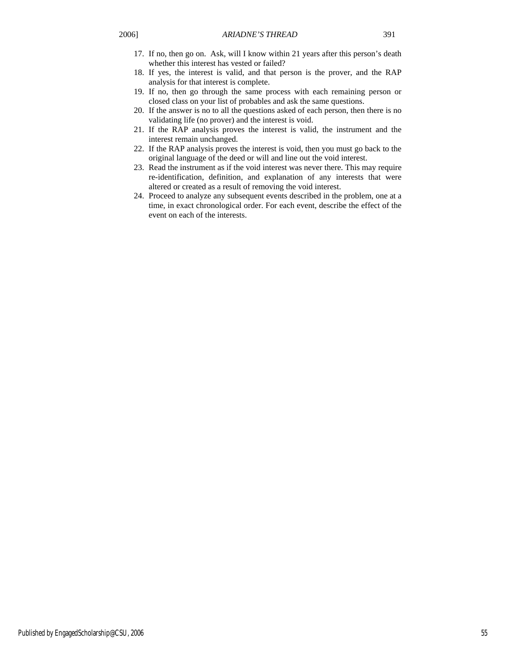- 17. If no, then go on. Ask, will I know within 21 years after this person's death whether this interest has vested or failed?
- 18. If yes, the interest is valid, and that person is the prover, and the RAP analysis for that interest is complete.
- 19. If no, then go through the same process with each remaining person or closed class on your list of probables and ask the same questions.
- 20. If the answer is no to all the questions asked of each person, then there is no validating life (no prover) and the interest is void.
- 21. If the RAP analysis proves the interest is valid, the instrument and the interest remain unchanged.
- 22. If the RAP analysis proves the interest is void, then you must go back to the original language of the deed or will and line out the void interest.
- 23. Read the instrument as if the void interest was never there. This may require re-identification, definition, and explanation of any interests that were altered or created as a result of removing the void interest.
- 24. Proceed to analyze any subsequent events described in the problem, one at a time, in exact chronological order. For each event, describe the effect of the event on each of the interests.